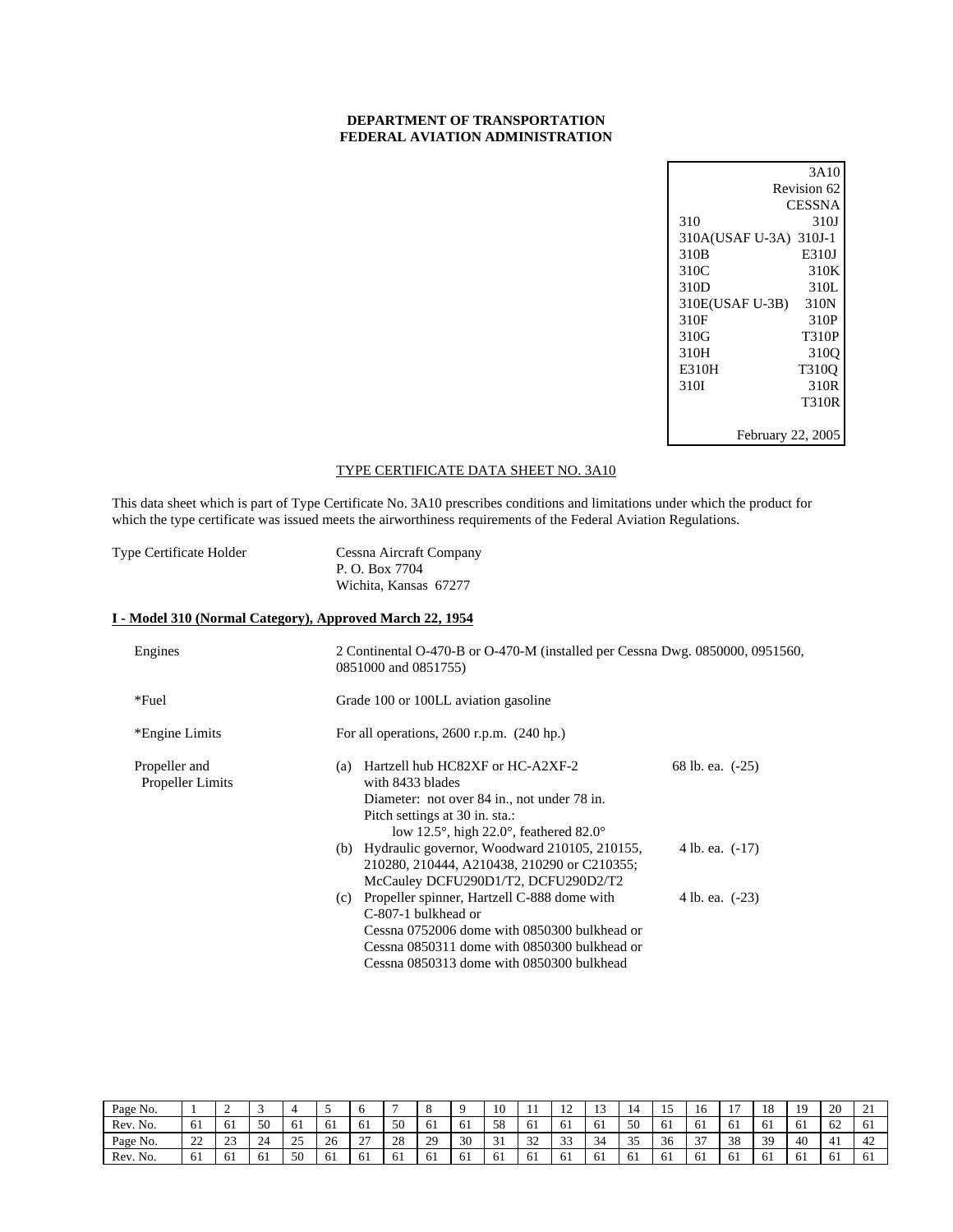## **DEPARTMENT OF TRANSPORTATION FEDERAL AVIATION ADMINISTRATION**

| 3A10                   |
|------------------------|
| Revision 62            |
| CESSNA                 |
| 310J                   |
| 310A(USAF U-3A) 310J-1 |
| E310J                  |
| 310K                   |
| 310L                   |
| 310N                   |
| 310P                   |
| <b>T310P</b>           |
| 310 <sub>O</sub>       |
| T310O                  |
| 310R                   |
| T310R                  |
|                        |
| February 22, 2005      |
|                        |

## TYPE CERTIFICATE DATA SHEET NO. 3A10

This data sheet which is part of Type Certificate No. 3A10 prescribes conditions and limitations under which the product for which the type certificate was issued meets the airworthiness requirements of the Federal Aviation Regulations.

Type Certificate Holder Cessna Aircraft Company P. O. Box 7704 Wichita, Kansas 67277

## **I - Model 310 (Normal Category), Approved March 22, 1954**

| Engines                                  | 2 Continental O-470-B or O-470-M (installed per Cessna Dwg. 0850000, 0951560,<br>0851000 and 0851755)                                                                                                                                      |  |  |  |  |  |
|------------------------------------------|--------------------------------------------------------------------------------------------------------------------------------------------------------------------------------------------------------------------------------------------|--|--|--|--|--|
| *Fuel                                    | Grade 100 or 100LL aviation gasoline                                                                                                                                                                                                       |  |  |  |  |  |
| *Engine Limits                           | For all operations, $2600$ r.p.m. $(240$ hp.)                                                                                                                                                                                              |  |  |  |  |  |
| Propeller and<br><b>Propeller Limits</b> | Hartzell hub HC82XF or HC-A2XF-2<br>68 lb. ea. (-25)<br>(a)<br>with 8433 blades<br>Diameter: not over 84 in., not under 78 in.<br>Pitch settings at 30 in. sta.:<br>low 12.5 $^{\circ}$ , high 22.0 $^{\circ}$ , feathered 82.0 $^{\circ}$ |  |  |  |  |  |
|                                          | (b) Hydraulic governor, Woodward $210105$ , $210155$ ,<br>4 lb. ea. (-17)<br>210280, 210444, A210438, 210290 or C210355;<br>McCauley DCFU290D1/T2, DCFU290D2/T2                                                                            |  |  |  |  |  |
|                                          | (c) Propeller spinner, Hartzell C-888 dome with<br>4 lb. ea. (-23)<br>C-807-1 bulkhead or<br>Cessna 0752006 dome with 0850300 bulkhead or<br>Cessna 0850311 dome with 0850300 bulkhead or<br>Cessna 0850313 dome with 0850300 bulkhead     |  |  |  |  |  |

| Page No. |                   | ∽            |     |                     |                          |                    |     |                |    | 10                                 |           | 1 <sub>0</sub><br>$\overline{1}$ |                |              | -               |        | $\overline{ }$ | 18  | 10  | 20  | - - -          |
|----------|-------------------|--------------|-----|---------------------|--------------------------|--------------------|-----|----------------|----|------------------------------------|-----------|----------------------------------|----------------|--------------|-----------------|--------|----------------|-----|-----|-----|----------------|
| Rev. No. | - 61              | 61           | 50  | 61                  | $\sim$<br>υı             | οı                 | 50  | 0 <sub>1</sub> | 61 | 58                                 | 61        | 61                               | -61            | 50           | $\sim$ 1<br>-61 |        | 61             | -61 | -61 | 62  | 0 <sub>1</sub> |
| Page No. | $\mathbf{A}$<br>∸ | $\sim$<br>رے | 24  | $\cap \subset$<br>ت | 26                       | $\sim$<br><u>_</u> | 28  | 29             | 30 | $\bigcap$ 1<br>◡                   | 22<br>ے ر | $\Omega$<br>- 4<br>--            | 34             | $\sim$<br>ັບ | 36              | $\sim$ | 38             | 39  | 40  | 4   | 42             |
| Rev. No. | 61                | 61           | -61 | 50                  | $\sim$ 1<br>$\sim$<br>υı | 61                 | -61 | -61            | 61 | - 1<br><i><u><u></u></u></i><br>υı | 61        | -61                              | 0 <sub>1</sub> | 0 I          | σI              | 61     | -61            | -61 | 0 I | -61 | 01             |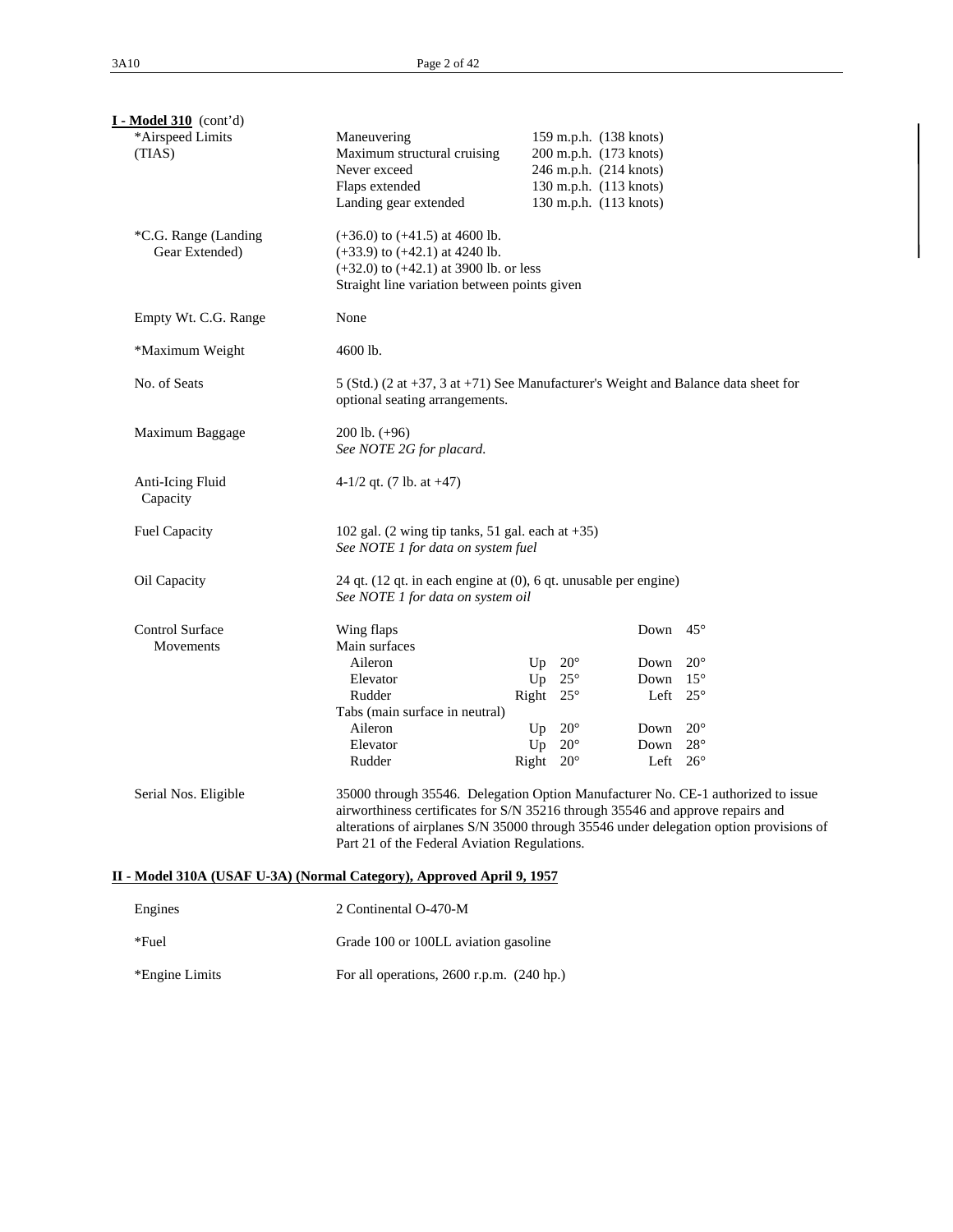| $I - Model 310$ (cont'd)                                              |                                                                                                                                                                                                                                                                                                              |                              |                              |                                                                                                                                |                              |  |  |  |  |  |
|-----------------------------------------------------------------------|--------------------------------------------------------------------------------------------------------------------------------------------------------------------------------------------------------------------------------------------------------------------------------------------------------------|------------------------------|------------------------------|--------------------------------------------------------------------------------------------------------------------------------|------------------------------|--|--|--|--|--|
| *Airspeed Limits<br>(TIAS)                                            | Maneuvering<br>Maximum structural cruising<br>Never exceed<br>Flaps extended<br>Landing gear extended                                                                                                                                                                                                        |                              |                              | 159 m.p.h. (138 knots)<br>200 m.p.h. (173 knots)<br>246 m.p.h. (214 knots)<br>130 m.p.h. (113 knots)<br>130 m.p.h. (113 knots) |                              |  |  |  |  |  |
| *C.G. Range (Landing<br>Gear Extended)                                | $(+36.0)$ to $(+41.5)$ at 4600 lb.<br>$(+33.9)$ to $(+42.1)$ at 4240 lb.<br>$(+32.0)$ to $(+42.1)$ at 3900 lb. or less<br>Straight line variation between points given                                                                                                                                       |                              |                              |                                                                                                                                |                              |  |  |  |  |  |
| Empty Wt. C.G. Range                                                  | None                                                                                                                                                                                                                                                                                                         |                              |                              |                                                                                                                                |                              |  |  |  |  |  |
| *Maximum Weight                                                       | 4600 lb.                                                                                                                                                                                                                                                                                                     |                              |                              |                                                                                                                                |                              |  |  |  |  |  |
| No. of Seats                                                          | 5 (Std.) (2 at $+37$ , 3 at $+71$ ) See Manufacturer's Weight and Balance data sheet for<br>optional seating arrangements.                                                                                                                                                                                   |                              |                              |                                                                                                                                |                              |  |  |  |  |  |
| Maximum Baggage                                                       | $200$ lb. $(+96)$<br>See NOTE 2G for placard.                                                                                                                                                                                                                                                                |                              |                              |                                                                                                                                |                              |  |  |  |  |  |
| Anti-Icing Fluid<br>Capacity                                          | 4-1/2 qt. $(7 \text{ lb. at } +47)$                                                                                                                                                                                                                                                                          |                              |                              |                                                                                                                                |                              |  |  |  |  |  |
| <b>Fuel Capacity</b>                                                  | 102 gal. (2 wing tip tanks, 51 gal. each at $+35$ )<br>See NOTE 1 for data on system fuel                                                                                                                                                                                                                    |                              |                              |                                                                                                                                |                              |  |  |  |  |  |
| Oil Capacity                                                          | 24 qt. (12 qt. in each engine at (0), 6 qt. unusable per engine)<br>See NOTE 1 for data on system oil                                                                                                                                                                                                        |                              |                              |                                                                                                                                |                              |  |  |  |  |  |
| <b>Control Surface</b><br>Movements                                   | Wing flaps<br>Main surfaces<br>Aileron<br>Elevator<br>Rudder                                                                                                                                                                                                                                                 | Up<br>Up<br>Right 25°        | $20^{\circ}$<br>$25^{\circ}$ | Down $45^\circ$<br>Down<br>Down $15^\circ$<br>Left $25^\circ$                                                                  | $20^{\circ}$                 |  |  |  |  |  |
|                                                                       | Tabs (main surface in neutral)<br>Aileron<br>Elevator<br>Rudder                                                                                                                                                                                                                                              | Up<br>Up<br>Right $20^\circ$ | $20^{\circ}$<br>$20^{\circ}$ | Down<br>Down<br>Left $26^{\circ}$                                                                                              | $20^{\circ}$<br>$28^{\circ}$ |  |  |  |  |  |
| Serial Nos. Eligible                                                  | 35000 through 35546. Delegation Option Manufacturer No. CE-1 authorized to issue<br>airworthiness certificates for S/N 35216 through 35546 and approve repairs and<br>alterations of airplanes S/N 35000 through 35546 under delegation option provisions of<br>Part 21 of the Federal Aviation Regulations. |                              |                              |                                                                                                                                |                              |  |  |  |  |  |
| II - Model 310A (USAF U-3A) (Normal Category), Approved April 9, 1957 |                                                                                                                                                                                                                                                                                                              |                              |                              |                                                                                                                                |                              |  |  |  |  |  |
| Engines                                                               | 2 Continental O-470-M                                                                                                                                                                                                                                                                                        |                              |                              |                                                                                                                                |                              |  |  |  |  |  |
| *Fuel                                                                 | Grade 100 or 100LL aviation gasoline                                                                                                                                                                                                                                                                         |                              |                              |                                                                                                                                |                              |  |  |  |  |  |
| *Engine Limits                                                        | For all operations, 2600 r.p.m. (240 hp.)                                                                                                                                                                                                                                                                    |                              |                              |                                                                                                                                |                              |  |  |  |  |  |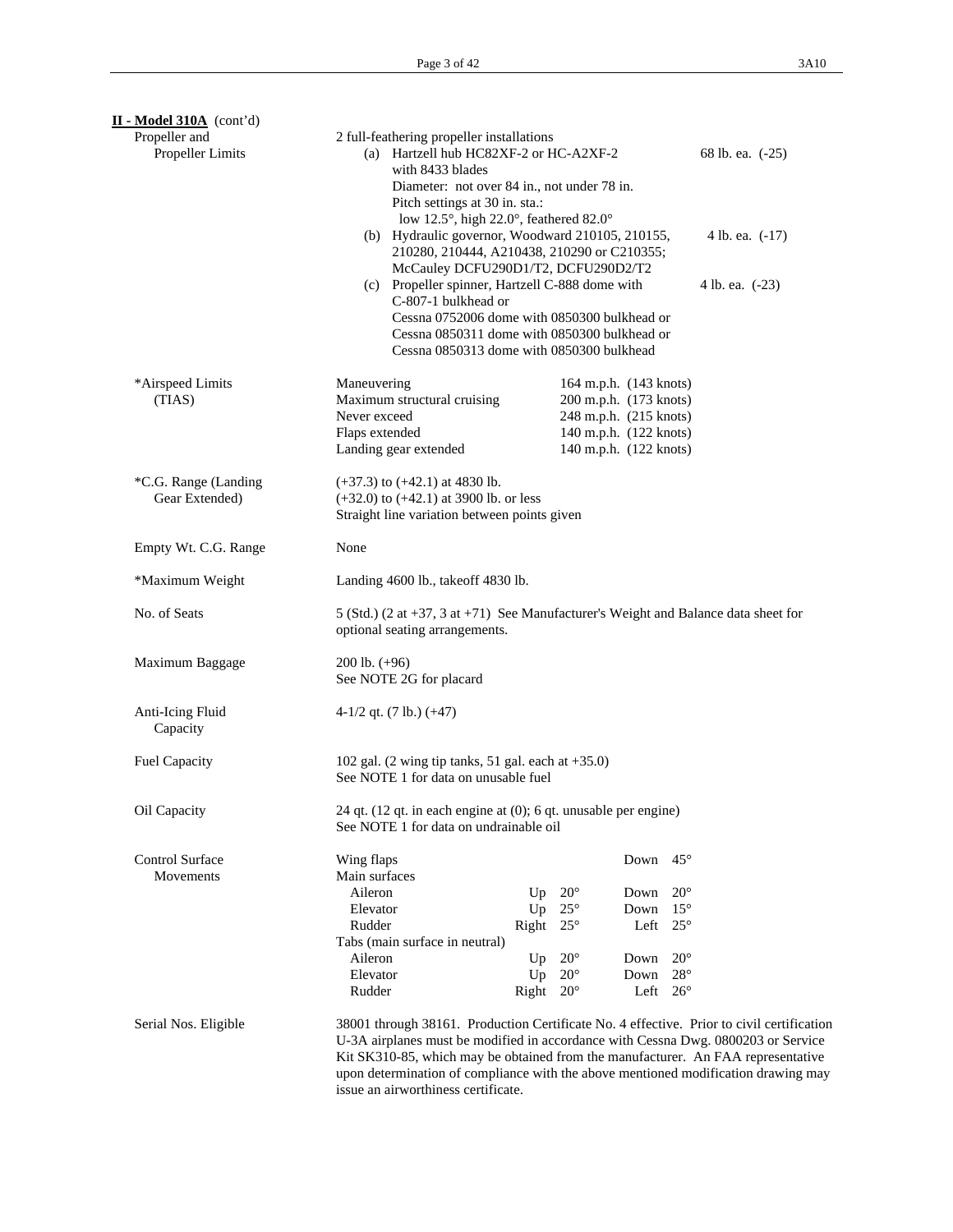| $II$ - Model 310A (cont'd)        |                                                                                                                                                                                                                                                                    |                                                                                                               |                        |      |                 |  |
|-----------------------------------|--------------------------------------------------------------------------------------------------------------------------------------------------------------------------------------------------------------------------------------------------------------------|---------------------------------------------------------------------------------------------------------------|------------------------|------|-----------------|--|
| Propeller and<br>Propeller Limits | 2 full-feathering propeller installations<br>(a) Hartzell hub HC82XF-2 or HC-A2XF-2<br>68 lb. ea. (-25)<br>with 8433 blades                                                                                                                                        |                                                                                                               |                        |      |                 |  |
|                                   | Diameter: not over 84 in., not under 78 in.                                                                                                                                                                                                                        |                                                                                                               |                        |      |                 |  |
|                                   | Pitch settings at 30 in. sta.:<br>low 12.5°, high 22.0°, feathered 82.0°                                                                                                                                                                                           |                                                                                                               |                        |      |                 |  |
|                                   | (b) Hydraulic governor, Woodward 210105, 210155,<br>210280, 210444, A210438, 210290 or C210355;                                                                                                                                                                    |                                                                                                               |                        |      | 4 lb. ea. (-17) |  |
|                                   |                                                                                                                                                                                                                                                                    | McCauley DCFU290D1/T2, DCFU290D2/T2<br>(c) Propeller spinner, Hartzell C-888 dome with<br>C-807-1 bulkhead or |                        |      |                 |  |
|                                   | Cessna 0752006 dome with 0850300 bulkhead or<br>Cessna 0850311 dome with 0850300 bulkhead or<br>Cessna 0850313 dome with 0850300 bulkhead                                                                                                                          |                                                                                                               |                        |      |                 |  |
| *Airspeed Limits                  | Maneuvering                                                                                                                                                                                                                                                        |                                                                                                               | 164 m.p.h. (143 knots) |      |                 |  |
| (TIAS)                            | Maximum structural cruising                                                                                                                                                                                                                                        |                                                                                                               | 200 m.p.h. (173 knots) |      |                 |  |
|                                   | Never exceed                                                                                                                                                                                                                                                       |                                                                                                               | 248 m.p.h. (215 knots) |      |                 |  |
|                                   | Flaps extended                                                                                                                                                                                                                                                     |                                                                                                               | 140 m.p.h. (122 knots) |      |                 |  |
|                                   | Landing gear extended                                                                                                                                                                                                                                              |                                                                                                               | 140 m.p.h. (122 knots) |      |                 |  |
| *C.G. Range (Landing              | $(+37.3)$ to $(+42.1)$ at 4830 lb.                                                                                                                                                                                                                                 |                                                                                                               |                        |      |                 |  |
| Gear Extended)                    | $(+32.0)$ to $(+42.1)$ at 3900 lb. or less                                                                                                                                                                                                                         |                                                                                                               |                        |      |                 |  |
|                                   | Straight line variation between points given                                                                                                                                                                                                                       |                                                                                                               |                        |      |                 |  |
|                                   |                                                                                                                                                                                                                                                                    |                                                                                                               |                        |      |                 |  |
| Empty Wt. C.G. Range              | None                                                                                                                                                                                                                                                               |                                                                                                               |                        |      |                 |  |
| *Maximum Weight                   | Landing 4600 lb., takeoff 4830 lb.                                                                                                                                                                                                                                 |                                                                                                               |                        |      |                 |  |
| No. of Seats                      | 5 (Std.) (2 at +37, 3 at +71) See Manufacturer's Weight and Balance data sheet for<br>optional seating arrangements.                                                                                                                                               |                                                                                                               |                        |      |                 |  |
| Maximum Baggage                   | $200$ lb. $(+96)$<br>See NOTE 2G for placard                                                                                                                                                                                                                       |                                                                                                               |                        |      |                 |  |
| Anti-Icing Fluid<br>Capacity      | 4-1/2 qt. $(7 lb.) (+47)$                                                                                                                                                                                                                                          |                                                                                                               |                        |      |                 |  |
| <b>Fuel Capacity</b>              | 102 gal. $(2 \text{ wing tip tanks}, 51 \text{ gal. each at } +35.0)$<br>See NOTE 1 for data on unusable fuel                                                                                                                                                      |                                                                                                               |                        |      |                 |  |
| Oil Capacity                      | 24 qt. (12 qt. in each engine at (0); 6 qt. unusable per engine)<br>See NOTE 1 for data on undrainable oil                                                                                                                                                         |                                                                                                               |                        |      |                 |  |
| <b>Control Surface</b>            | Wing flaps                                                                                                                                                                                                                                                         |                                                                                                               |                        | Down | $45^{\circ}$    |  |
| Movements                         | Main surfaces                                                                                                                                                                                                                                                      |                                                                                                               |                        |      |                 |  |
|                                   | Aileron                                                                                                                                                                                                                                                            | Up                                                                                                            | $20^{\circ}$           | Down | $20^{\circ}$    |  |
|                                   | Elevator                                                                                                                                                                                                                                                           | Up                                                                                                            | $25^{\circ}$           | Down | $15^{\circ}$    |  |
|                                   | Rudder                                                                                                                                                                                                                                                             | Right                                                                                                         | $25^{\circ}$           | Left | $25^{\circ}$    |  |
|                                   | Tabs (main surface in neutral)<br>Aileron                                                                                                                                                                                                                          | Up                                                                                                            | $20^{\circ}$           | Down | $20^{\circ}$    |  |
|                                   | Elevator                                                                                                                                                                                                                                                           | Up                                                                                                            | $20^\circ$             | Down | $28^{\circ}$    |  |
|                                   | Rudder                                                                                                                                                                                                                                                             | Right                                                                                                         | $20^{\circ}$           | Left | $26^{\circ}$    |  |
| Serial Nos. Eligible              | 38001 through 38161. Production Certificate No. 4 effective. Prior to civil certification<br>U-3A airplanes must be modified in accordance with Cessna Dwg. 0800203 or Service<br>Kit SK310-85, which may be obtained from the manufacturer. An FAA representative |                                                                                                               |                        |      |                 |  |
|                                   | upon determination of compliance with the above mentioned modification drawing may<br>issue an airworthiness certificate.                                                                                                                                          |                                                                                                               |                        |      |                 |  |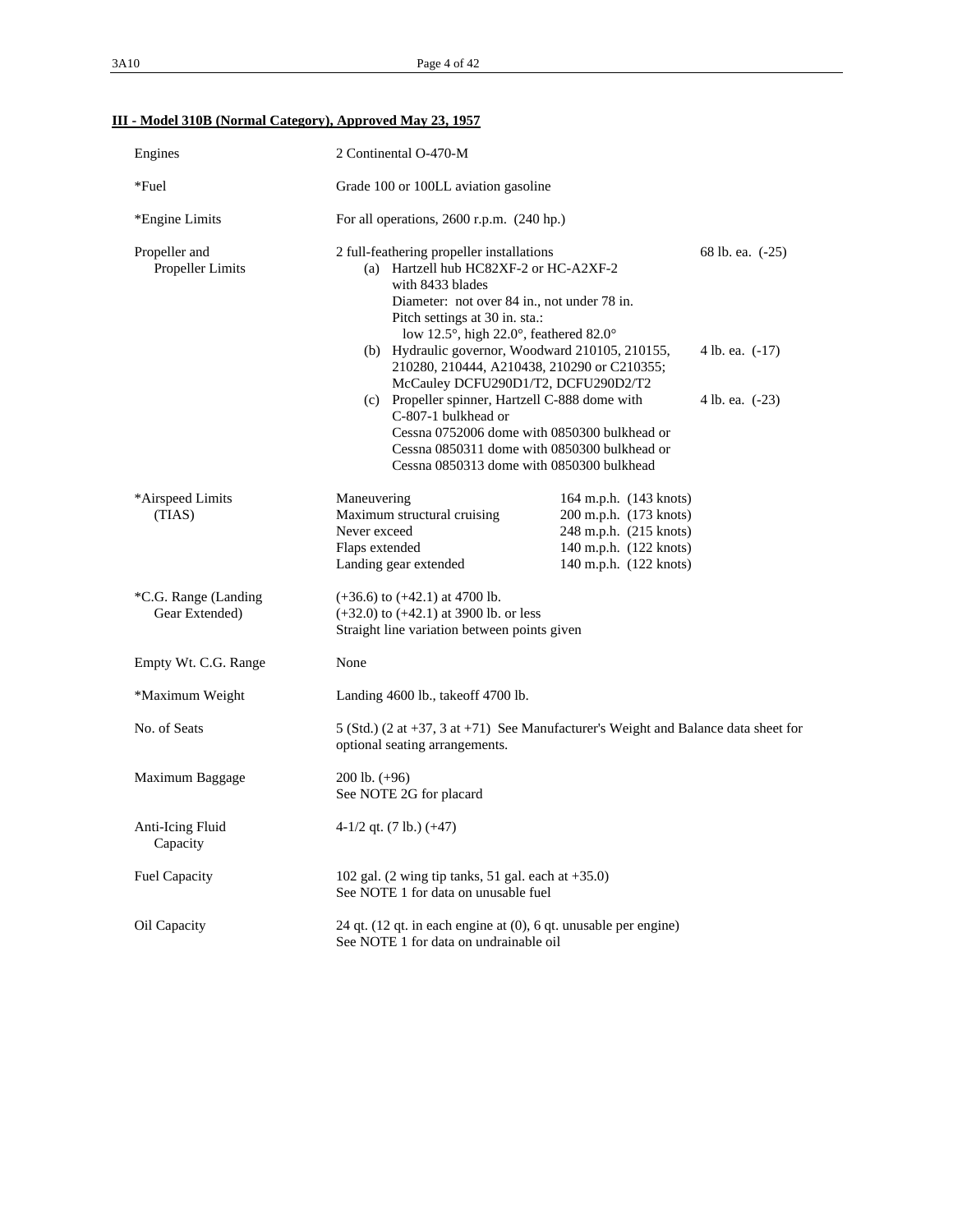# **III - Model 310B (Normal Category), Approved May 23, 1957**

| Engines                                  | 2 Continental O-470-M                                                                                                                                                                                                                                                                                                                                                                                   |                                                                                                                                             |                                                        |
|------------------------------------------|---------------------------------------------------------------------------------------------------------------------------------------------------------------------------------------------------------------------------------------------------------------------------------------------------------------------------------------------------------------------------------------------------------|---------------------------------------------------------------------------------------------------------------------------------------------|--------------------------------------------------------|
| $*$ Fuel                                 | Grade 100 or 100LL aviation gasoline                                                                                                                                                                                                                                                                                                                                                                    |                                                                                                                                             |                                                        |
| *Engine Limits                           | For all operations, $2600$ r.p.m. $(240$ hp.)                                                                                                                                                                                                                                                                                                                                                           |                                                                                                                                             |                                                        |
| Propeller and<br><b>Propeller Limits</b> | 2 full-feathering propeller installations<br>(a) Hartzell hub HC82XF-2 or HC-A2XF-2<br>with 8433 blades<br>Diameter: not over 84 in., not under 78 in.<br>Pitch settings at 30 in. sta.:<br>low 12.5°, high 22.0°, feathered 82.0°<br>(b) Hydraulic governor, Woodward 210105, 210155,<br>McCauley DCFU290D1/T2, DCFU290D2/T2<br>(c) Propeller spinner, Hartzell C-888 dome with<br>C-807-1 bulkhead or | 210280, 210444, A210438, 210290 or C210355;<br>Cessna 0752006 dome with 0850300 bulkhead or<br>Cessna 0850311 dome with 0850300 bulkhead or | 68 lb. ea. (-25)<br>4 lb. ea. (-17)<br>4 lb. ea. (-23) |
|                                          | Cessna 0850313 dome with 0850300 bulkhead                                                                                                                                                                                                                                                                                                                                                               |                                                                                                                                             |                                                        |
| *Airspeed Limits<br>(TIAS)               | Maneuvering<br>Maximum structural cruising<br>Never exceed<br>Flaps extended<br>Landing gear extended                                                                                                                                                                                                                                                                                                   | 164 m.p.h. (143 knots)<br>200 m.p.h. (173 knots)<br>248 m.p.h. (215 knots)<br>140 m.p.h. (122 knots)<br>140 m.p.h. (122 knots)              |                                                        |
| *C.G. Range (Landing<br>Gear Extended)   | $(+36.6)$ to $(+42.1)$ at 4700 lb.<br>$(+32.0)$ to $(+42.1)$ at 3900 lb. or less<br>Straight line variation between points given                                                                                                                                                                                                                                                                        |                                                                                                                                             |                                                        |
| Empty Wt. C.G. Range                     | None                                                                                                                                                                                                                                                                                                                                                                                                    |                                                                                                                                             |                                                        |
| *Maximum Weight                          | Landing 4600 lb., take of 4700 lb.                                                                                                                                                                                                                                                                                                                                                                      |                                                                                                                                             |                                                        |
| No. of Seats                             | 5 (Std.) (2 at $+37$ , 3 at $+71$ ) See Manufacturer's Weight and Balance data sheet for<br>optional seating arrangements.                                                                                                                                                                                                                                                                              |                                                                                                                                             |                                                        |
| Maximum Baggage                          | $200$ lb. $(+96)$<br>See NOTE 2G for placard                                                                                                                                                                                                                                                                                                                                                            |                                                                                                                                             |                                                        |
| Anti-Icing Fluid<br>Capacity             | $4-1/2$ qt. (7 lb.) (+47)                                                                                                                                                                                                                                                                                                                                                                               |                                                                                                                                             |                                                        |
| Fuel Capacity                            | 102 gal. $(2 \text{ wing tip tanks}, 51 \text{ gal. each at } +35.0)$<br>See NOTE 1 for data on unusable fuel                                                                                                                                                                                                                                                                                           |                                                                                                                                             |                                                        |
| Oil Capacity                             | 24 qt. $(12 \text{ qt. in each engine at } (0), 6 \text{ qt. unusable per engine})$<br>See NOTE 1 for data on undrainable oil                                                                                                                                                                                                                                                                           |                                                                                                                                             |                                                        |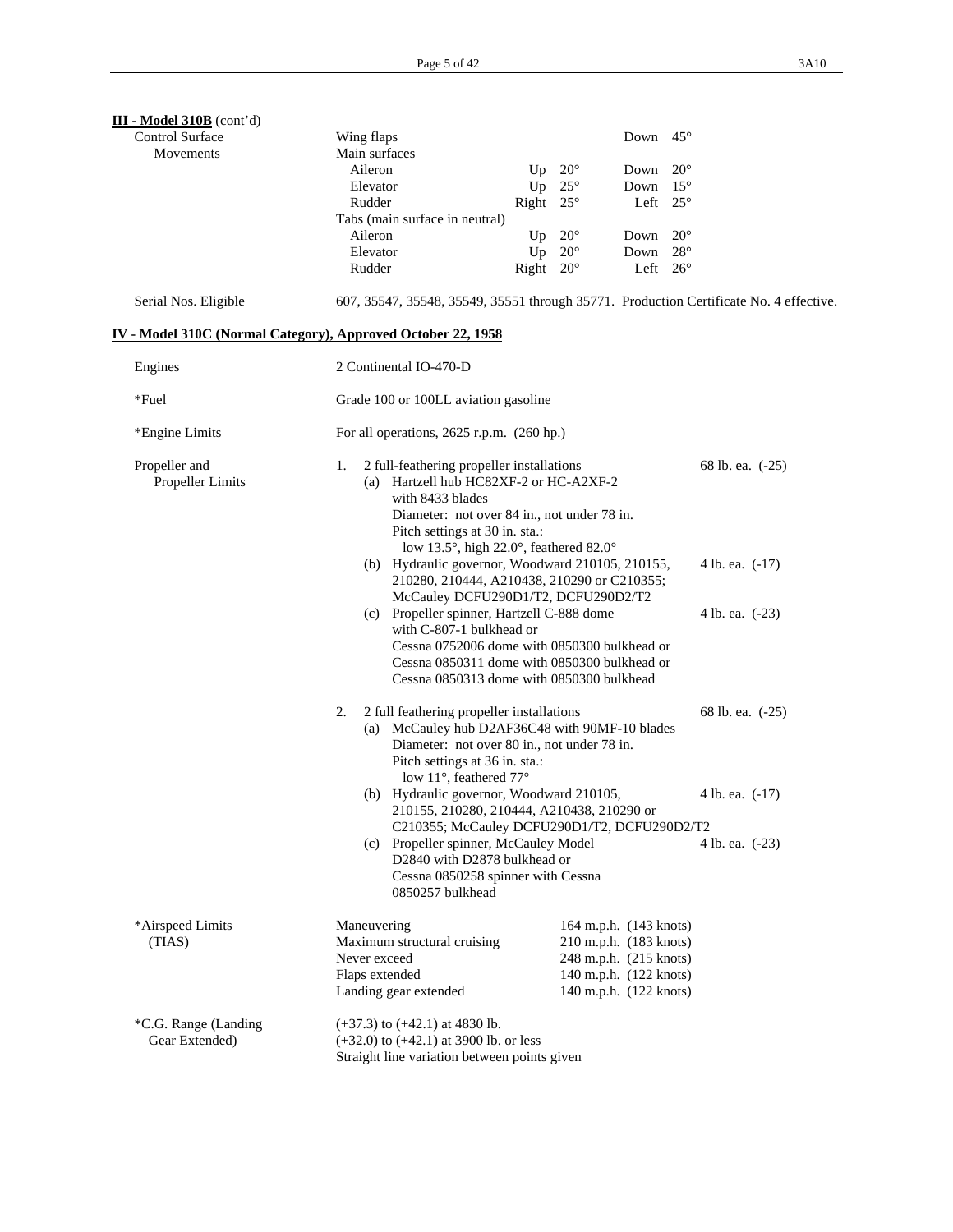| III - Model 310B (cont'd)                                    |                                                                                                                                                                                                                     |                                                                                                             |                        |                  |  |  |  |
|--------------------------------------------------------------|---------------------------------------------------------------------------------------------------------------------------------------------------------------------------------------------------------------------|-------------------------------------------------------------------------------------------------------------|------------------------|------------------|--|--|--|
| <b>Control Surface</b>                                       | Wing flaps                                                                                                                                                                                                          |                                                                                                             | Down                   | $45^{\circ}$     |  |  |  |
| Movements                                                    | Main surfaces                                                                                                                                                                                                       |                                                                                                             |                        |                  |  |  |  |
|                                                              | Aileron                                                                                                                                                                                                             | $20^{\circ}$<br>Up                                                                                          | Down                   | $20^{\circ}$     |  |  |  |
|                                                              | Elevator                                                                                                                                                                                                            | Up<br>$25^{\circ}$                                                                                          | Down                   | $15^{\circ}$     |  |  |  |
|                                                              | Rudder                                                                                                                                                                                                              | Right<br>$25^{\circ}$                                                                                       | Left $25^\circ$        |                  |  |  |  |
|                                                              | Tabs (main surface in neutral)<br>Aileron                                                                                                                                                                           | $20^{\circ}$<br>Up                                                                                          | Down                   | $20^{\circ}$     |  |  |  |
|                                                              | Elevator                                                                                                                                                                                                            | Up<br>$20^{\circ}$                                                                                          | Down                   | $28^{\circ}$     |  |  |  |
|                                                              | Rudder                                                                                                                                                                                                              | Right $20^\circ$                                                                                            | Left $26^\circ$        |                  |  |  |  |
|                                                              |                                                                                                                                                                                                                     |                                                                                                             |                        |                  |  |  |  |
| Serial Nos. Eligible                                         | 607, 35547, 35548, 35549, 35551 through 35771. Production Certificate No. 4 effective.                                                                                                                              |                                                                                                             |                        |                  |  |  |  |
| IV - Model 310C (Normal Category), Approved October 22, 1958 |                                                                                                                                                                                                                     |                                                                                                             |                        |                  |  |  |  |
| Engines                                                      | 2 Continental IO-470-D                                                                                                                                                                                              |                                                                                                             |                        |                  |  |  |  |
| *Fuel                                                        | Grade 100 or 100LL aviation gasoline                                                                                                                                                                                |                                                                                                             |                        |                  |  |  |  |
| *Engine Limits                                               | For all operations, $2625$ r.p.m. $(260$ hp.)                                                                                                                                                                       |                                                                                                             |                        |                  |  |  |  |
| Propeller and<br>Propeller Limits                            | 2 full-feathering propeller installations<br>1.<br>(a) Hartzell hub HC82XF-2 or HC-A2XF-2<br>with 8433 blades<br>Diameter: not over 84 in., not under 78 in.<br>Pitch settings at 30 in. sta.:                      | low 13.5°, high 22.0°, feathered 82.0°                                                                      |                        | 68 lb. ea. (-25) |  |  |  |
|                                                              | (b) Hydraulic governor, Woodward 210105, 210155,<br>210280, 210444, A210438, 210290 or C210355;<br>McCauley DCFU290D1/T2, DCFU290D2/T2                                                                              | 4 lb. ea. (-17)                                                                                             |                        |                  |  |  |  |
|                                                              | (c) Propeller spinner, Hartzell C-888 dome<br>with C-807-1 bulkhead or<br>Cessna 0752006 dome with 0850300 bulkhead or<br>Cessna 0850311 dome with 0850300 bulkhead or<br>Cessna 0850313 dome with 0850300 bulkhead | 4 lb. ea. (-23)                                                                                             |                        |                  |  |  |  |
|                                                              | 2 full feathering propeller installations<br>2.<br>(a) McCauley hub D2AF36C48 with 90MF-10 blades<br>Diameter: not over 80 in., not under 78 in.<br>Pitch settings at 36 in. sta.:<br>low 11°, feathered 77°        |                                                                                                             | 68 lb. ea. (-25)       |                  |  |  |  |
|                                                              |                                                                                                                                                                                                                     | (b) Hydraulic governor, Woodward 210105,<br>4 lb. ea. $(-17)$<br>210155, 210280, 210444, A210438, 210290 or |                        |                  |  |  |  |
|                                                              | C210355; McCauley DCFU290D1/T2, DCFU290D2/T2<br>(c) Propeller spinner, McCauley Model                                                                                                                               |                                                                                                             |                        |                  |  |  |  |
|                                                              | D2840 with D2878 bulkhead or<br>Cessna 0850258 spinner with Cessna<br>0850257 bulkhead                                                                                                                              |                                                                                                             |                        | 4 lb. ea. (-23)  |  |  |  |
| *Airspeed Limits                                             | Maneuvering                                                                                                                                                                                                         |                                                                                                             | 164 m.p.h. (143 knots) |                  |  |  |  |
| (TIAS)                                                       | Maximum structural cruising                                                                                                                                                                                         |                                                                                                             | 210 m.p.h. (183 knots) |                  |  |  |  |
|                                                              | Never exceed                                                                                                                                                                                                        |                                                                                                             | 248 m.p.h. (215 knots) |                  |  |  |  |
|                                                              | Flaps extended                                                                                                                                                                                                      |                                                                                                             | 140 m.p.h. (122 knots) |                  |  |  |  |
|                                                              | Landing gear extended                                                                                                                                                                                               |                                                                                                             | 140 m.p.h. (122 knots) |                  |  |  |  |
| *C.G. Range (Landing<br>Gear Extended)                       | $(+37.3)$ to $(+42.1)$ at 4830 lb.<br>$(+32.0)$ to $(+42.1)$ at 3900 lb. or less<br>Straight line variation between points given                                                                                    |                                                                                                             |                        |                  |  |  |  |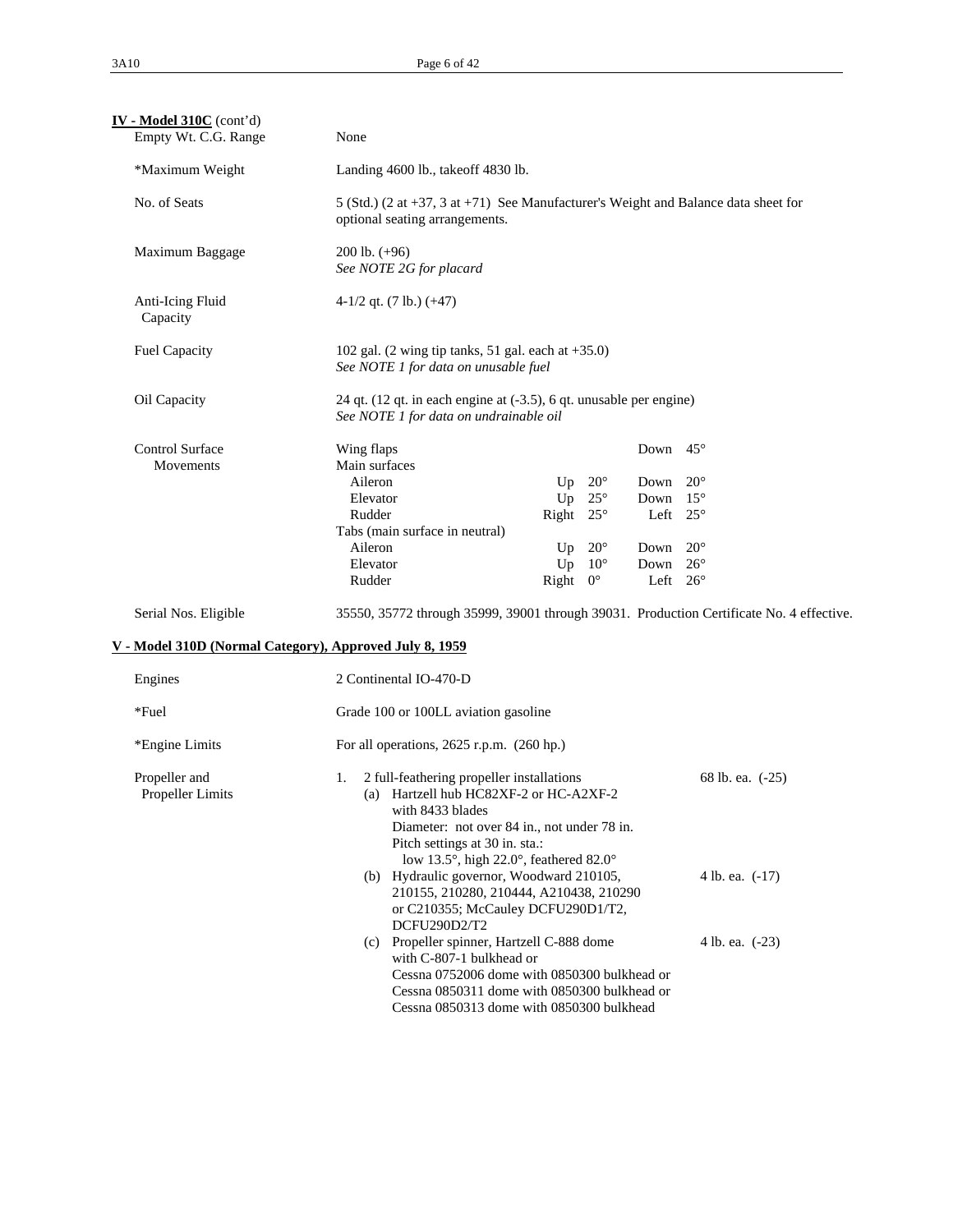| $IV - Model 310C$ (cont'd)<br>Empty Wt. C.G. Range      | None                                                                                                                                                                                                                |                                                                                                                             |                                                                                           |                                              |  |  |  |  |
|---------------------------------------------------------|---------------------------------------------------------------------------------------------------------------------------------------------------------------------------------------------------------------------|-----------------------------------------------------------------------------------------------------------------------------|-------------------------------------------------------------------------------------------|----------------------------------------------|--|--|--|--|
| *Maximum Weight                                         | Landing 4600 lb., takeoff 4830 lb.                                                                                                                                                                                  |                                                                                                                             |                                                                                           |                                              |  |  |  |  |
| No. of Seats                                            | optional seating arrangements.                                                                                                                                                                                      | 5 (Std.) (2 at $+37$ , 3 at $+71$ ) See Manufacturer's Weight and Balance data sheet for                                    |                                                                                           |                                              |  |  |  |  |
| Maximum Baggage                                         | $200$ lb. $(+96)$<br>See NOTE 2G for placard                                                                                                                                                                        |                                                                                                                             |                                                                                           |                                              |  |  |  |  |
| Anti-Icing Fluid<br>Capacity                            | $4-1/2$ qt. (7 lb.) (+47)                                                                                                                                                                                           |                                                                                                                             |                                                                                           |                                              |  |  |  |  |
| Fuel Capacity                                           |                                                                                                                                                                                                                     | 102 gal. $(2 \text{ wing tip tanks}, 51 \text{ gal. each at } +35.0)$<br>See NOTE 1 for data on unusable fuel               |                                                                                           |                                              |  |  |  |  |
| Oil Capacity                                            |                                                                                                                                                                                                                     | 24 qt. (12 qt. in each engine at (-3.5), 6 qt. unusable per engine)<br>See NOTE 1 for data on undrainable oil               |                                                                                           |                                              |  |  |  |  |
| <b>Control Surface</b><br>Movements                     | Wing flaps<br>Main surfaces<br>Aileron<br>Elevator<br>Rudder<br>Tabs (main surface in neutral)<br>Aileron<br>Elevator<br>Rudder                                                                                     | $20^{\circ}$<br>Up<br>$25^{\circ}$<br>Up<br>Right $25^\circ$<br>$20^{\circ}$<br>Up<br>Up<br>$10^{\circ}$<br>Right $0^\circ$ | Down $45^\circ$<br>Down<br>Down<br>Left $25^\circ$<br>Down<br>Down 26°<br>Left $26^\circ$ | $20^{\circ}$<br>$15^{\circ}$<br>$20^{\circ}$ |  |  |  |  |
| Serial Nos. Eligible                                    | 35550, 35772 through 35999, 39001 through 39031. Production Certificate No. 4 effective.                                                                                                                            |                                                                                                                             |                                                                                           |                                              |  |  |  |  |
| V - Model 310D (Normal Category), Approved July 8, 1959 |                                                                                                                                                                                                                     |                                                                                                                             |                                                                                           |                                              |  |  |  |  |
| Engines                                                 | 2 Continental IO-470-D                                                                                                                                                                                              |                                                                                                                             |                                                                                           |                                              |  |  |  |  |
| *Fuel                                                   | Grade 100 or 100LL aviation gasoline                                                                                                                                                                                |                                                                                                                             |                                                                                           |                                              |  |  |  |  |
| *Engine Limits                                          | For all operations, $2625$ r.p.m. $(260$ hp.)                                                                                                                                                                       |                                                                                                                             |                                                                                           |                                              |  |  |  |  |
| Propeller and<br>Propeller Limits                       | 2 full-feathering propeller installations<br>68 lb. ea. (-25)<br>1.<br>(a) Hartzell hub HC82XF-2 or HC-A2XF-2<br>with 8433 blades<br>Diameter: not over 84 in., not under 78 in.<br>Pitch settings at 30 in. sta.:  |                                                                                                                             |                                                                                           |                                              |  |  |  |  |
|                                                         | low 13.5°, high 22.0°, feathered 82.0°<br>(b) Hydraulic governor, Woodward 210105,<br>210155, 210280, 210444, A210438, 210290<br>or C210355; McCauley DCFU290D1/T2,<br>DCFU290D2/T2                                 |                                                                                                                             |                                                                                           | 4 lb. ea. (-17)                              |  |  |  |  |
|                                                         | (c) Propeller spinner, Hartzell C-888 dome<br>with C-807-1 bulkhead or<br>Cessna 0752006 dome with 0850300 bulkhead or<br>Cessna 0850311 dome with 0850300 bulkhead or<br>Cessna 0850313 dome with 0850300 bulkhead |                                                                                                                             |                                                                                           | 4 lb. ea. (-23)                              |  |  |  |  |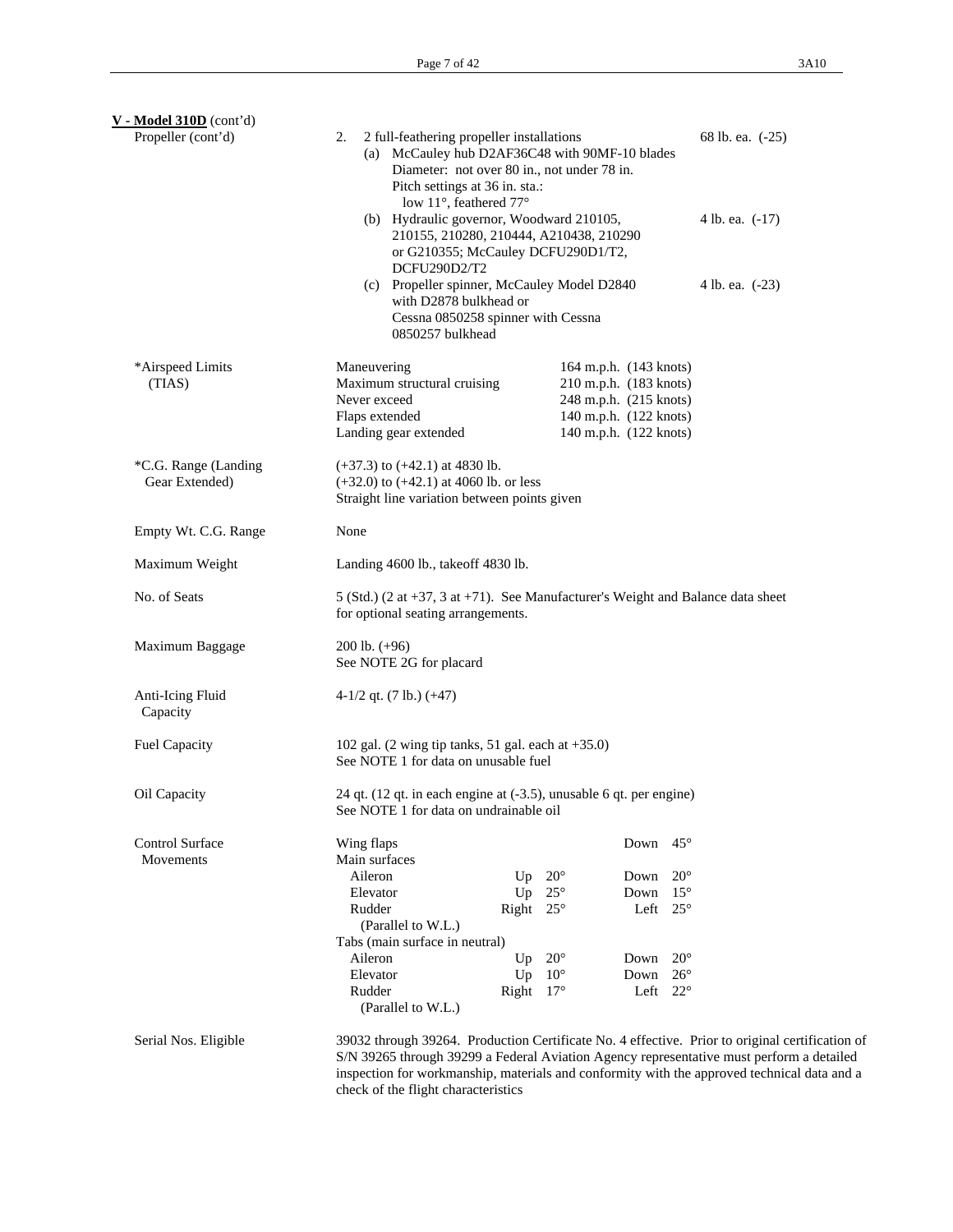| $V - Model 310D$ (cont'd)              |                                                                                                                                                                                                                                                                                                                                                                                  |                                                                                                                                |                                                                                                                                                                                                                                                                                            |  |  |  |
|----------------------------------------|----------------------------------------------------------------------------------------------------------------------------------------------------------------------------------------------------------------------------------------------------------------------------------------------------------------------------------------------------------------------------------|--------------------------------------------------------------------------------------------------------------------------------|--------------------------------------------------------------------------------------------------------------------------------------------------------------------------------------------------------------------------------------------------------------------------------------------|--|--|--|
| Propeller (cont'd)                     | 2 full-feathering propeller installations<br>68 lb. ea. (-25)<br>2.<br>(a) McCauley hub D2AF36C48 with 90MF-10 blades<br>Diameter: not over 80 in., not under 78 in.<br>Pitch settings at 36 in. sta.:<br>low 11°, feathered 77°<br>(b) Hydraulic governor, Woodward 210105,<br>4 lb. ea. (-17)<br>210155, 210280, 210444, A210438, 210290<br>or G210355; McCauley DCFU290D1/T2, |                                                                                                                                |                                                                                                                                                                                                                                                                                            |  |  |  |
|                                        | DCFU290D2/T2<br>(c) Propeller spinner, McCauley Model D2840<br>with D2878 bulkhead or<br>Cessna 0850258 spinner with Cessna<br>0850257 bulkhead                                                                                                                                                                                                                                  |                                                                                                                                | 4 lb. ea. (-23)                                                                                                                                                                                                                                                                            |  |  |  |
| *Airspeed Limits<br>(TIAS)             | Maneuvering<br>Maximum structural cruising<br>Never exceed<br>Flaps extended<br>Landing gear extended                                                                                                                                                                                                                                                                            | 164 m.p.h. (143 knots)<br>210 m.p.h. (183 knots)<br>248 m.p.h. (215 knots)<br>140 m.p.h. (122 knots)<br>140 m.p.h. (122 knots) |                                                                                                                                                                                                                                                                                            |  |  |  |
| *C.G. Range (Landing<br>Gear Extended) | $(+37.3)$ to $(+42.1)$ at 4830 lb.<br>$(+32.0)$ to $(+42.1)$ at 4060 lb. or less<br>Straight line variation between points given                                                                                                                                                                                                                                                 |                                                                                                                                |                                                                                                                                                                                                                                                                                            |  |  |  |
| Empty Wt. C.G. Range                   | None                                                                                                                                                                                                                                                                                                                                                                             |                                                                                                                                |                                                                                                                                                                                                                                                                                            |  |  |  |
| Maximum Weight                         | Landing 4600 lb., takeoff 4830 lb.                                                                                                                                                                                                                                                                                                                                               |                                                                                                                                |                                                                                                                                                                                                                                                                                            |  |  |  |
| No. of Seats                           | 5 (Std.) (2 at +37, 3 at +71). See Manufacturer's Weight and Balance data sheet<br>for optional seating arrangements.                                                                                                                                                                                                                                                            |                                                                                                                                |                                                                                                                                                                                                                                                                                            |  |  |  |
| Maximum Baggage                        | $200$ lb. $(+96)$<br>See NOTE 2G for placard                                                                                                                                                                                                                                                                                                                                     |                                                                                                                                |                                                                                                                                                                                                                                                                                            |  |  |  |
| Anti-Icing Fluid<br>Capacity           | $4-1/2$ qt. (7 lb.) (+47)                                                                                                                                                                                                                                                                                                                                                        |                                                                                                                                |                                                                                                                                                                                                                                                                                            |  |  |  |
| <b>Fuel Capacity</b>                   | 102 gal. $(2 \text{ wing tip tanks}, 51 \text{ gal. each at } +35.0)$<br>See NOTE 1 for data on unusable fuel                                                                                                                                                                                                                                                                    |                                                                                                                                |                                                                                                                                                                                                                                                                                            |  |  |  |
| Oil Capacity                           | 24 qt. (12 qt. in each engine at (-3.5), unusable 6 qt. per engine)<br>See NOTE 1 for data on undrainable oil                                                                                                                                                                                                                                                                    |                                                                                                                                |                                                                                                                                                                                                                                                                                            |  |  |  |
| <b>Control Surface</b><br>Movements    | Wing flaps<br>Main surfaces                                                                                                                                                                                                                                                                                                                                                      | Down                                                                                                                           | $45^{\circ}$                                                                                                                                                                                                                                                                               |  |  |  |
|                                        | Aileron                                                                                                                                                                                                                                                                                                                                                                          | $20^{\circ}$<br>Up<br>Down                                                                                                     | $20^{\circ}$                                                                                                                                                                                                                                                                               |  |  |  |
|                                        | Elevator                                                                                                                                                                                                                                                                                                                                                                         | $25^{\circ}$<br>Up<br>Down                                                                                                     | $15^{\circ}$                                                                                                                                                                                                                                                                               |  |  |  |
|                                        | Rudder                                                                                                                                                                                                                                                                                                                                                                           | $25^{\circ}$<br>Right<br>Left                                                                                                  | $25^{\circ}$                                                                                                                                                                                                                                                                               |  |  |  |
|                                        | (Parallel to W.L.)                                                                                                                                                                                                                                                                                                                                                               |                                                                                                                                |                                                                                                                                                                                                                                                                                            |  |  |  |
|                                        | Tabs (main surface in neutral)                                                                                                                                                                                                                                                                                                                                                   |                                                                                                                                |                                                                                                                                                                                                                                                                                            |  |  |  |
|                                        | Aileron                                                                                                                                                                                                                                                                                                                                                                          | $20^{\circ}$<br>Up<br>Down                                                                                                     | $20^{\circ}$                                                                                                                                                                                                                                                                               |  |  |  |
|                                        | Elevator                                                                                                                                                                                                                                                                                                                                                                         | $10^{\circ}$<br>Down<br>Up                                                                                                     | $26^{\circ}$                                                                                                                                                                                                                                                                               |  |  |  |
|                                        | Rudder<br>(Parallel to W.L.)                                                                                                                                                                                                                                                                                                                                                     | Right<br>$17^{\circ}$<br>Left                                                                                                  | $22^{\circ}$                                                                                                                                                                                                                                                                               |  |  |  |
| Serial Nos. Eligible                   |                                                                                                                                                                                                                                                                                                                                                                                  |                                                                                                                                | 39032 through 39264. Production Certificate No. 4 effective. Prior to original certification of<br>S/N 39265 through 39299 a Federal Aviation Agency representative must perform a detailed<br>inspection for workmanship, materials and conformity with the approved technical data and a |  |  |  |

check of the flight characteristics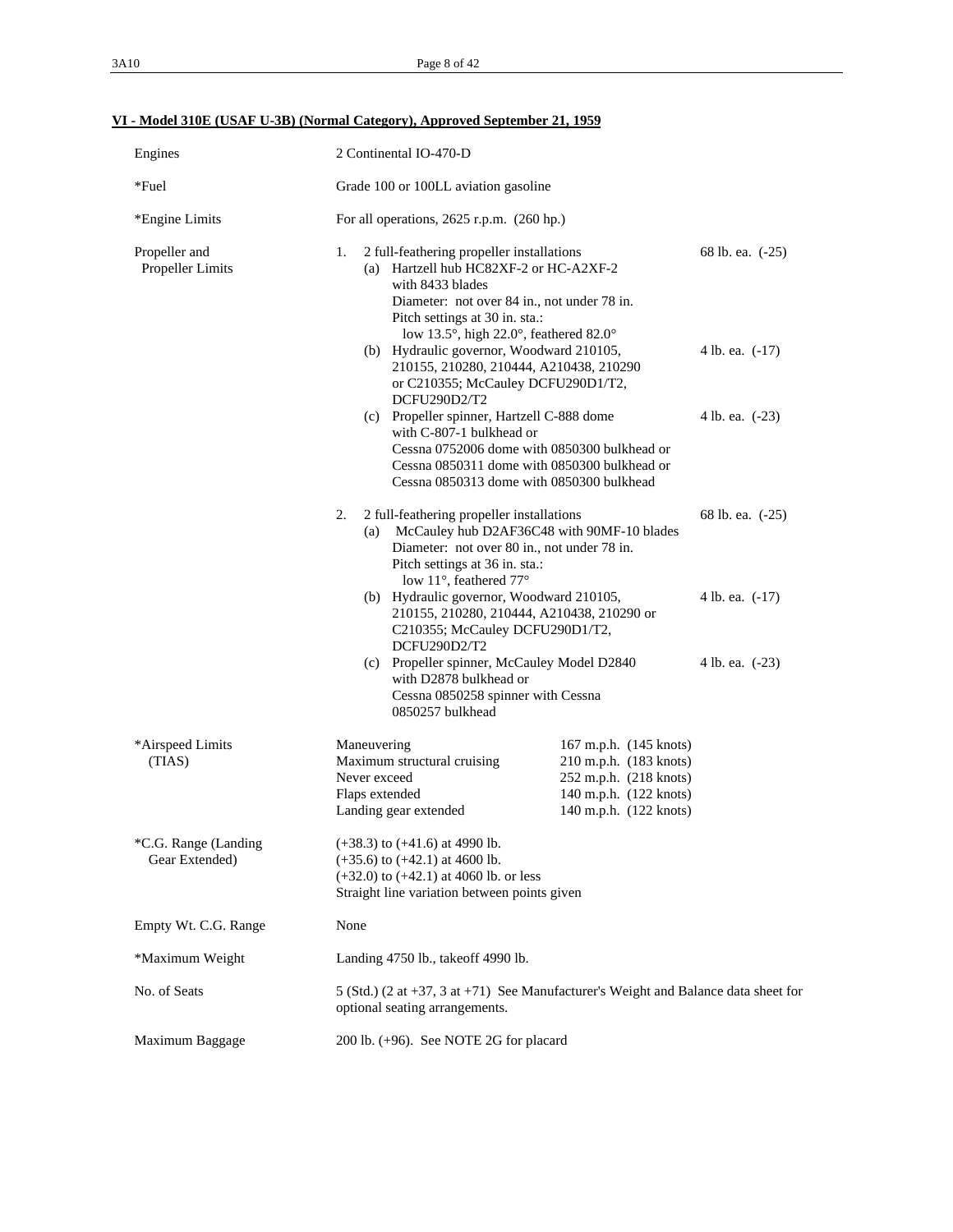# **VI - Model 310E (USAF U-3B) (Normal Category), Approved September 21, 1959**

| Engines                                | 2 Continental IO-470-D                                                                                                                                                                                                                                                                                                                                                |                                                                                                                                |                 |  |  |
|----------------------------------------|-----------------------------------------------------------------------------------------------------------------------------------------------------------------------------------------------------------------------------------------------------------------------------------------------------------------------------------------------------------------------|--------------------------------------------------------------------------------------------------------------------------------|-----------------|--|--|
| $*$ Fuel                               |                                                                                                                                                                                                                                                                                                                                                                       | Grade 100 or 100LL aviation gasoline                                                                                           |                 |  |  |
| *Engine Limits                         | For all operations, $2625$ r.p.m. $(260$ hp.)                                                                                                                                                                                                                                                                                                                         |                                                                                                                                |                 |  |  |
| Propeller and<br>Propeller Limits      | 2 full-feathering propeller installations<br>1.<br>(a) Hartzell hub HC82XF-2 or HC-A2XF-2<br>with 8433 blades<br>Diameter: not over 84 in., not under 78 in.<br>Pitch settings at 30 in. sta.:<br>low 13.5°, high 22.0°, feathered 82.0°<br>(b) Hydraulic governor, Woodward 210105,<br>210155, 210280, 210444, A210438, 210290<br>or C210355; McCauley DCFU290D1/T2, | 68 lb. ea. (-25)<br>4 lb. ea. (-17)                                                                                            |                 |  |  |
|                                        | DCFU290D2/T2<br>(c) Propeller spinner, Hartzell C-888 dome<br>with C-807-1 bulkhead or<br>Cessna 0752006 dome with 0850300 bulkhead or<br>Cessna 0850311 dome with 0850300 bulkhead or<br>Cessna 0850313 dome with 0850300 bulkhead                                                                                                                                   |                                                                                                                                | 4 lb. ea. (-23) |  |  |
|                                        | 2.<br>2 full-feathering propeller installations<br>68 lb. ea. (-25)<br>(a) McCauley hub D2AF36C48 with 90MF-10 blades<br>Diameter: not over 80 in., not under 78 in.<br>Pitch settings at 36 in. sta.:<br>low 11°, feathered 77°                                                                                                                                      |                                                                                                                                |                 |  |  |
|                                        | (b) Hydraulic governor, Woodward 210105,<br>210155, 210280, 210444, A210438, 210290 or<br>C210355; McCauley DCFU290D1/T2,<br>DCFU290D2/T2                                                                                                                                                                                                                             | 4 lb. ea. (-17)                                                                                                                |                 |  |  |
|                                        | (c) Propeller spinner, McCauley Model D2840<br>with D2878 bulkhead or<br>Cessna 0850258 spinner with Cessna<br>0850257 bulkhead                                                                                                                                                                                                                                       |                                                                                                                                | 4 lb. ea. (-23) |  |  |
| *Airspeed Limits<br>(TIAS)             | Maneuvering<br>Maximum structural cruising<br>Never exceed<br>Flaps extended<br>Landing gear extended                                                                                                                                                                                                                                                                 | 167 m.p.h. (145 knots)<br>210 m.p.h. (183 knots)<br>252 m.p.h. (218 knots)<br>140 m.p.h. (122 knots)<br>140 m.p.h. (122 knots) |                 |  |  |
| *C.G. Range (Landing<br>Gear Extended) | $(+38.3)$ to $(+41.6)$ at 4990 lb.<br>$(+35.6)$ to $(+42.1)$ at 4600 lb.<br>$(+32.0)$ to $(+42.1)$ at 4060 lb. or less<br>Straight line variation between points given                                                                                                                                                                                                |                                                                                                                                |                 |  |  |
| Empty Wt. C.G. Range                   | None                                                                                                                                                                                                                                                                                                                                                                  |                                                                                                                                |                 |  |  |
| *Maximum Weight                        | Landing 4750 lb., takeoff 4990 lb.                                                                                                                                                                                                                                                                                                                                    |                                                                                                                                |                 |  |  |
| No. of Seats                           | 5 (Std.) (2 at $+37$ , 3 at $+71$ ) See Manufacturer's Weight and Balance data sheet for<br>optional seating arrangements.                                                                                                                                                                                                                                            |                                                                                                                                |                 |  |  |
| Maximum Baggage                        | 200 lb. $(+96)$ . See NOTE 2G for placard                                                                                                                                                                                                                                                                                                                             |                                                                                                                                |                 |  |  |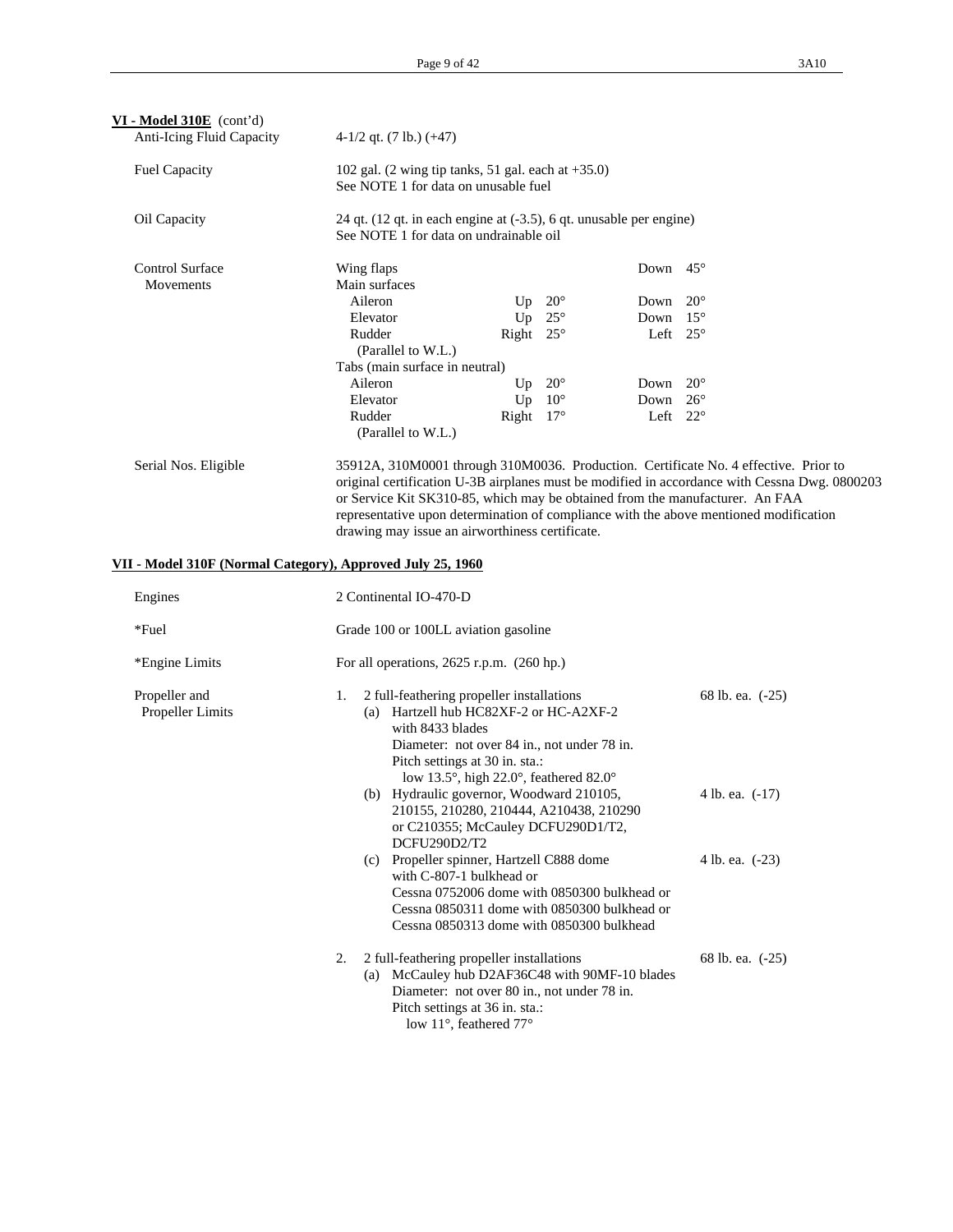| $VI - Model 310E$ (cont'd)<br><b>Anti-Icing Fluid Capacity</b>                     | $4-1/2$ qt. $(7 \text{ lb.}) (+47)$                                        |                                                                                                                                                                                                                    |                                                             |                                                                                                                                                                                                                                                                                |
|------------------------------------------------------------------------------------|----------------------------------------------------------------------------|--------------------------------------------------------------------------------------------------------------------------------------------------------------------------------------------------------------------|-------------------------------------------------------------|--------------------------------------------------------------------------------------------------------------------------------------------------------------------------------------------------------------------------------------------------------------------------------|
|                                                                                    |                                                                            |                                                                                                                                                                                                                    |                                                             |                                                                                                                                                                                                                                                                                |
| <b>Fuel Capacity</b>                                                               | See NOTE 1 for data on unusable fuel                                       | 102 gal. (2 wing tip tanks, 51 gal. each at $+35.0$ )                                                                                                                                                              |                                                             |                                                                                                                                                                                                                                                                                |
| Oil Capacity                                                                       |                                                                            | 24 qt. (12 qt. in each engine at (-3.5), 6 qt. unusable per engine)<br>See NOTE 1 for data on undrainable oil                                                                                                      |                                                             |                                                                                                                                                                                                                                                                                |
| <b>Control Surface</b><br>Movements                                                | Wing flaps<br>Main surfaces<br>Aileron                                     | $20^{\circ}$<br>Up                                                                                                                                                                                                 | Down $45^\circ$<br>Down                                     | $20^{\circ}$                                                                                                                                                                                                                                                                   |
|                                                                                    | Elevator<br>Rudder<br>(Parallel to W.L.)<br>Tabs (main surface in neutral) | Up<br>$25^{\circ}$<br>Right $25^\circ$                                                                                                                                                                             | Down $15^\circ$<br>Left $25^\circ$                          |                                                                                                                                                                                                                                                                                |
|                                                                                    | Aileron<br>Elevator<br>Rudder                                              | $20^{\circ}$<br>Up<br>Up<br>$10^{\circ}$<br>Right $17^\circ$                                                                                                                                                       | Down $20^{\circ}$<br>Down $26^{\circ}$<br>Left $22^{\circ}$ |                                                                                                                                                                                                                                                                                |
|                                                                                    | (Parallel to W.L.)                                                         |                                                                                                                                                                                                                    |                                                             |                                                                                                                                                                                                                                                                                |
| Serial Nos. Eligible<br>VII - Model 310F (Normal Category), Approved July 25, 1960 |                                                                            | or Service Kit SK310-85, which may be obtained from the manufacturer. An FAA<br>drawing may issue an airworthiness certificate.                                                                                    |                                                             | 35912A, 310M0001 through 310M0036. Production. Certificate No. 4 effective. Prior to<br>original certification U-3B airplanes must be modified in accordance with Cessna Dwg. 0800203<br>representative upon determination of compliance with the above mentioned modification |
| Engines                                                                            | 2 Continental IO-470-D                                                     |                                                                                                                                                                                                                    |                                                             |                                                                                                                                                                                                                                                                                |
| *Fuel                                                                              | Grade 100 or 100LL aviation gasoline                                       |                                                                                                                                                                                                                    |                                                             |                                                                                                                                                                                                                                                                                |
| *Engine Limits                                                                     |                                                                            | For all operations, $2625$ r.p.m. $(260$ hp.)                                                                                                                                                                      |                                                             |                                                                                                                                                                                                                                                                                |
| Propeller and<br>Propeller Limits                                                  | 1.<br>with 8433 blades                                                     | 2 full-feathering propeller installations<br>(a) Hartzell hub HC82XF-2 or HC-A2XF-2<br>Diameter: not over 84 in., not under 78 in.<br>Pitch settings at 30 in. sta.:<br>low 13.5°, high 22.0°, feathered 82.0°     |                                                             | 68 lb. ea. (-25)                                                                                                                                                                                                                                                               |
|                                                                                    | DCFU290D2/T2                                                               | (b) Hydraulic governor, Woodward 210105,<br>210155, 210280, 210444, A210438, 210290<br>or C210355; McCauley DCFU290D1/T2,                                                                                          |                                                             | 4 lb. ea. $(-17)$                                                                                                                                                                                                                                                              |
|                                                                                    |                                                                            | (c) Propeller spinner, Hartzell C888 dome<br>with C-807-1 bulkhead or<br>Cessna 0752006 dome with 0850300 bulkhead or<br>Cessna 0850311 dome with 0850300 bulkhead or<br>Cessna 0850313 dome with 0850300 bulkhead |                                                             | 4 lb. ea. (-23)                                                                                                                                                                                                                                                                |
|                                                                                    | 2.                                                                         | 2 full-feathering propeller installations<br>(a) McCauley hub D2AF36C48 with 90MF-10 blades<br>Diameter: not over 80 in., not under 78 in.<br>Pitch settings at 36 in. sta.:<br>low 11°, feathered 77°             |                                                             | 68 lb. ea. (-25)                                                                                                                                                                                                                                                               |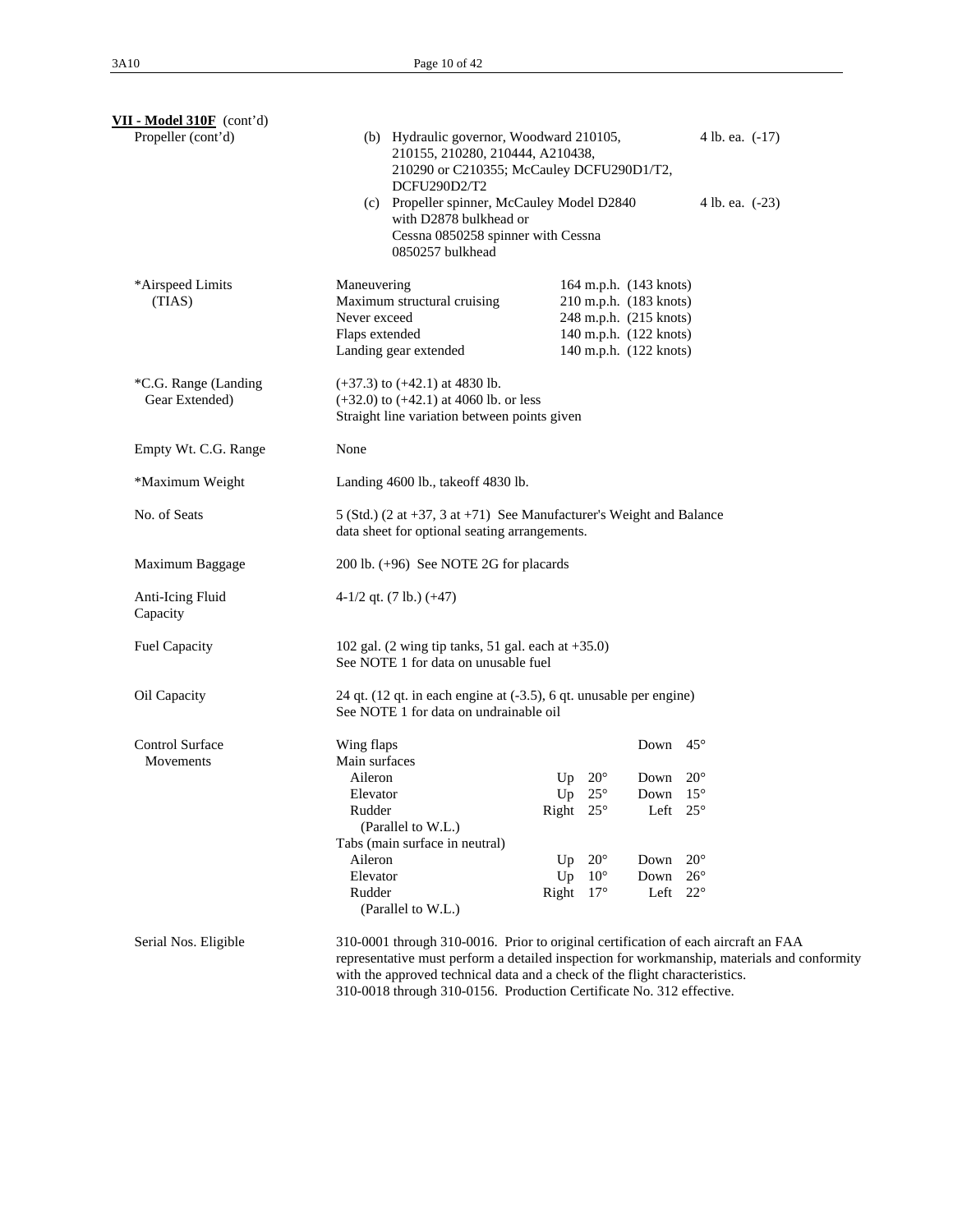| $VII$ - Model 310F (cont'd)            |                                                                                                                                                                                                                                                                                                                                          |                       |                                                                                                                                |                 |  |  |  |  |
|----------------------------------------|------------------------------------------------------------------------------------------------------------------------------------------------------------------------------------------------------------------------------------------------------------------------------------------------------------------------------------------|-----------------------|--------------------------------------------------------------------------------------------------------------------------------|-----------------|--|--|--|--|
| Propeller (cont'd)                     | (b) Hydraulic governor, Woodward 210105,<br>4 lb. ea. $(-17)$<br>210155, 210280, 210444, A210438,<br>210290 or C210355; McCauley DCFU290D1/T2,<br>DCFU290D2/T2                                                                                                                                                                           |                       |                                                                                                                                |                 |  |  |  |  |
|                                        | (c) Propeller spinner, McCauley Model D2840<br>with D2878 bulkhead or<br>Cessna 0850258 spinner with Cessna<br>0850257 bulkhead                                                                                                                                                                                                          |                       |                                                                                                                                | 4 lb. ea. (-23) |  |  |  |  |
| *Airspeed Limits<br>(TIAS)             | Maneuvering<br>Maximum structural cruising<br>Never exceed<br>Flaps extended<br>Landing gear extended                                                                                                                                                                                                                                    |                       | 164 m.p.h. (143 knots)<br>210 m.p.h. (183 knots)<br>248 m.p.h. (215 knots)<br>140 m.p.h. (122 knots)<br>140 m.p.h. (122 knots) |                 |  |  |  |  |
| *C.G. Range (Landing<br>Gear Extended) | $(+37.3)$ to $(+42.1)$ at 4830 lb.<br>$(+32.0)$ to $(+42.1)$ at 4060 lb. or less<br>Straight line variation between points given                                                                                                                                                                                                         |                       |                                                                                                                                |                 |  |  |  |  |
| Empty Wt. C.G. Range                   | None                                                                                                                                                                                                                                                                                                                                     |                       |                                                                                                                                |                 |  |  |  |  |
| *Maximum Weight                        | Landing 4600 lb., takeoff 4830 lb.                                                                                                                                                                                                                                                                                                       |                       |                                                                                                                                |                 |  |  |  |  |
| No. of Seats                           | 5 (Std.) (2 at +37, 3 at +71) See Manufacturer's Weight and Balance<br>data sheet for optional seating arrangements.                                                                                                                                                                                                                     |                       |                                                                                                                                |                 |  |  |  |  |
| Maximum Baggage                        | 200 lb. (+96) See NOTE 2G for placards                                                                                                                                                                                                                                                                                                   |                       |                                                                                                                                |                 |  |  |  |  |
| Anti-Icing Fluid<br>Capacity           | $4-1/2$ qt. (7 lb.) (+47)                                                                                                                                                                                                                                                                                                                |                       |                                                                                                                                |                 |  |  |  |  |
| Fuel Capacity                          | 102 gal. (2 wing tip tanks, 51 gal. each at $+35.0$ )<br>See NOTE 1 for data on unusable fuel                                                                                                                                                                                                                                            |                       |                                                                                                                                |                 |  |  |  |  |
| Oil Capacity                           | 24 qt. (12 qt. in each engine at (-3.5), 6 qt. unusable per engine)<br>See NOTE 1 for data on undrainable oil                                                                                                                                                                                                                            |                       |                                                                                                                                |                 |  |  |  |  |
| <b>Control Surface</b><br>Movements    | Wing flaps<br>Main surfaces                                                                                                                                                                                                                                                                                                              |                       | Down $45^\circ$                                                                                                                |                 |  |  |  |  |
|                                        | Aileron                                                                                                                                                                                                                                                                                                                                  | $20^{\circ}$<br>Up    | Down                                                                                                                           | $20^{\circ}$    |  |  |  |  |
|                                        | Elevator                                                                                                                                                                                                                                                                                                                                 | Up $25^\circ$         | Down $15^\circ$                                                                                                                |                 |  |  |  |  |
|                                        | Rudder<br>(Parallel to W.L.)                                                                                                                                                                                                                                                                                                             | Right $25^\circ$      | Left $25^{\circ}$                                                                                                              |                 |  |  |  |  |
|                                        | Tabs (main surface in neutral)                                                                                                                                                                                                                                                                                                           |                       |                                                                                                                                |                 |  |  |  |  |
|                                        | Aileron                                                                                                                                                                                                                                                                                                                                  | $20^{\circ}$<br>Up    | Down                                                                                                                           | $20^{\circ}$    |  |  |  |  |
|                                        | Elevator                                                                                                                                                                                                                                                                                                                                 | $10^{\circ}$<br>Up    | Down                                                                                                                           | $26^{\circ}$    |  |  |  |  |
|                                        | Rudder<br>(Parallel to W.L.)                                                                                                                                                                                                                                                                                                             | Right<br>$17^{\circ}$ | Left                                                                                                                           | $22^{\circ}$    |  |  |  |  |
| Serial Nos. Eligible                   | 310-0001 through 310-0016. Prior to original certification of each aircraft an FAA<br>representative must perform a detailed inspection for workmanship, materials and conformity<br>with the approved technical data and a check of the flight characteristics.<br>310-0018 through 310-0156. Production Certificate No. 312 effective. |                       |                                                                                                                                |                 |  |  |  |  |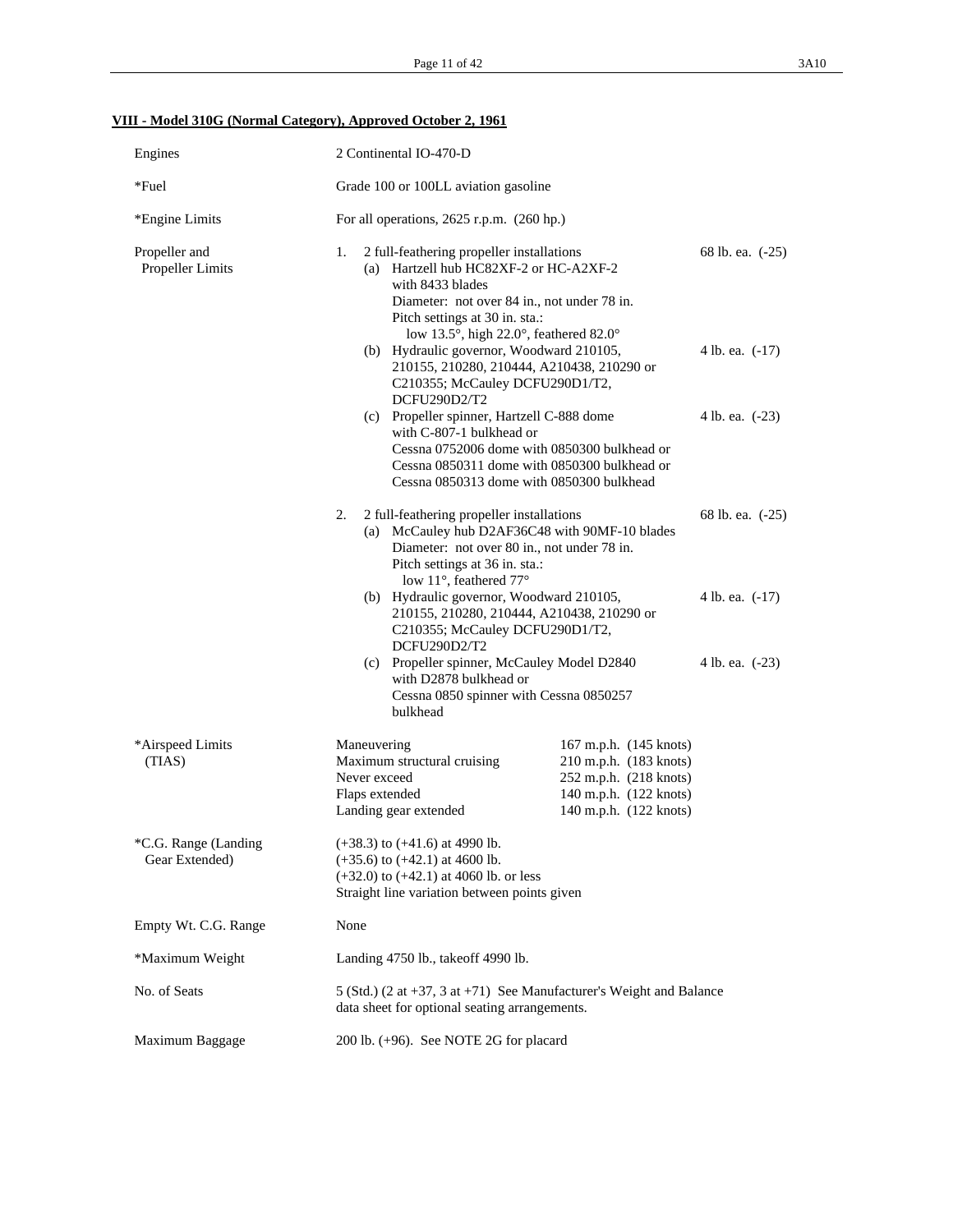# **VIII - Model 310G (Normal Category), Approved October 2, 1961**

| Engines                                | 2 Continental IO-470-D                                                                                                                                                                                                                  |                                                                                                                                                                                                                                                                                                           |                  |  |  |  |  |
|----------------------------------------|-----------------------------------------------------------------------------------------------------------------------------------------------------------------------------------------------------------------------------------------|-----------------------------------------------------------------------------------------------------------------------------------------------------------------------------------------------------------------------------------------------------------------------------------------------------------|------------------|--|--|--|--|
| $*$ Fuel                               |                                                                                                                                                                                                                                         | Grade 100 or 100LL aviation gasoline                                                                                                                                                                                                                                                                      |                  |  |  |  |  |
| *Engine Limits                         | For all operations, $2625$ r.p.m. $(260$ hp.)                                                                                                                                                                                           |                                                                                                                                                                                                                                                                                                           |                  |  |  |  |  |
| Propeller and<br>Propeller Limits      | 1.<br>with 8433 blades<br>Pitch settings at 30 in. sta.:                                                                                                                                                                                | 2 full-feathering propeller installations<br>(a) Hartzell hub HC82XF-2 or HC-A2XF-2<br>Diameter: not over 84 in., not under 78 in.<br>low 13.5°, high 22.0°, feathered 82.0°<br>(b) Hydraulic governor, Woodward 210105,<br>210155, 210280, 210444, A210438, 210290 or<br>C210355; McCauley DCFU290D1/T2, |                  |  |  |  |  |
|                                        | DCFU290D2/T2                                                                                                                                                                                                                            |                                                                                                                                                                                                                                                                                                           |                  |  |  |  |  |
|                                        | (c) Propeller spinner, Hartzell C-888 dome<br>with C-807-1 bulkhead or<br>Cessna 0752006 dome with 0850300 bulkhead or<br>Cessna 0850311 dome with 0850300 bulkhead or<br>Cessna 0850313 dome with 0850300 bulkhead                     | 4 lb. ea. (-23)                                                                                                                                                                                                                                                                                           |                  |  |  |  |  |
|                                        | 2 full-feathering propeller installations<br>2.<br>(a) McCauley hub D2AF36C48 with 90MF-10 blades<br>Diameter: not over 80 in., not under 78 in.<br>Pitch settings at 36 in. sta.:<br>low 11°, feathered 77°                            |                                                                                                                                                                                                                                                                                                           | 68 lb. ea. (-25) |  |  |  |  |
|                                        | (b) Hydraulic governor, Woodward 210105,<br>210155, 210280, 210444, A210438, 210290 or<br>C210355; McCauley DCFU290D1/T2,<br>DCFU290D2/T2                                                                                               |                                                                                                                                                                                                                                                                                                           | 4 lb. ea. (-17)  |  |  |  |  |
|                                        | (c) Propeller spinner, McCauley Model D2840<br>with D2878 bulkhead or<br>Cessna 0850 spinner with Cessna 0850257<br>bulkhead                                                                                                            |                                                                                                                                                                                                                                                                                                           | 4 lb. ea. (-23)  |  |  |  |  |
| *Airspeed Limits<br>(TIAS)             | Maneuvering<br>167 m.p.h. (145 knots)<br>Maximum structural cruising<br>210 m.p.h. (183 knots)<br>Never exceed<br>252 m.p.h. (218 knots)<br>140 m.p.h. (122 knots)<br>Flaps extended<br>Landing gear extended<br>140 m.p.h. (122 knots) |                                                                                                                                                                                                                                                                                                           |                  |  |  |  |  |
| *C.G. Range (Landing<br>Gear Extended) | $(+38.3)$ to $(+41.6)$ at 4990 lb.<br>$(+35.6)$ to $(+42.1)$ at 4600 lb.<br>$(+32.0)$ to $(+42.1)$ at 4060 lb. or less<br>Straight line variation between points given                                                                  |                                                                                                                                                                                                                                                                                                           |                  |  |  |  |  |
| Empty Wt. C.G. Range                   | None                                                                                                                                                                                                                                    |                                                                                                                                                                                                                                                                                                           |                  |  |  |  |  |
| *Maximum Weight                        | Landing 4750 lb., takeoff 4990 lb.                                                                                                                                                                                                      |                                                                                                                                                                                                                                                                                                           |                  |  |  |  |  |
| No. of Seats                           |                                                                                                                                                                                                                                         | 5 (Std.) (2 at +37, 3 at +71) See Manufacturer's Weight and Balance<br>data sheet for optional seating arrangements.                                                                                                                                                                                      |                  |  |  |  |  |
| Maximum Baggage                        |                                                                                                                                                                                                                                         | 200 lb. $(+96)$ . See NOTE 2G for placard                                                                                                                                                                                                                                                                 |                  |  |  |  |  |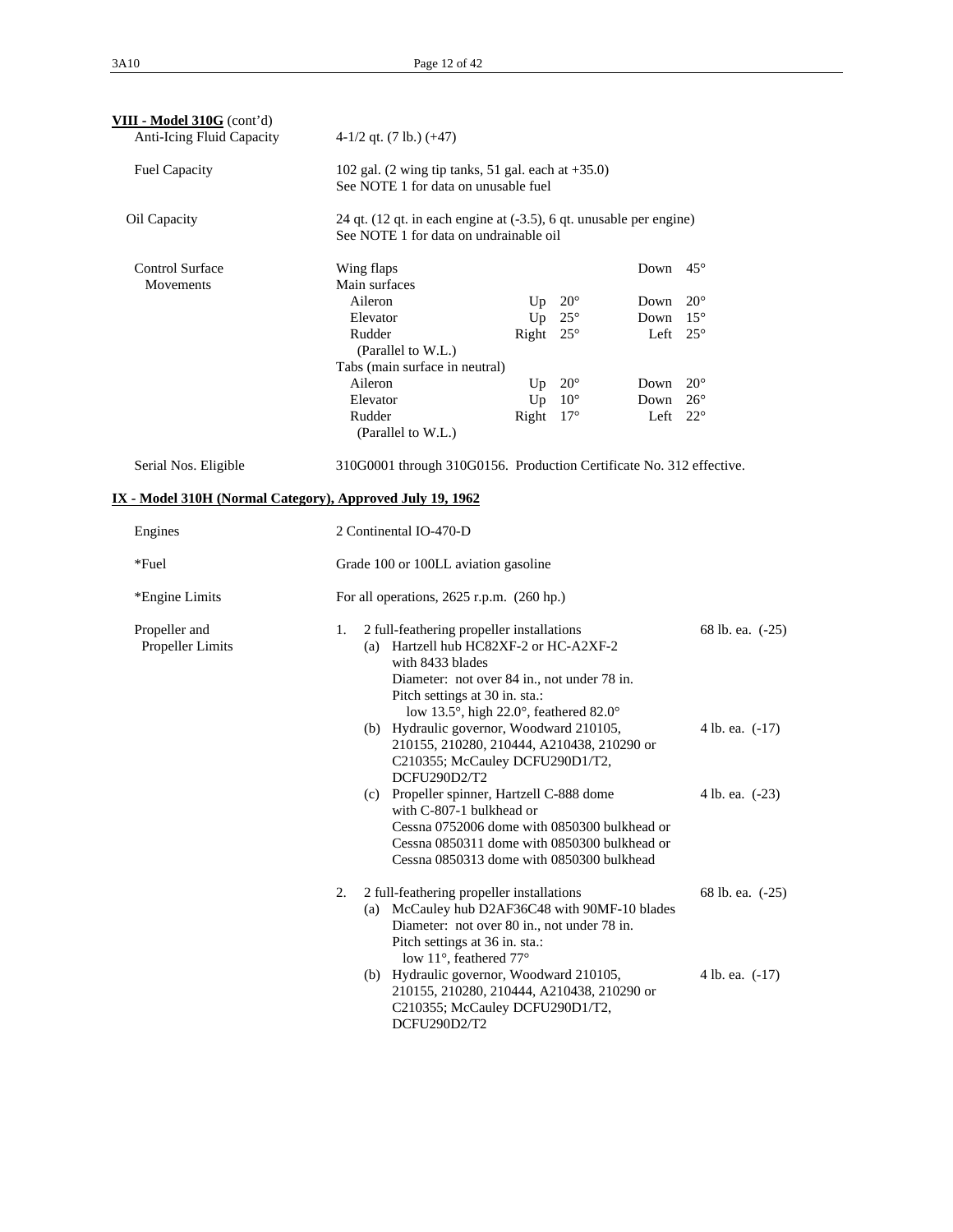| VIII - Model 310G (cont'd)                                |                                                                                                                                                                                                                                                                                                                                                                                                              |                 |                   |  |  |  |  |
|-----------------------------------------------------------|--------------------------------------------------------------------------------------------------------------------------------------------------------------------------------------------------------------------------------------------------------------------------------------------------------------------------------------------------------------------------------------------------------------|-----------------|-------------------|--|--|--|--|
| Anti-Icing Fluid Capacity                                 | $4-1/2$ qt. (7 lb.) ( $+47$ )                                                                                                                                                                                                                                                                                                                                                                                |                 |                   |  |  |  |  |
| <b>Fuel Capacity</b>                                      | 102 gal. $(2 \text{ wing tip tanks}, 51 \text{ gal. each at } +35.0)$<br>See NOTE 1 for data on unusable fuel                                                                                                                                                                                                                                                                                                |                 |                   |  |  |  |  |
| Oil Capacity                                              | 24 qt. (12 qt. in each engine at (-3.5), 6 qt. unusable per engine)<br>See NOTE 1 for data on undrainable oil                                                                                                                                                                                                                                                                                                |                 |                   |  |  |  |  |
| <b>Control Surface</b><br>Movements                       | Wing flaps<br>Main surfaces                                                                                                                                                                                                                                                                                                                                                                                  | Down $45^\circ$ |                   |  |  |  |  |
|                                                           | Aileron<br>Up $20^\circ$                                                                                                                                                                                                                                                                                                                                                                                     | Down            | $20^{\circ}$      |  |  |  |  |
|                                                           | $25^{\circ}$<br>Elevator<br>Up                                                                                                                                                                                                                                                                                                                                                                               | Down            | $15^{\circ}$      |  |  |  |  |
|                                                           | Rudder<br>Right $25^\circ$<br>(Parallel to W.L.)                                                                                                                                                                                                                                                                                                                                                             | Left $25^\circ$ |                   |  |  |  |  |
|                                                           | Tabs (main surface in neutral)                                                                                                                                                                                                                                                                                                                                                                               |                 |                   |  |  |  |  |
|                                                           | Aileron<br>Up $20^\circ$                                                                                                                                                                                                                                                                                                                                                                                     | Down            | $20^{\circ}$      |  |  |  |  |
|                                                           | Elevator<br>Up<br>$10^{\circ}$                                                                                                                                                                                                                                                                                                                                                                               | Down            | $26^{\circ}$      |  |  |  |  |
|                                                           | Right $17^\circ$<br>Rudder<br>(Parallel to W.L.)                                                                                                                                                                                                                                                                                                                                                             |                 | Left $22^{\circ}$ |  |  |  |  |
| Serial Nos. Eligible                                      | 310G0001 through 310G0156. Production Certificate No. 312 effective.                                                                                                                                                                                                                                                                                                                                         |                 |                   |  |  |  |  |
| IX - Model 310H (Normal Category), Approved July 19, 1962 |                                                                                                                                                                                                                                                                                                                                                                                                              |                 |                   |  |  |  |  |
| Engines                                                   | 2 Continental IO-470-D                                                                                                                                                                                                                                                                                                                                                                                       |                 |                   |  |  |  |  |
| $*$ Fuel                                                  | Grade 100 or 100LL aviation gasoline                                                                                                                                                                                                                                                                                                                                                                         |                 |                   |  |  |  |  |
| *Engine Limits                                            | For all operations, $2625$ r.p.m. $(260$ hp.)                                                                                                                                                                                                                                                                                                                                                                |                 |                   |  |  |  |  |
| Propeller and<br>Propeller Limits                         | 2 full-feathering propeller installations<br>1.<br>68 lb. ea. (-25)<br>(a) Hartzell hub HC82XF-2 or HC-A2XF-2<br>with 8433 blades<br>Diameter: not over 84 in., not under 78 in.<br>Pitch settings at 30 in. sta.:<br>low 13.5°, high 22.0°, feathered 82.0°<br>(b) Hydraulic governor, Woodward 210105,<br>4 lb. ea. (-17)<br>210155, 210280, 210444, A210438, 210290 or<br>C210355; McCauley DCFU290D1/T2, |                 |                   |  |  |  |  |
|                                                           | DCFU290D2/T2<br>(c) Propeller spinner, Hartzell C-888 dome<br>with C-807-1 bulkhead or                                                                                                                                                                                                                                                                                                                       | 4 lb. ea. (-23) |                   |  |  |  |  |
|                                                           | Cessna 0752006 dome with 0850300 bulkhead or<br>Cessna 0850311 dome with 0850300 bulkhead or<br>Cessna 0850313 dome with 0850300 bulkhead                                                                                                                                                                                                                                                                    |                 |                   |  |  |  |  |
|                                                           | 2 full-feathering propeller installations<br>2.<br>68 lb. ea. (-25)<br>(a) McCauley hub D2AF36C48 with 90MF-10 blades<br>Diameter: not over 80 in., not under 78 in.<br>Pitch settings at 36 in. sta.:<br>low 11°, feathered 77°                                                                                                                                                                             |                 |                   |  |  |  |  |
|                                                           | (b) Hydraulic governor, Woodward 210105,<br>210155, 210280, 210444, A210438, 210290 or<br>C210355; McCauley DCFU290D1/T2,<br>DCFU290D2/T2                                                                                                                                                                                                                                                                    |                 | 4 lb. ea. (-17)   |  |  |  |  |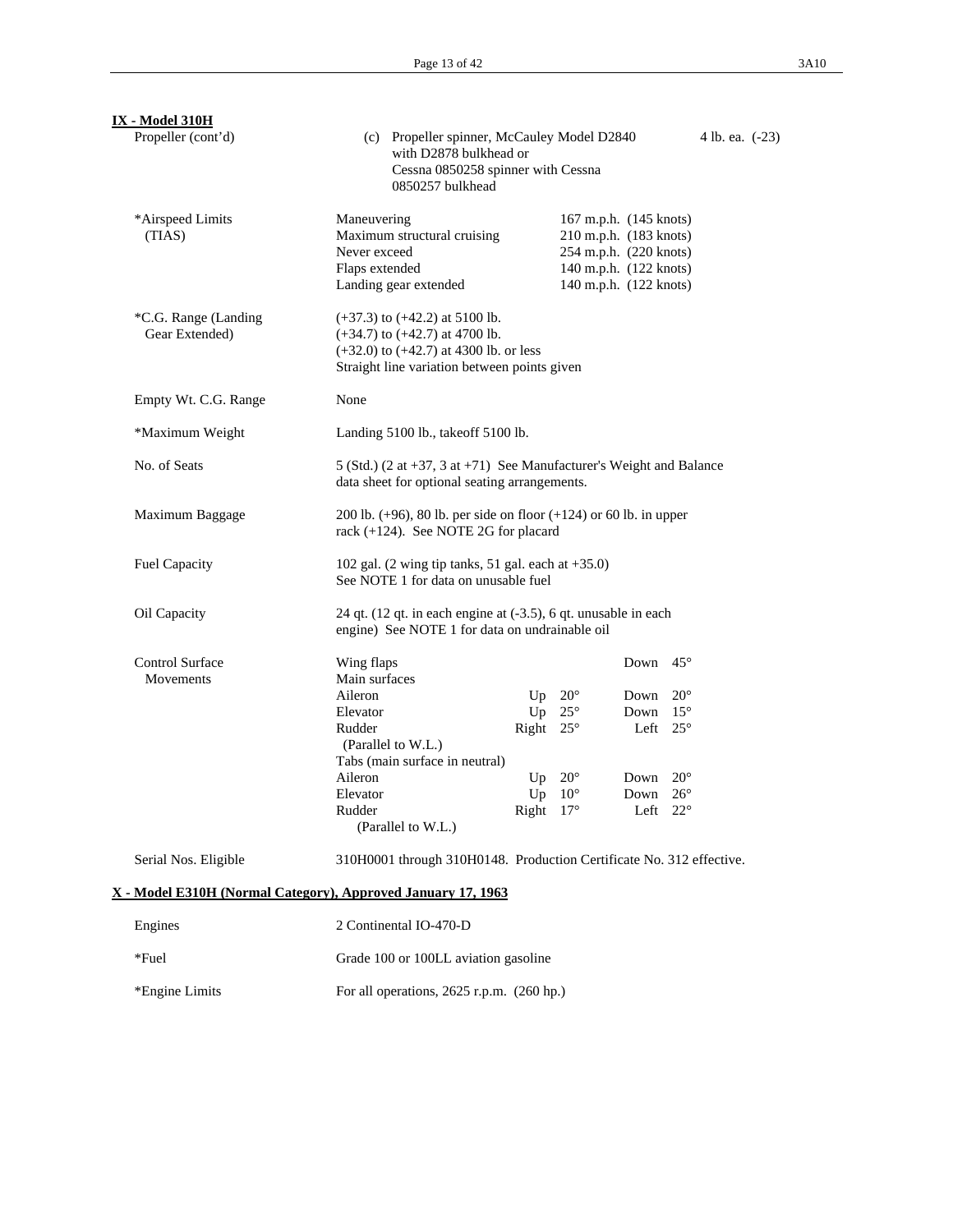| <b>IX</b> - Model 310H                                       |                                                                                                                      |                                                                                                                                                                        |                  |              |                                                                                                                                |              |                 |  |
|--------------------------------------------------------------|----------------------------------------------------------------------------------------------------------------------|------------------------------------------------------------------------------------------------------------------------------------------------------------------------|------------------|--------------|--------------------------------------------------------------------------------------------------------------------------------|--------------|-----------------|--|
| Propeller (cont'd)                                           |                                                                                                                      | (c) Propeller spinner, McCauley Model D2840<br>with D2878 bulkhead or<br>Cessna 0850258 spinner with Cessna<br>0850257 bulkhead                                        |                  |              |                                                                                                                                |              | 4 lb. ea. (-23) |  |
| *Airspeed Limits<br>(TIAS)                                   | Maneuvering<br>Never exceed<br>Flaps extended                                                                        | Maximum structural cruising<br>Landing gear extended                                                                                                                   |                  |              | 167 m.p.h. (145 knots)<br>210 m.p.h. (183 knots)<br>254 m.p.h. (220 knots)<br>140 m.p.h. (122 knots)<br>140 m.p.h. (122 knots) |              |                 |  |
| *C.G. Range (Landing<br>Gear Extended)                       |                                                                                                                      | $(+37.3)$ to $(+42.2)$ at 5100 lb.<br>$(+34.7)$ to $(+42.7)$ at 4700 lb.<br>$(+32.0)$ to $(+42.7)$ at 4300 lb. or less<br>Straight line variation between points given |                  |              |                                                                                                                                |              |                 |  |
| Empty Wt. C.G. Range                                         | None                                                                                                                 |                                                                                                                                                                        |                  |              |                                                                                                                                |              |                 |  |
| *Maximum Weight                                              |                                                                                                                      | Landing 5100 lb., takeoff 5100 lb.                                                                                                                                     |                  |              |                                                                                                                                |              |                 |  |
| No. of Seats                                                 | 5 (Std.) (2 at +37, 3 at +71) See Manufacturer's Weight and Balance<br>data sheet for optional seating arrangements. |                                                                                                                                                                        |                  |              |                                                                                                                                |              |                 |  |
| Maximum Baggage                                              | 200 lb. $(+96)$ , 80 lb. per side on floor $(+124)$ or 60 lb. in upper<br>rack (+124). See NOTE 2G for placard       |                                                                                                                                                                        |                  |              |                                                                                                                                |              |                 |  |
| Fuel Capacity                                                | 102 gal. $(2 \text{ wing tip tanks}, 51 \text{ gal. each at } +35.0)$<br>See NOTE 1 for data on unusable fuel        |                                                                                                                                                                        |                  |              |                                                                                                                                |              |                 |  |
| Oil Capacity                                                 |                                                                                                                      | 24 qt. (12 qt. in each engine at (-3.5), 6 qt. unusable in each<br>engine) See NOTE 1 for data on undrainable oil                                                      |                  |              |                                                                                                                                |              |                 |  |
| <b>Control Surface</b><br>Movements                          | Wing flaps<br>Main surfaces                                                                                          |                                                                                                                                                                        |                  |              | Down $45^\circ$                                                                                                                |              |                 |  |
|                                                              | Aileron                                                                                                              |                                                                                                                                                                        | Up               | $20^{\circ}$ | Down                                                                                                                           | $20^{\circ}$ |                 |  |
|                                                              | Elevator                                                                                                             |                                                                                                                                                                        | Up               | $25^{\circ}$ | Down $15^\circ$                                                                                                                |              |                 |  |
|                                                              | Rudder                                                                                                               | (Parallel to W.L.)                                                                                                                                                     | Right $25^\circ$ |              | Left $25^{\circ}$                                                                                                              |              |                 |  |
|                                                              |                                                                                                                      | Tabs (main surface in neutral)                                                                                                                                         |                  |              |                                                                                                                                |              |                 |  |
|                                                              | Aileron                                                                                                              |                                                                                                                                                                        | Up               | $20^{\circ}$ | Down                                                                                                                           | $20^{\circ}$ |                 |  |
|                                                              | Elevator                                                                                                             |                                                                                                                                                                        | Up               | $10^{\circ}$ | Down                                                                                                                           | $26^{\circ}$ |                 |  |
|                                                              | Rudder                                                                                                               | (Parallel to W.L.)                                                                                                                                                     | Right $17^\circ$ |              | Left $22^\circ$                                                                                                                |              |                 |  |
| Serial Nos. Eligible                                         |                                                                                                                      | 310H0001 through 310H0148. Production Certificate No. 312 effective.                                                                                                   |                  |              |                                                                                                                                |              |                 |  |
| X - Model E310H (Normal Category), Approved January 17, 1963 |                                                                                                                      |                                                                                                                                                                        |                  |              |                                                                                                                                |              |                 |  |
| Engines                                                      |                                                                                                                      | 2 Continental IO-470-D                                                                                                                                                 |                  |              |                                                                                                                                |              |                 |  |
| *Fuel                                                        |                                                                                                                      | Grade 100 or 100LL aviation gasoline                                                                                                                                   |                  |              |                                                                                                                                |              |                 |  |
| *Engine Limits                                               |                                                                                                                      | For all operations, $2625$ r.p.m. $(260$ hp.)                                                                                                                          |                  |              |                                                                                                                                |              |                 |  |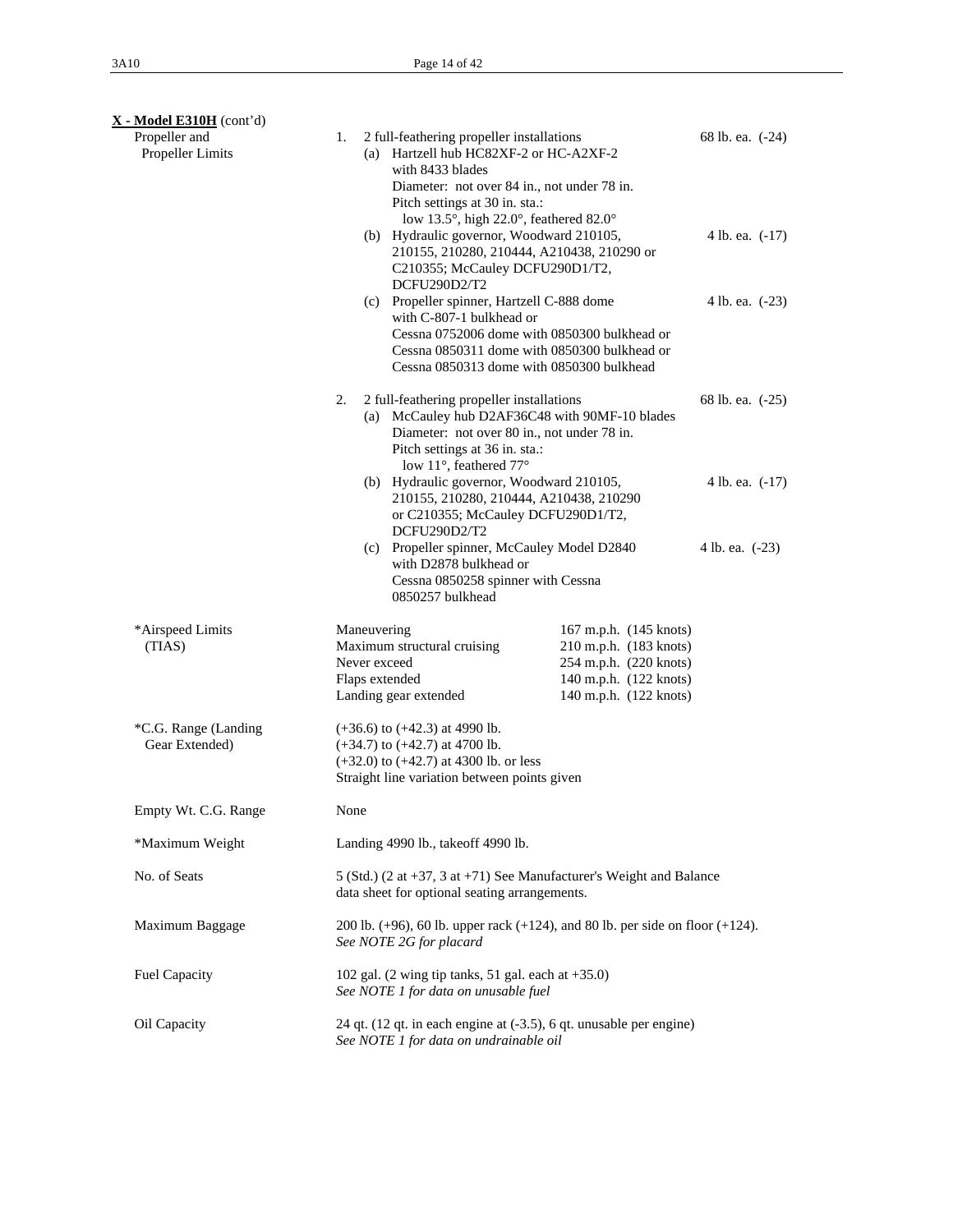| $X - Model E310H$ (cont'd)             |                                                                                                                                                                                                                                                                                                                                                                                                                                                                                                                                                                                                              |                                                                                                                                |                                                          |  |  |
|----------------------------------------|--------------------------------------------------------------------------------------------------------------------------------------------------------------------------------------------------------------------------------------------------------------------------------------------------------------------------------------------------------------------------------------------------------------------------------------------------------------------------------------------------------------------------------------------------------------------------------------------------------------|--------------------------------------------------------------------------------------------------------------------------------|----------------------------------------------------------|--|--|
| Propeller and<br>Propeller Limits      | 2 full-feathering propeller installations<br>1.<br>(a) Hartzell hub HC82XF-2 or HC-A2XF-2<br>with 8433 blades<br>Diameter: not over 84 in., not under 78 in.<br>Pitch settings at 30 in. sta.:<br>low 13.5°, high 22.0°, feathered 82.0°<br>(b) Hydraulic governor, Woodward 210105,<br>210155, 210280, 210444, A210438, 210290 or<br>C210355; McCauley DCFU290D1/T2,<br>DCFU290D2/T2<br>(c) Propeller spinner, Hartzell C-888 dome<br>with C-807-1 bulkhead or<br>Cessna 0752006 dome with 0850300 bulkhead or<br>Cessna 0850311 dome with 0850300 bulkhead or<br>Cessna 0850313 dome with 0850300 bulkhead |                                                                                                                                | 68 lb. ea. (-24)<br>4 lb. ea. $(-17)$<br>4 lb. ea. (-23) |  |  |
|                                        | 2 full-feathering propeller installations<br>2.<br>(a) McCauley hub D2AF36C48 with 90MF-10 blades<br>Diameter: not over 80 in., not under 78 in.<br>Pitch settings at 36 in. sta.:                                                                                                                                                                                                                                                                                                                                                                                                                           |                                                                                                                                | 68 lb. ea. (-25)                                         |  |  |
|                                        | low 11°, feathered 77°<br>(b) Hydraulic governor, Woodward 210105,<br>210155, 210280, 210444, A210438, 210290<br>or C210355; McCauley DCFU290D1/T2,<br>DCFU290D2/T2<br>(c) Propeller spinner, McCauley Model D2840                                                                                                                                                                                                                                                                                                                                                                                           | 4 lb. ea. $(-17)$<br>4 lb. ea. (-23)                                                                                           |                                                          |  |  |
|                                        | with D2878 bulkhead or<br>Cessna 0850258 spinner with Cessna<br>0850257 bulkhead                                                                                                                                                                                                                                                                                                                                                                                                                                                                                                                             |                                                                                                                                |                                                          |  |  |
| *Airspeed Limits<br>(TIAS)             | Maneuvering<br>Maximum structural cruising<br>Never exceed<br>Flaps extended<br>Landing gear extended                                                                                                                                                                                                                                                                                                                                                                                                                                                                                                        | 167 m.p.h. (145 knots)<br>210 m.p.h. (183 knots)<br>254 m.p.h. (220 knots)<br>140 m.p.h. (122 knots)<br>140 m.p.h. (122 knots) |                                                          |  |  |
| *C.G. Range (Landing<br>Gear Extended) | $(+36.6)$ to $(+42.3)$ at 4990 lb.<br>$(+34.7)$ to $(+42.7)$ at 4700 lb.<br>$(+32.0)$ to $(+42.7)$ at 4300 lb. or less<br>Straight line variation between points given                                                                                                                                                                                                                                                                                                                                                                                                                                       |                                                                                                                                |                                                          |  |  |
| Empty Wt. C.G. Range                   | None                                                                                                                                                                                                                                                                                                                                                                                                                                                                                                                                                                                                         |                                                                                                                                |                                                          |  |  |
| *Maximum Weight                        | Landing 4990 lb., takeoff 4990 lb.                                                                                                                                                                                                                                                                                                                                                                                                                                                                                                                                                                           |                                                                                                                                |                                                          |  |  |
| No. of Seats                           | 5 (Std.) (2 at +37, 3 at +71) See Manufacturer's Weight and Balance<br>data sheet for optional seating arrangements.                                                                                                                                                                                                                                                                                                                                                                                                                                                                                         |                                                                                                                                |                                                          |  |  |
| Maximum Baggage                        | 200 lb. $(+96)$ , 60 lb. upper rack $(+124)$ , and 80 lb. per side on floor $(+124)$ .<br>See NOTE 2G for placard                                                                                                                                                                                                                                                                                                                                                                                                                                                                                            |                                                                                                                                |                                                          |  |  |
| Fuel Capacity                          | 102 gal. (2 wing tip tanks, 51 gal. each at $+35.0$ )<br>See NOTE 1 for data on unusable fuel                                                                                                                                                                                                                                                                                                                                                                                                                                                                                                                |                                                                                                                                |                                                          |  |  |
| Oil Capacity                           | 24 qt. (12 qt. in each engine at (-3.5), 6 qt. unusable per engine)<br>See NOTE 1 for data on undrainable oil                                                                                                                                                                                                                                                                                                                                                                                                                                                                                                |                                                                                                                                |                                                          |  |  |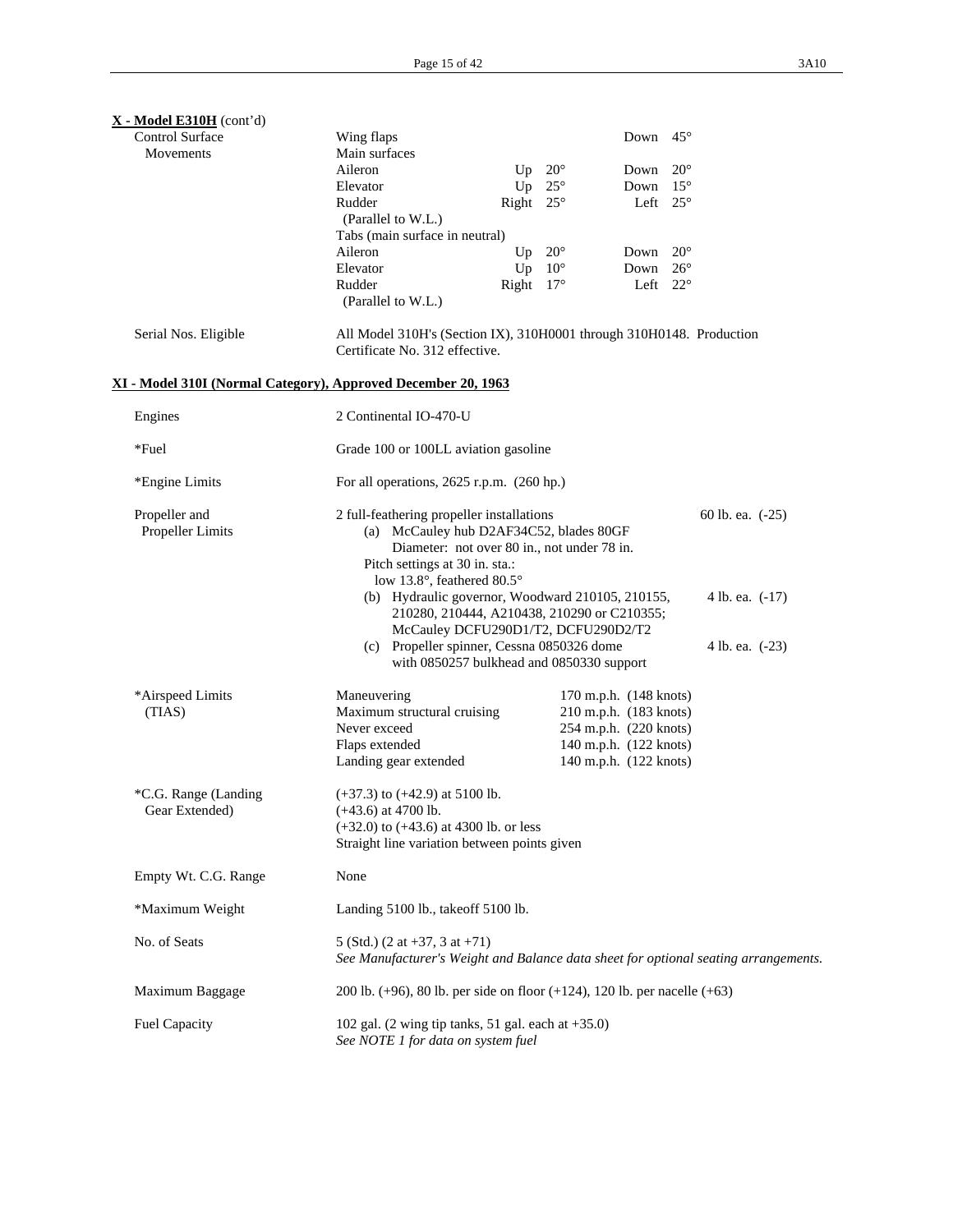| $X - Model E310H$ (cont'd)<br><b>Control Surface</b>          |                                                                                                                                                                                                                                                                                                                                                                                      |                  |              | Down                                                                                                                           | $45^{\circ}$ |                 |
|---------------------------------------------------------------|--------------------------------------------------------------------------------------------------------------------------------------------------------------------------------------------------------------------------------------------------------------------------------------------------------------------------------------------------------------------------------------|------------------|--------------|--------------------------------------------------------------------------------------------------------------------------------|--------------|-----------------|
| Movements                                                     | Wing flaps<br>Main surfaces                                                                                                                                                                                                                                                                                                                                                          |                  |              |                                                                                                                                |              |                 |
|                                                               | Aileron                                                                                                                                                                                                                                                                                                                                                                              | Up               | $20^{\circ}$ | Down                                                                                                                           | $20^{\circ}$ |                 |
|                                                               | Elevator                                                                                                                                                                                                                                                                                                                                                                             | Up               | $25^{\circ}$ | Down                                                                                                                           | $15^{\circ}$ |                 |
|                                                               | Rudder                                                                                                                                                                                                                                                                                                                                                                               | Right $25^\circ$ |              | Left $25^\circ$                                                                                                                |              |                 |
|                                                               | (Parallel to W.L.)                                                                                                                                                                                                                                                                                                                                                                   |                  |              |                                                                                                                                |              |                 |
|                                                               | Tabs (main surface in neutral)                                                                                                                                                                                                                                                                                                                                                       |                  |              |                                                                                                                                |              |                 |
|                                                               | Aileron                                                                                                                                                                                                                                                                                                                                                                              | Up               | $20^{\circ}$ | Down                                                                                                                           | $20^{\circ}$ |                 |
|                                                               | Elevator                                                                                                                                                                                                                                                                                                                                                                             | Up               | $10^{\circ}$ | Down                                                                                                                           | $26^{\circ}$ |                 |
|                                                               | Rudder                                                                                                                                                                                                                                                                                                                                                                               | Right $17^\circ$ |              | Left $22^{\circ}$                                                                                                              |              |                 |
|                                                               | (Parallel to W.L.)                                                                                                                                                                                                                                                                                                                                                                   |                  |              |                                                                                                                                |              |                 |
| Serial Nos. Eligible                                          | All Model 310H's (Section IX), 310H0001 through 310H0148. Production<br>Certificate No. 312 effective.                                                                                                                                                                                                                                                                               |                  |              |                                                                                                                                |              |                 |
| XI - Model 310I (Normal Category), Approved December 20, 1963 |                                                                                                                                                                                                                                                                                                                                                                                      |                  |              |                                                                                                                                |              |                 |
| Engines                                                       | 2 Continental IO-470-U                                                                                                                                                                                                                                                                                                                                                               |                  |              |                                                                                                                                |              |                 |
| *Fuel                                                         | Grade 100 or 100LL aviation gasoline                                                                                                                                                                                                                                                                                                                                                 |                  |              |                                                                                                                                |              |                 |
| *Engine Limits                                                | For all operations, $2625$ r.p.m. $(260$ hp.)                                                                                                                                                                                                                                                                                                                                        |                  |              |                                                                                                                                |              |                 |
| Propeller and<br>Propeller Limits                             | 2 full-feathering propeller installations<br>60 lb. ea. (-25)<br>(a) McCauley hub D2AF34C52, blades 80GF<br>Diameter: not over 80 in., not under 78 in.<br>Pitch settings at 30 in. sta.:<br>low 13.8°, feathered 80.5°<br>(b) Hydraulic governor, Woodward 210105, 210155,<br>4 lb. ea. (-17)<br>210280, 210444, A210438, 210290 or C210355;<br>McCauley DCFU290D1/T2, DCFU290D2/T2 |                  |              |                                                                                                                                |              |                 |
|                                                               | (c) Propeller spinner, Cessna 0850326 dome<br>with 0850257 bulkhead and 0850330 support                                                                                                                                                                                                                                                                                              |                  |              |                                                                                                                                |              | 4 lb. ea. (-23) |
| *Airspeed Limits<br>(TIAS)                                    | Maneuvering<br>Maximum structural cruising<br>Never exceed<br>Flaps extended<br>Landing gear extended                                                                                                                                                                                                                                                                                |                  |              | 170 m.p.h. (148 knots)<br>210 m.p.h. (183 knots)<br>254 m.p.h. (220 knots)<br>140 m.p.h. (122 knots)<br>140 m.p.h. (122 knots) |              |                 |
| *C.G. Range (Landing<br>Gear Extended)                        | $(+37.3)$ to $(+42.9)$ at 5100 lb.<br>$(+43.6)$ at $4700$ lb.<br>$(+32.0)$ to $(+43.6)$ at 4300 lb. or less<br>Straight line variation between points given                                                                                                                                                                                                                          |                  |              |                                                                                                                                |              |                 |
| Empty Wt. C.G. Range                                          | None                                                                                                                                                                                                                                                                                                                                                                                 |                  |              |                                                                                                                                |              |                 |
| *Maximum Weight                                               | Landing 5100 lb., takeoff 5100 lb.                                                                                                                                                                                                                                                                                                                                                   |                  |              |                                                                                                                                |              |                 |
| No. of Seats                                                  | 5 (Std.) $(2 \text{ at } +37, 3 \text{ at } +71)$<br>See Manufacturer's Weight and Balance data sheet for optional seating arrangements.                                                                                                                                                                                                                                             |                  |              |                                                                                                                                |              |                 |
| Maximum Baggage                                               | 200 lb. $(+96)$ , 80 lb. per side on floor $(+124)$ , 120 lb. per nacelle $(+63)$                                                                                                                                                                                                                                                                                                    |                  |              |                                                                                                                                |              |                 |
| <b>Fuel Capacity</b>                                          | 102 gal. $(2 \text{ wing tip tanks}, 51 \text{ gal. each at } +35.0)$<br>See NOTE 1 for data on system fuel                                                                                                                                                                                                                                                                          |                  |              |                                                                                                                                |              |                 |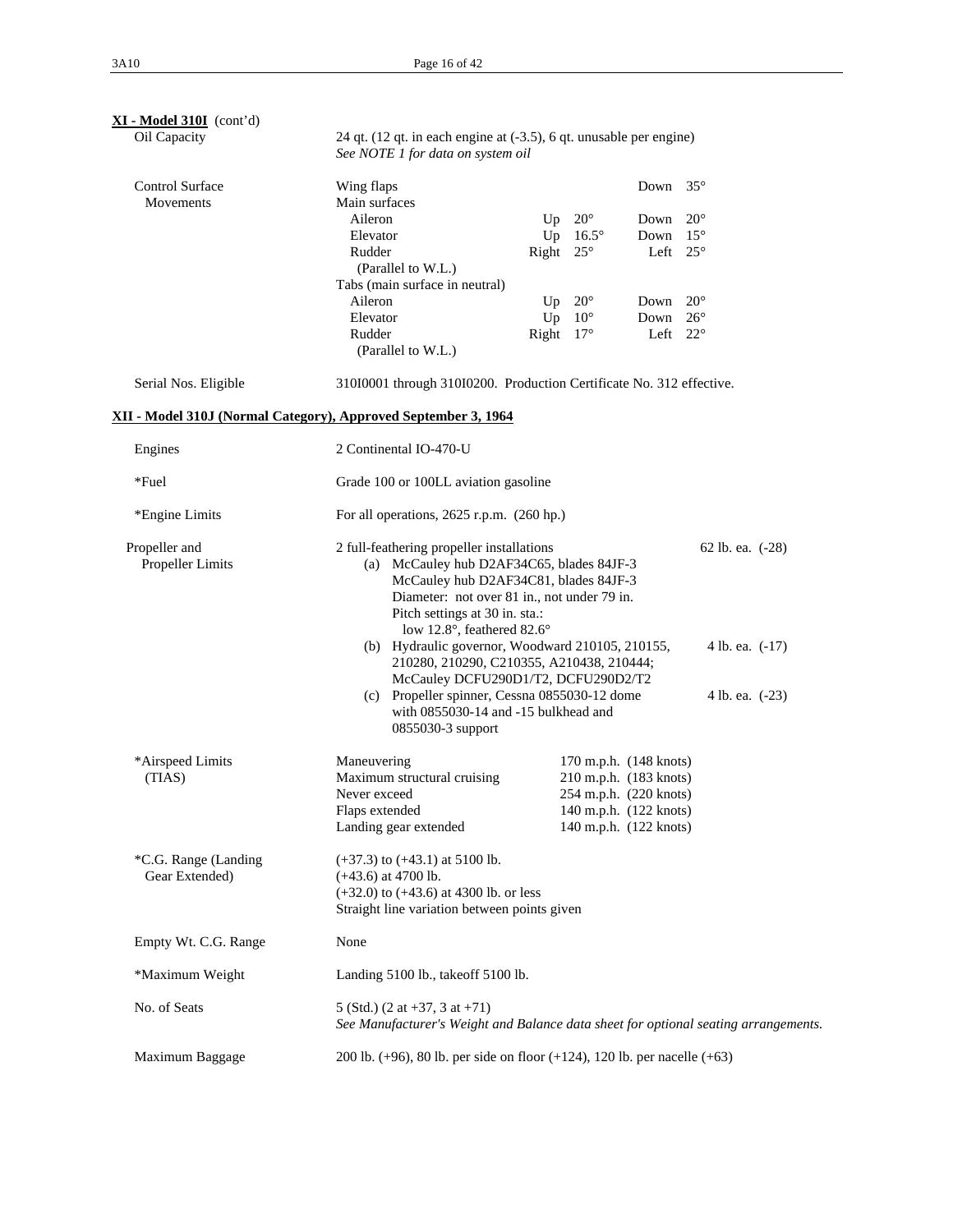| XI - Model 310I (cont'd)            |                                                                                                                                                                                                                                                                                                                                                                                                                                                                                                                                                                  |                  |                        |      |              |  |
|-------------------------------------|------------------------------------------------------------------------------------------------------------------------------------------------------------------------------------------------------------------------------------------------------------------------------------------------------------------------------------------------------------------------------------------------------------------------------------------------------------------------------------------------------------------------------------------------------------------|------------------|------------------------|------|--------------|--|
| Oil Capacity                        | 24 qt. (12 qt. in each engine at (-3.5), 6 qt. unusable per engine)<br>See NOTE 1 for data on system oil                                                                                                                                                                                                                                                                                                                                                                                                                                                         |                  |                        |      |              |  |
| <b>Control Surface</b><br>Movements | Wing flaps<br>Main surfaces                                                                                                                                                                                                                                                                                                                                                                                                                                                                                                                                      |                  |                        | Down | $35^{\circ}$ |  |
|                                     | Aileron                                                                                                                                                                                                                                                                                                                                                                                                                                                                                                                                                          | Up               | $20^{\circ}$           | Down | $20^{\circ}$ |  |
|                                     | Elevator                                                                                                                                                                                                                                                                                                                                                                                                                                                                                                                                                         | Up               | $16.5^\circ$           | Down | $15^{\circ}$ |  |
|                                     | Rudder                                                                                                                                                                                                                                                                                                                                                                                                                                                                                                                                                           | Right $25^\circ$ |                        | Left | $25^{\circ}$ |  |
|                                     | (Parallel to W.L.)                                                                                                                                                                                                                                                                                                                                                                                                                                                                                                                                               |                  |                        |      |              |  |
|                                     | Tabs (main surface in neutral)                                                                                                                                                                                                                                                                                                                                                                                                                                                                                                                                   |                  |                        |      |              |  |
|                                     | Aileron                                                                                                                                                                                                                                                                                                                                                                                                                                                                                                                                                          | Up               | $20^{\circ}$           | Down | $20^{\circ}$ |  |
|                                     | Elevator                                                                                                                                                                                                                                                                                                                                                                                                                                                                                                                                                         | Up               | $10^{\circ}$           | Down | $26^{\circ}$ |  |
|                                     | Rudder                                                                                                                                                                                                                                                                                                                                                                                                                                                                                                                                                           | Right            | $17^{\circ}$           | Left | $22^{\circ}$ |  |
|                                     | (Parallel to W.L.)                                                                                                                                                                                                                                                                                                                                                                                                                                                                                                                                               |                  |                        |      |              |  |
| Serial Nos. Eligible                | 310I0001 through 310I0200. Production Certificate No. 312 effective.                                                                                                                                                                                                                                                                                                                                                                                                                                                                                             |                  |                        |      |              |  |
|                                     | XII - Model 310J (Normal Category), Approved September 3, 1964                                                                                                                                                                                                                                                                                                                                                                                                                                                                                                   |                  |                        |      |              |  |
| Engines                             | 2 Continental IO-470-U                                                                                                                                                                                                                                                                                                                                                                                                                                                                                                                                           |                  |                        |      |              |  |
| *Fuel                               | Grade 100 or 100LL aviation gasoline                                                                                                                                                                                                                                                                                                                                                                                                                                                                                                                             |                  |                        |      |              |  |
| *Engine Limits                      | For all operations, $2625$ r.p.m. $(260$ hp.)                                                                                                                                                                                                                                                                                                                                                                                                                                                                                                                    |                  |                        |      |              |  |
| Propeller and<br>Propeller Limits   | 2 full-feathering propeller installations<br>62 lb. ea. (-28)<br>(a) McCauley hub D2AF34C65, blades 84JF-3<br>McCauley hub D2AF34C81, blades 84JF-3<br>Diameter: not over 81 in., not under 79 in.<br>Pitch settings at 30 in. sta.:<br>low 12.8°, feathered 82.6°<br>(b) Hydraulic governor, Woodward 210105, 210155,<br>4 lb. ea. $(-17)$<br>210280, 210290, C210355, A210438, 210444;<br>McCauley DCFU290D1/T2, DCFU290D2/T2<br>(c) Propeller spinner, Cessna 0855030-12 dome<br>4 lb. ea. (-23)<br>with 0855030-14 and -15 bulkhead and<br>0855030-3 support |                  |                        |      |              |  |
| *Airspeed Limits                    | Maneuvering                                                                                                                                                                                                                                                                                                                                                                                                                                                                                                                                                      |                  | 170 m.p.h. (148 knots) |      |              |  |
| (TIAS)                              | Maximum structural cruising                                                                                                                                                                                                                                                                                                                                                                                                                                                                                                                                      |                  | 210 m.p.h. (183 knots) |      |              |  |
|                                     | Never exceed                                                                                                                                                                                                                                                                                                                                                                                                                                                                                                                                                     |                  | 254 m.p.h. (220 knots) |      |              |  |
|                                     | Flaps extended                                                                                                                                                                                                                                                                                                                                                                                                                                                                                                                                                   |                  | 140 m.p.h. (122 knots) |      |              |  |
|                                     | Landing gear extended                                                                                                                                                                                                                                                                                                                                                                                                                                                                                                                                            |                  | 140 m.p.h. (122 knots) |      |              |  |
| *C.G. Range (Landing                | $(+37.3)$ to $(+43.1)$ at 5100 lb.                                                                                                                                                                                                                                                                                                                                                                                                                                                                                                                               |                  |                        |      |              |  |
| Gear Extended)                      | $(+43.6)$ at 4700 lb.                                                                                                                                                                                                                                                                                                                                                                                                                                                                                                                                            |                  |                        |      |              |  |
|                                     | $(+32.0)$ to $(+43.6)$ at 4300 lb. or less                                                                                                                                                                                                                                                                                                                                                                                                                                                                                                                       |                  |                        |      |              |  |
|                                     | Straight line variation between points given                                                                                                                                                                                                                                                                                                                                                                                                                                                                                                                     |                  |                        |      |              |  |
| Empty Wt. C.G. Range                | None                                                                                                                                                                                                                                                                                                                                                                                                                                                                                                                                                             |                  |                        |      |              |  |
| *Maximum Weight                     | Landing 5100 lb., takeoff 5100 lb.                                                                                                                                                                                                                                                                                                                                                                                                                                                                                                                               |                  |                        |      |              |  |
| No. of Seats                        | 5 (Std.) $(2 \text{ at } +37, 3 \text{ at } +71)$<br>See Manufacturer's Weight and Balance data sheet for optional seating arrangements.                                                                                                                                                                                                                                                                                                                                                                                                                         |                  |                        |      |              |  |
| Maximum Baggage                     | 200 lb. $(+96)$ , 80 lb. per side on floor $(+124)$ , 120 lb. per nacelle $(+63)$                                                                                                                                                                                                                                                                                                                                                                                                                                                                                |                  |                        |      |              |  |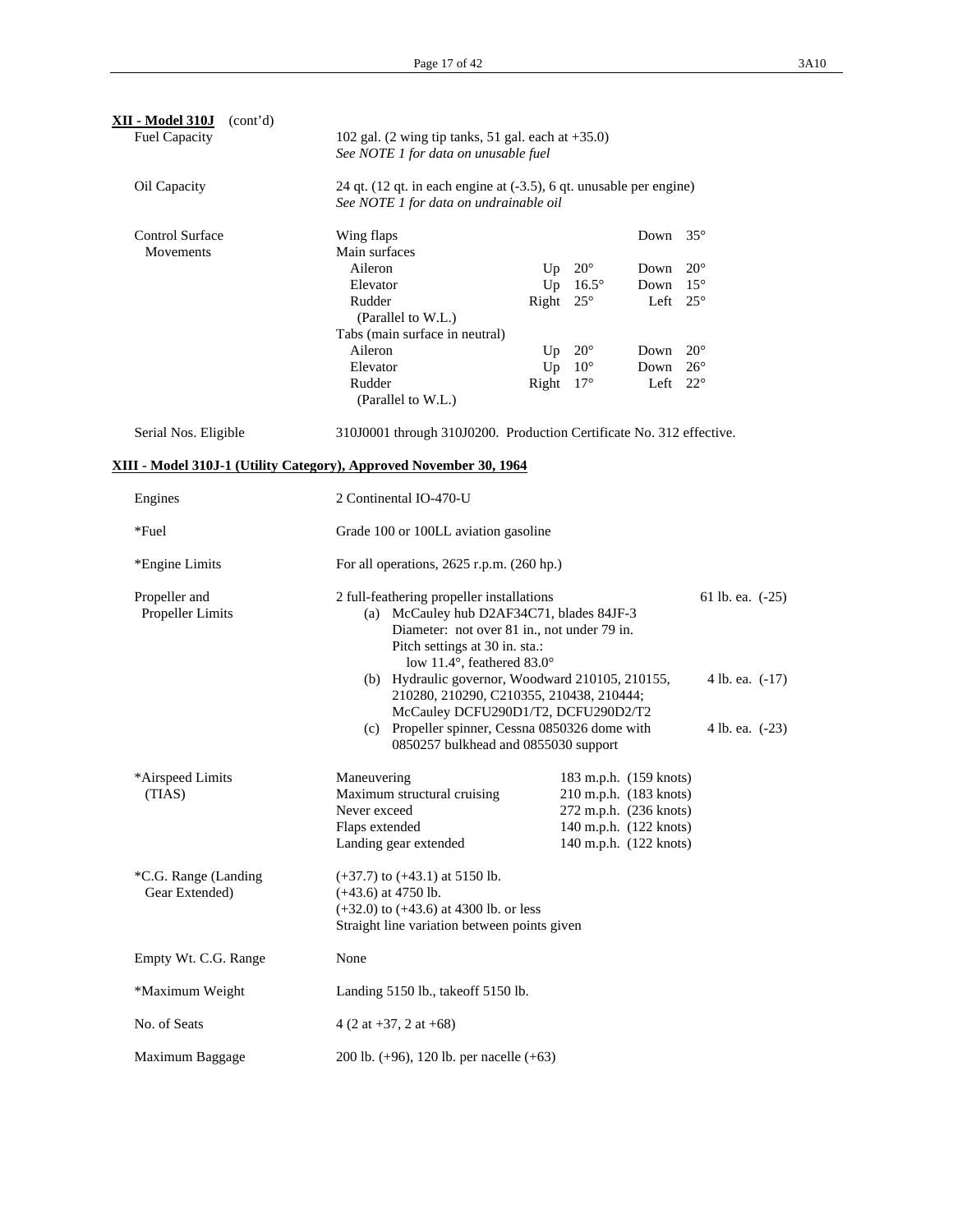| <b>XII - Model 310J</b><br>(cont'd)<br><b>Fuel Capacity</b>        | 102 gal. $(2 \text{ wing tip tanks}, 51 \text{ gal. each at } +35.0)$<br>See NOTE 1 for data on unusable fuel                                                                                                                                                                                                                                |                    |                                                  |                 |  |
|--------------------------------------------------------------------|----------------------------------------------------------------------------------------------------------------------------------------------------------------------------------------------------------------------------------------------------------------------------------------------------------------------------------------------|--------------------|--------------------------------------------------|-----------------|--|
| Oil Capacity                                                       | 24 qt. (12 qt. in each engine at (-3.5), 6 qt. unusable per engine)<br>See NOTE 1 for data on undrainable oil                                                                                                                                                                                                                                |                    |                                                  |                 |  |
| <b>Control Surface</b><br>Movements                                | Wing flaps<br>Main surfaces                                                                                                                                                                                                                                                                                                                  |                    | Down $35^\circ$                                  |                 |  |
|                                                                    | Aileron                                                                                                                                                                                                                                                                                                                                      | Up $20^\circ$      | Down                                             | $20^{\circ}$    |  |
|                                                                    | Elevator                                                                                                                                                                                                                                                                                                                                     | Up $16.5^\circ$    | Down                                             | $15^{\circ}$    |  |
|                                                                    | Rudder<br>(Parallel to W.L.)                                                                                                                                                                                                                                                                                                                 | Right $25^\circ$   | Left $25^\circ$                                  |                 |  |
|                                                                    | Tabs (main surface in neutral)                                                                                                                                                                                                                                                                                                               |                    |                                                  |                 |  |
|                                                                    | Aileron                                                                                                                                                                                                                                                                                                                                      | Up $20^\circ$      | Down                                             | $20^{\circ}$    |  |
|                                                                    | Elevator                                                                                                                                                                                                                                                                                                                                     | $10^{\circ}$<br>Up | Down                                             | $26^{\circ}$    |  |
|                                                                    | Rudder                                                                                                                                                                                                                                                                                                                                       | Right $17^\circ$   | Left $22^{\circ}$                                |                 |  |
|                                                                    | (Parallel to W.L.)                                                                                                                                                                                                                                                                                                                           |                    |                                                  |                 |  |
| Serial Nos. Eligible                                               | 310J0001 through 310J0200. Production Certificate No. 312 effective.                                                                                                                                                                                                                                                                         |                    |                                                  |                 |  |
| XIII - Model 310J-1 (Utility Category), Approved November 30, 1964 |                                                                                                                                                                                                                                                                                                                                              |                    |                                                  |                 |  |
| Engines                                                            | 2 Continental IO-470-U                                                                                                                                                                                                                                                                                                                       |                    |                                                  |                 |  |
| *Fuel                                                              | Grade 100 or 100LL aviation gasoline                                                                                                                                                                                                                                                                                                         |                    |                                                  |                 |  |
| *Engine Limits                                                     | For all operations, $2625$ r.p.m. $(260$ hp.)                                                                                                                                                                                                                                                                                                |                    |                                                  |                 |  |
| Propeller and<br>Propeller Limits                                  | 2 full-feathering propeller installations<br>61 lb. ea. (-25)<br>(a) McCauley hub D2AF34C71, blades 84JF-3<br>Diameter: not over 81 in., not under 79 in.<br>Pitch settings at 30 in. sta.:<br>low 11.4°, feathered 83.0°<br>(b) Hydraulic governor, Woodward 210105, 210155,<br>4 lb. ea. (-17)<br>210280, 210290, C210355, 210438, 210444; |                    |                                                  |                 |  |
|                                                                    | McCauley DCFU290D1/T2, DCFU290D2/T2<br>(c) Propeller spinner, Cessna 0850326 dome with<br>0850257 bulkhead and 0855030 support                                                                                                                                                                                                               |                    |                                                  | 4 lb. ea. (-23) |  |
| *Airspeed Limits                                                   | Maneuvering                                                                                                                                                                                                                                                                                                                                  |                    | 183 m.p.h. (159 knots)                           |                 |  |
| (TIAS)                                                             | Maximum structural cruising                                                                                                                                                                                                                                                                                                                  |                    | 210 m.p.h. (183 knots)                           |                 |  |
|                                                                    | Never exceed                                                                                                                                                                                                                                                                                                                                 |                    | 272 m.p.h. (236 knots)                           |                 |  |
|                                                                    | Flaps extended<br>Landing gear extended                                                                                                                                                                                                                                                                                                      |                    | 140 m.p.h. (122 knots)<br>140 m.p.h. (122 knots) |                 |  |
|                                                                    |                                                                                                                                                                                                                                                                                                                                              |                    |                                                  |                 |  |
| *C.G. Range (Landing                                               | $(+37.7)$ to $(+43.1)$ at 5150 lb.                                                                                                                                                                                                                                                                                                           |                    |                                                  |                 |  |
| Gear Extended)                                                     | $(+43.6)$ at 4750 lb.<br>$(+32.0)$ to $(+43.6)$ at 4300 lb. or less<br>Straight line variation between points given                                                                                                                                                                                                                          |                    |                                                  |                 |  |
| Empty Wt. C.G. Range                                               | None                                                                                                                                                                                                                                                                                                                                         |                    |                                                  |                 |  |
| *Maximum Weight                                                    | Landing 5150 lb., takeoff 5150 lb.                                                                                                                                                                                                                                                                                                           |                    |                                                  |                 |  |
| No. of Seats                                                       | $4(2 \text{ at } +37, 2 \text{ at } +68)$                                                                                                                                                                                                                                                                                                    |                    |                                                  |                 |  |
| Maximum Baggage                                                    | 200 lb. (+96), 120 lb. per nacelle (+63)                                                                                                                                                                                                                                                                                                     |                    |                                                  |                 |  |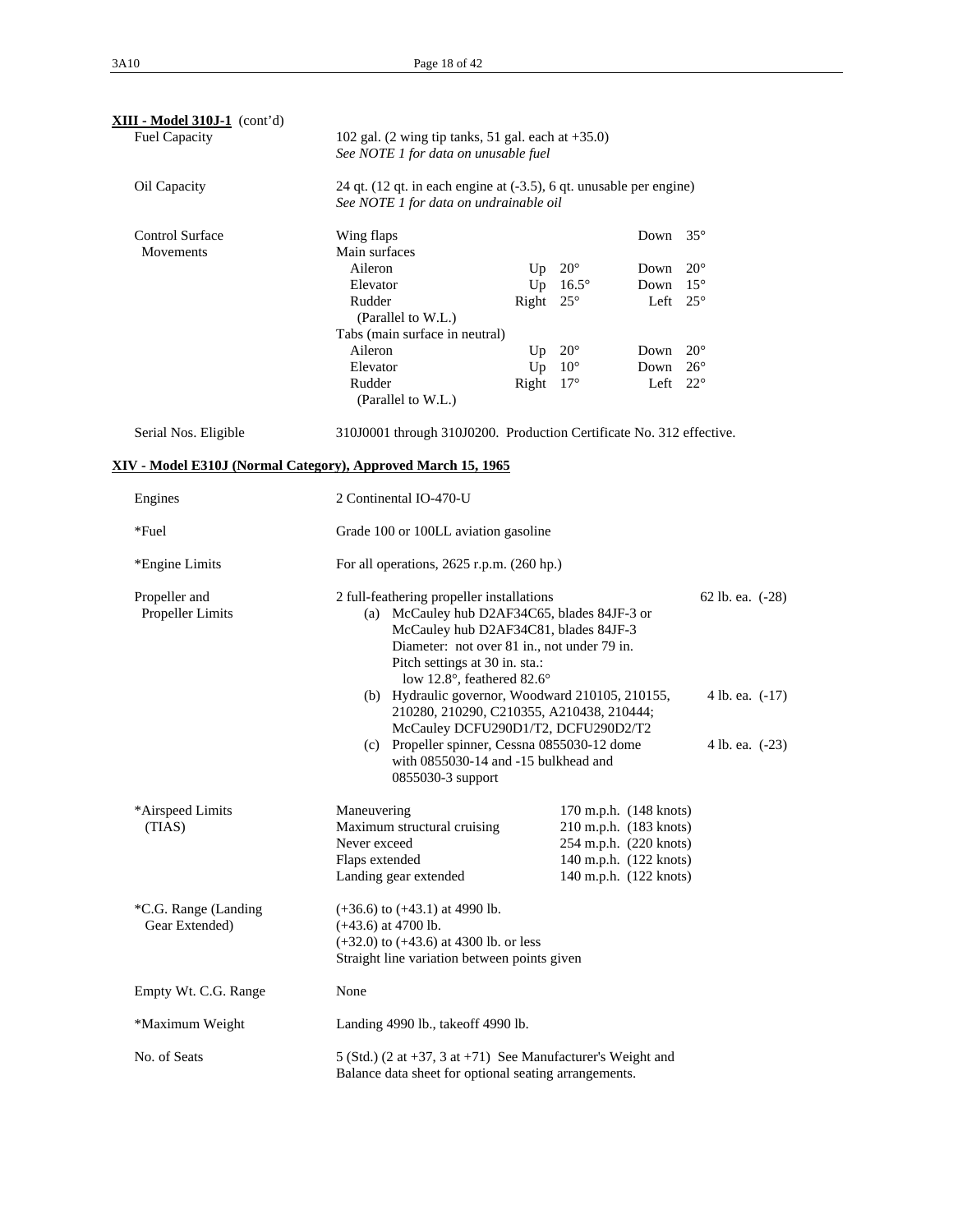| XIII - Model 310J-1 (cont'd)<br>Fuel Capacity                |                                                                                                                                                                                                                                                                                                                                                                                           | 102 gal. $(2 \text{ wing tip tanks}, 51 \text{ gal. each at } +35.0)$<br>See NOTE 1 for data on unusable fuel                                                        |               |                                                                                                                                |              |  |  |
|--------------------------------------------------------------|-------------------------------------------------------------------------------------------------------------------------------------------------------------------------------------------------------------------------------------------------------------------------------------------------------------------------------------------------------------------------------------------|----------------------------------------------------------------------------------------------------------------------------------------------------------------------|---------------|--------------------------------------------------------------------------------------------------------------------------------|--------------|--|--|
| Oil Capacity                                                 | 24 qt. (12 qt. in each engine at (-3.5), 6 qt. unusable per engine)<br>See NOTE 1 for data on undrainable oil                                                                                                                                                                                                                                                                             |                                                                                                                                                                      |               |                                                                                                                                |              |  |  |
| Control Surface<br>Movements                                 | Wing flaps<br>Main surfaces                                                                                                                                                                                                                                                                                                                                                               |                                                                                                                                                                      |               | Down $35^\circ$                                                                                                                |              |  |  |
|                                                              | Aileron                                                                                                                                                                                                                                                                                                                                                                                   |                                                                                                                                                                      | Up $20^\circ$ | Down                                                                                                                           | $20^{\circ}$ |  |  |
|                                                              | Elevator                                                                                                                                                                                                                                                                                                                                                                                  | Up                                                                                                                                                                   | $16.5^\circ$  | Down                                                                                                                           | $15^{\circ}$ |  |  |
|                                                              | Rudder                                                                                                                                                                                                                                                                                                                                                                                    | Right $25^\circ$                                                                                                                                                     |               | Left $25^\circ$                                                                                                                |              |  |  |
|                                                              | (Parallel to W.L.)                                                                                                                                                                                                                                                                                                                                                                        |                                                                                                                                                                      |               |                                                                                                                                |              |  |  |
|                                                              | Tabs (main surface in neutral)<br>Aileron                                                                                                                                                                                                                                                                                                                                                 |                                                                                                                                                                      |               |                                                                                                                                | $20^{\circ}$ |  |  |
|                                                              | Elevator                                                                                                                                                                                                                                                                                                                                                                                  | Up<br>Up $10^{\circ}$                                                                                                                                                | $20^{\circ}$  | Down<br>Down                                                                                                                   | $26^{\circ}$ |  |  |
|                                                              | Rudder                                                                                                                                                                                                                                                                                                                                                                                    | Right $17^\circ$                                                                                                                                                     |               | Left                                                                                                                           | $22^{\circ}$ |  |  |
|                                                              | (Parallel to W.L.)                                                                                                                                                                                                                                                                                                                                                                        |                                                                                                                                                                      |               |                                                                                                                                |              |  |  |
| Serial Nos. Eligible                                         | 310J0001 through 310J0200. Production Certificate No. 312 effective.                                                                                                                                                                                                                                                                                                                      |                                                                                                                                                                      |               |                                                                                                                                |              |  |  |
| XIV - Model E310J (Normal Category), Approved March 15, 1965 |                                                                                                                                                                                                                                                                                                                                                                                           |                                                                                                                                                                      |               |                                                                                                                                |              |  |  |
| Engines                                                      | 2 Continental IO-470-U                                                                                                                                                                                                                                                                                                                                                                    |                                                                                                                                                                      |               |                                                                                                                                |              |  |  |
| *Fuel                                                        | Grade 100 or 100LL aviation gasoline                                                                                                                                                                                                                                                                                                                                                      |                                                                                                                                                                      |               |                                                                                                                                |              |  |  |
| *Engine Limits                                               |                                                                                                                                                                                                                                                                                                                                                                                           | For all operations, $2625$ r.p.m. $(260$ hp.)                                                                                                                        |               |                                                                                                                                |              |  |  |
| Propeller and<br>Propeller Limits                            | 2 full-feathering propeller installations<br>62 lb. ea. (-28)<br>(a) McCauley hub D2AF34C65, blades 84JF-3 or<br>McCauley hub D2AF34C81, blades 84JF-3<br>Diameter: not over 81 in., not under 79 in.<br>Pitch settings at 30 in. sta.:<br>low 12.8°, feathered 82.6°<br>(b) Hydraulic governor, Woodward 210105, 210155,<br>4 lb. ea. (-17)<br>210280, 210290, C210355, A210438, 210444; |                                                                                                                                                                      |               |                                                                                                                                |              |  |  |
|                                                              |                                                                                                                                                                                                                                                                                                                                                                                           | McCauley DCFU290D1/T2, DCFU290D2/T2<br>(c) Propeller spinner, Cessna 0855030-12 dome<br>4 lb. ea. (-23)<br>with 0855030-14 and -15 bulkhead and<br>0855030-3 support |               |                                                                                                                                |              |  |  |
| *Airspeed Limits<br>(TIAS)                                   | Maneuvering<br>Maximum structural cruising<br>Never exceed<br>Flaps extended<br>Landing gear extended                                                                                                                                                                                                                                                                                     |                                                                                                                                                                      |               | 170 m.p.h. (148 knots)<br>210 m.p.h. (183 knots)<br>254 m.p.h. (220 knots)<br>140 m.p.h. (122 knots)<br>140 m.p.h. (122 knots) |              |  |  |
| *C.G. Range (Landing<br>Gear Extended)                       | $(+36.6)$ to $(+43.1)$ at 4990 lb.<br>$(+43.6)$ at 4700 lb.<br>$(+32.0)$ to $(+43.6)$ at 4300 lb. or less<br>Straight line variation between points given                                                                                                                                                                                                                                 |                                                                                                                                                                      |               |                                                                                                                                |              |  |  |
| Empty Wt. C.G. Range                                         | None                                                                                                                                                                                                                                                                                                                                                                                      |                                                                                                                                                                      |               |                                                                                                                                |              |  |  |
| *Maximum Weight                                              | Landing 4990 lb., takeoff 4990 lb.                                                                                                                                                                                                                                                                                                                                                        |                                                                                                                                                                      |               |                                                                                                                                |              |  |  |
| No. of Seats                                                 | 5 (Std.) (2 at $+37$ , 3 at $+71$ ) See Manufacturer's Weight and<br>Balance data sheet for optional seating arrangements.                                                                                                                                                                                                                                                                |                                                                                                                                                                      |               |                                                                                                                                |              |  |  |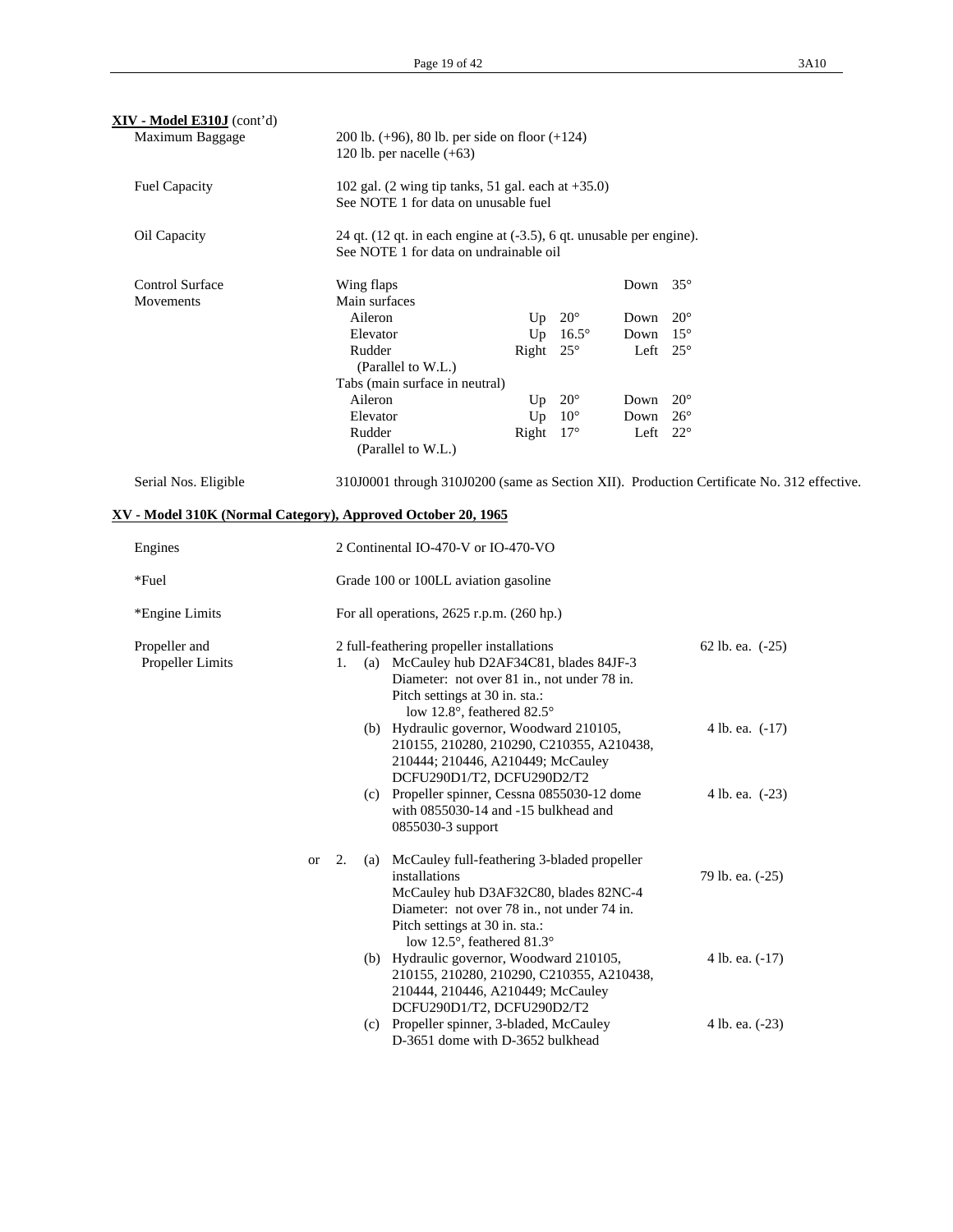| XIV - Model E310J (cont'd)                                   |    |    |                                                                                                                                                                                        |                                                                                                                                                                                        |                        |                                 |                                                |                 |                                                                                            |
|--------------------------------------------------------------|----|----|----------------------------------------------------------------------------------------------------------------------------------------------------------------------------------------|----------------------------------------------------------------------------------------------------------------------------------------------------------------------------------------|------------------------|---------------------------------|------------------------------------------------|-----------------|--------------------------------------------------------------------------------------------|
| Maximum Baggage                                              |    |    |                                                                                                                                                                                        | 200 lb. $(+96)$ , 80 lb. per side on floor $(+124)$<br>120 lb. per nacelle $(+63)$                                                                                                     |                        |                                 |                                                |                 |                                                                                            |
| <b>Fuel Capacity</b>                                         |    |    |                                                                                                                                                                                        | 102 gal. (2 wing tip tanks, 51 gal. each at $+35.0$ )<br>See NOTE 1 for data on unusable fuel                                                                                          |                        |                                 |                                                |                 |                                                                                            |
| Oil Capacity                                                 |    |    |                                                                                                                                                                                        | 24 qt. (12 qt. in each engine at (-3.5), 6 qt. unusable per engine).<br>See NOTE 1 for data on undrainable oil                                                                         |                        |                                 |                                                |                 |                                                                                            |
| <b>Control Surface</b><br>Movements                          |    |    | Wing flaps<br>Aileron                                                                                                                                                                  | Main surfaces                                                                                                                                                                          |                        | Up $20^\circ$                   | Down $35^\circ$                                |                 |                                                                                            |
|                                                              |    |    | Elevator<br>Rudder                                                                                                                                                                     | (Parallel to W.L.)<br>Tabs (main surface in neutral)                                                                                                                                   | Right $25^\circ$       | Up $16.5^\circ$                 | Down<br>Down $15^{\circ}$<br>Left $25^\circ$   | $20^{\circ}$    |                                                                                            |
|                                                              |    |    | Aileron<br>Elevator<br>Rudder                                                                                                                                                          |                                                                                                                                                                                        | Up<br>Right $17^\circ$ | $20^{\circ}$<br>Up $10^{\circ}$ | Down $20^{\circ}$<br>Down<br>Left $22^{\circ}$ | $26^{\circ}$    |                                                                                            |
| Serial Nos. Eligible                                         |    |    |                                                                                                                                                                                        | (Parallel to W.L.)                                                                                                                                                                     |                        |                                 |                                                |                 | 310J0001 through 310J0200 (same as Section XII). Production Certificate No. 312 effective. |
| XV - Model 310K (Normal Category), Approved October 20, 1965 |    |    |                                                                                                                                                                                        |                                                                                                                                                                                        |                        |                                 |                                                |                 |                                                                                            |
| Engines                                                      |    |    |                                                                                                                                                                                        | 2 Continental IO-470-V or IO-470-VO                                                                                                                                                    |                        |                                 |                                                |                 |                                                                                            |
| *Fuel                                                        |    |    |                                                                                                                                                                                        | Grade 100 or 100LL aviation gasoline                                                                                                                                                   |                        |                                 |                                                |                 |                                                                                            |
| *Engine Limits                                               |    |    |                                                                                                                                                                                        | For all operations, $2625$ r.p.m. $(260$ hp.)                                                                                                                                          |                        |                                 |                                                |                 |                                                                                            |
| Propeller and<br>Propeller Limits                            |    | 1. |                                                                                                                                                                                        | 2 full-feathering propeller installations<br>(a) McCauley hub D2AF34C81, blades 84JF-3<br>Diameter: not over 81 in., not under 78 in.<br>Pitch settings at 30 in. sta.:                |                        |                                 |                                                |                 | 62 lb. ea. (-25)                                                                           |
|                                                              |    |    | low 12.8°, feathered 82.5°<br>(b) Hydraulic governor, Woodward 210105,<br>210155, 210280, 210290, C210355, A210438,<br>210444; 210446, A210449; McCauley<br>DCFU290D1/T2, DCFU290D2/T2 |                                                                                                                                                                                        |                        |                                 |                                                | 4 lb. ea. (-17) |                                                                                            |
|                                                              |    |    |                                                                                                                                                                                        | (c) Propeller spinner, Cessna 0855030-12 dome<br>with 0855030-14 and -15 bulkhead and<br>0855030-3 support                                                                             |                        |                                 |                                                |                 | 4 lb. ea. $(-23)$                                                                          |
|                                                              | or | 2. | (a)                                                                                                                                                                                    | McCauley full-feathering 3-bladed propeller<br>installations<br>McCauley hub D3AF32C80, blades 82NC-4<br>Diameter: not over 78 in., not under 74 in.<br>Pitch settings at 30 in. sta.: |                        |                                 |                                                |                 | 79 lb. ea. (-25)                                                                           |
|                                                              |    |    |                                                                                                                                                                                        | low 12.5°, feathered 81.3°<br>(b) Hydraulic governor, Woodward 210105,<br>210155, 210280, 210290, C210355, A210438,<br>210444, 210446, A210449; McCauley                               |                        |                                 |                                                |                 | 4 lb. ea. (-17)                                                                            |
|                                                              |    |    |                                                                                                                                                                                        | DCFU290D1/T2, DCFU290D2/T2<br>(c) Propeller spinner, 3-bladed, McCauley<br>D-3651 dome with D-3652 bulkhead                                                                            |                        |                                 |                                                |                 | 4 lb. ea. (-23)                                                                            |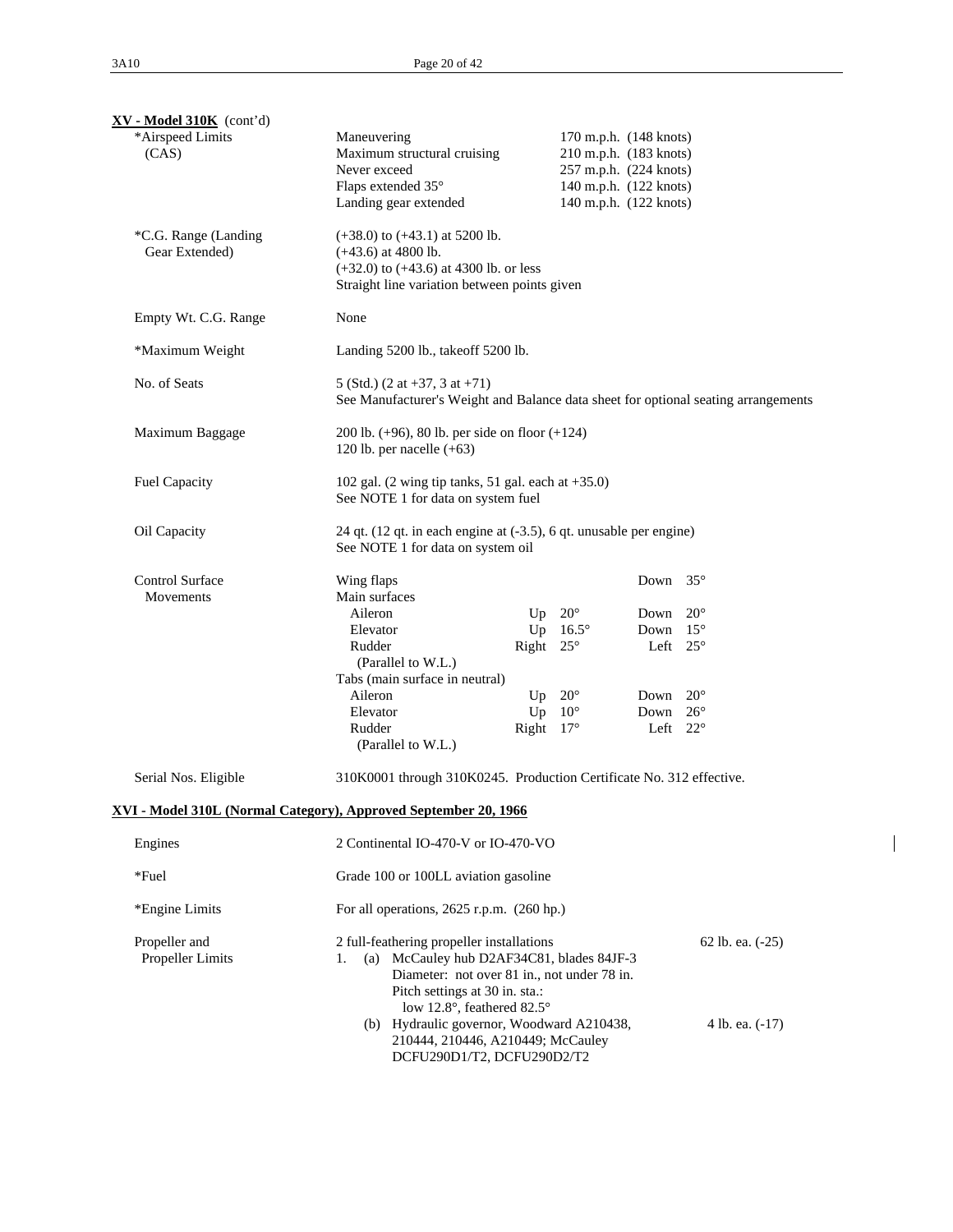| $XY - Model 310K$ (cont'd)             |                                                                                                                                                                                                                                                                                                                             |                                                                                                                                |                                                      |                                                                                                            |  |  |  |
|----------------------------------------|-----------------------------------------------------------------------------------------------------------------------------------------------------------------------------------------------------------------------------------------------------------------------------------------------------------------------------|--------------------------------------------------------------------------------------------------------------------------------|------------------------------------------------------|------------------------------------------------------------------------------------------------------------|--|--|--|
| *Airspeed Limits<br>(CAS)              | Maneuvering<br>Maximum structural cruising<br>Never exceed<br>Flaps extended 35°<br>Landing gear extended                                                                                                                                                                                                                   | 170 m.p.h. (148 knots)<br>210 m.p.h. (183 knots)<br>257 m.p.h. (224 knots)<br>140 m.p.h. (122 knots)<br>140 m.p.h. (122 knots) |                                                      |                                                                                                            |  |  |  |
| *C.G. Range (Landing<br>Gear Extended) | $(+38.0)$ to $(+43.1)$ at 5200 lb.<br>$(+43.6)$ at 4800 lb.<br>$(+32.0)$ to $(+43.6)$ at 4300 lb. or less<br>Straight line variation between points given                                                                                                                                                                   |                                                                                                                                |                                                      |                                                                                                            |  |  |  |
| Empty Wt. C.G. Range                   | None                                                                                                                                                                                                                                                                                                                        |                                                                                                                                |                                                      |                                                                                                            |  |  |  |
| *Maximum Weight                        | Landing 5200 lb., takeoff 5200 lb.                                                                                                                                                                                                                                                                                          |                                                                                                                                |                                                      |                                                                                                            |  |  |  |
| No. of Seats                           | 5 (Std.) $(2 \text{ at } +37, 3 \text{ at } +71)$<br>See Manufacturer's Weight and Balance data sheet for optional seating arrangements                                                                                                                                                                                     |                                                                                                                                |                                                      |                                                                                                            |  |  |  |
| Maximum Baggage                        | 120 lb. per nacelle $(+63)$                                                                                                                                                                                                                                                                                                 | 200 lb. $(+96)$ , 80 lb. per side on floor $(+124)$                                                                            |                                                      |                                                                                                            |  |  |  |
| Fuel Capacity                          | 102 gal. $(2 \text{ wing tip tanks}, 51 \text{ gal. each at } +35.0)$<br>See NOTE 1 for data on system fuel                                                                                                                                                                                                                 |                                                                                                                                |                                                      |                                                                                                            |  |  |  |
| Oil Capacity                           | 24 qt. (12 qt. in each engine at (-3.5), 6 qt. unusable per engine)<br>See NOTE 1 for data on system oil                                                                                                                                                                                                                    |                                                                                                                                |                                                      |                                                                                                            |  |  |  |
| <b>Control Surface</b><br>Movements    | Wing flaps<br>Main surfaces<br>Aileron<br>Elevator<br>Rudder<br>(Parallel to W.L.)<br>Tabs (main surface in neutral)<br>Aileron<br>Elevator<br>Rudder                                                                                                                                                                       | Up $20^\circ$<br>Up<br>$16.5^\circ$<br>Right $25^\circ$<br>Up $20^\circ$<br>Up $10^{\circ}$<br>Right $17^\circ$                | Down<br>Down<br>Down<br>Left<br>Down<br>Down<br>Left | $35^\circ$<br>$20^{\circ}$<br>$15^{\circ}$<br>$25^{\circ}$<br>$20^{\circ}$<br>$26^{\circ}$<br>$22^{\circ}$ |  |  |  |
| Serial Nos. Eligible                   | (Parallel to W.L.)<br>310K0001 through 310K0245. Production Certificate No. 312 effective.                                                                                                                                                                                                                                  |                                                                                                                                |                                                      |                                                                                                            |  |  |  |
|                                        | XVI - Model 310L (Normal Category), Approved September 20, 1966                                                                                                                                                                                                                                                             |                                                                                                                                |                                                      |                                                                                                            |  |  |  |
| Engines                                | 2 Continental IO-470-V or IO-470-VO                                                                                                                                                                                                                                                                                         |                                                                                                                                |                                                      |                                                                                                            |  |  |  |
| *Fuel                                  | Grade 100 or 100LL aviation gasoline                                                                                                                                                                                                                                                                                        |                                                                                                                                |                                                      |                                                                                                            |  |  |  |
| *Engine Limits                         | For all operations, $2625$ r.p.m. $(260$ hp.)                                                                                                                                                                                                                                                                               |                                                                                                                                |                                                      |                                                                                                            |  |  |  |
| Propeller and<br>Propeller Limits      | 2 full-feathering propeller installations<br>(a) McCauley hub D2AF34C81, blades 84JF-3<br>1.<br>Diameter: not over 81 in., not under 78 in.<br>Pitch settings at 30 in. sta.:<br>low 12.8°, feathered 82.5°<br>(b) Hydraulic governor, Woodward A210438,<br>210444, 210446, A210449; McCauley<br>DCFU290D1/T2, DCFU290D2/T2 |                                                                                                                                |                                                      | 62 lb. ea. (-25)<br>4 lb. ea. (-17)                                                                        |  |  |  |

 $\overline{\phantom{a}}$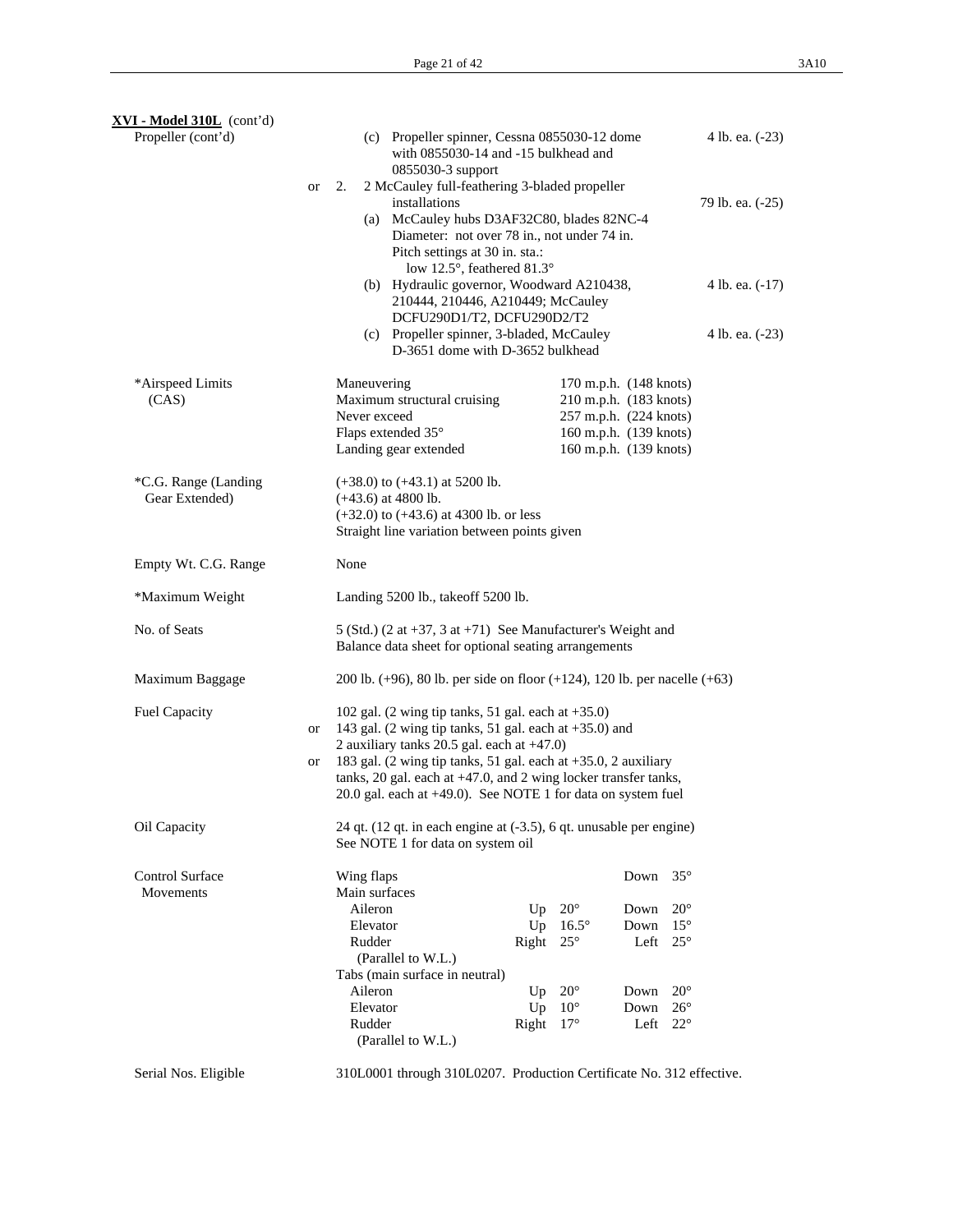| XVI - Model 310L (cont'd)<br>Propeller (cont'd) |           | (c) Propeller spinner, Cessna 0855030-12 dome<br>with 0855030-14 and -15 bulkhead and                                              |                       |                        | 4 lb. ea. (-23)  |
|-------------------------------------------------|-----------|------------------------------------------------------------------------------------------------------------------------------------|-----------------------|------------------------|------------------|
|                                                 | <b>or</b> | 0855030-3 support<br>2 McCauley full-feathering 3-bladed propeller<br>2.                                                           |                       |                        |                  |
|                                                 |           | installations                                                                                                                      |                       |                        | 79 lb. ea. (-25) |
|                                                 |           | (a) McCauley hubs D3AF32C80, blades 82NC-4                                                                                         |                       |                        |                  |
|                                                 |           | Diameter: not over 78 in., not under 74 in.                                                                                        |                       |                        |                  |
|                                                 |           | Pitch settings at 30 in. sta.:                                                                                                     |                       |                        |                  |
|                                                 |           | low 12.5°, feathered 81.3°<br>(b) Hydraulic governor, Woodward A210438,                                                            |                       |                        | 4 lb. ea. (-17)  |
|                                                 |           | 210444, 210446, A210449; McCauley<br>DCFU290D1/T2, DCFU290D2/T2                                                                    |                       |                        |                  |
|                                                 |           | (c) Propeller spinner, 3-bladed, McCauley                                                                                          |                       |                        | 4 lb. ea. (-23)  |
|                                                 |           | D-3651 dome with D-3652 bulkhead                                                                                                   |                       |                        |                  |
| *Airspeed Limits                                |           | Maneuvering                                                                                                                        |                       | 170 m.p.h. (148 knots) |                  |
| (CAS)                                           |           | Maximum structural cruising                                                                                                        |                       | 210 m.p.h. (183 knots) |                  |
|                                                 |           | Never exceed                                                                                                                       |                       | 257 m.p.h. (224 knots) |                  |
|                                                 |           | Flaps extended 35°                                                                                                                 |                       | 160 m.p.h. (139 knots) |                  |
|                                                 |           | Landing gear extended                                                                                                              |                       | 160 m.p.h. (139 knots) |                  |
| *C.G. Range (Landing                            |           | $(+38.0)$ to $(+43.1)$ at 5200 lb.                                                                                                 |                       |                        |                  |
| Gear Extended)                                  |           | $(+43.6)$ at 4800 lb.                                                                                                              |                       |                        |                  |
|                                                 |           | $(+32.0)$ to $(+43.6)$ at 4300 lb. or less<br>Straight line variation between points given                                         |                       |                        |                  |
|                                                 |           |                                                                                                                                    |                       |                        |                  |
| Empty Wt. C.G. Range                            |           | None                                                                                                                               |                       |                        |                  |
| *Maximum Weight                                 |           | Landing 5200 lb., takeoff 5200 lb.                                                                                                 |                       |                        |                  |
| No. of Seats                                    |           | 5 (Std.) (2 at $+37$ , 3 at $+71$ ) See Manufacturer's Weight and<br>Balance data sheet for optional seating arrangements          |                       |                        |                  |
| Maximum Baggage                                 |           | 200 lb. $(+96)$ , 80 lb. per side on floor $(+124)$ , 120 lb. per nacelle $(+63)$                                                  |                       |                        |                  |
| Fuel Capacity                                   | or        | 102 gal. $(2 \text{ wing tip tanks}, 51 \text{ gal. each at } +35.0)$<br>143 gal. (2 wing tip tanks, 51 gal. each at $+35.0$ ) and |                       |                        |                  |
|                                                 |           | 2 auxiliary tanks 20.5 gal. each at $+47.0$ )                                                                                      |                       |                        |                  |
|                                                 | or        | 183 gal. (2 wing tip tanks, 51 gal. each at +35.0, 2 auxiliary                                                                     |                       |                        |                  |
|                                                 |           | tanks, 20 gal. each at $+47.0$ , and 2 wing locker transfer tanks,                                                                 |                       |                        |                  |
|                                                 |           | 20.0 gal. each at +49.0). See NOTE 1 for data on system fuel                                                                       |                       |                        |                  |
| Oil Capacity                                    |           | 24 qt. $(12 \text{ qt. in each engine at } (-3.5), 6 \text{ qt. unusable per engine})$<br>See NOTE 1 for data on system oil        |                       |                        |                  |
|                                                 |           |                                                                                                                                    |                       |                        |                  |
| Control Surface<br>Movements                    |           | Wing flaps<br>Main surfaces                                                                                                        |                       | Down<br>$35^{\circ}$   |                  |
|                                                 |           | Aileron                                                                                                                            | $20^{\circ}$<br>Up    | Down                   | $20^{\circ}$     |
|                                                 |           | Elevator                                                                                                                           | Up<br>$16.5^\circ$    | Down                   | $15^{\circ}$     |
|                                                 |           | Rudder                                                                                                                             | Right<br>$25^{\circ}$ | Left                   | $25^{\circ}$     |
|                                                 |           | (Parallel to W.L.)                                                                                                                 |                       |                        |                  |
|                                                 |           | Tabs (main surface in neutral)                                                                                                     |                       |                        |                  |
|                                                 |           | Aileron                                                                                                                            | $20^{\circ}$<br>Up    | Down                   | $20^{\circ}$     |
|                                                 |           | Elevator                                                                                                                           | Up<br>$10^{\circ}$    | Down                   | $26^{\circ}$     |
|                                                 |           | Rudder                                                                                                                             | Right<br>$17^{\circ}$ | Left                   | $22^{\circ}$     |
|                                                 |           | (Parallel to W.L.)                                                                                                                 |                       |                        |                  |
| Serial Nos. Eligible                            |           | 310L0001 through 310L0207. Production Certificate No. 312 effective.                                                               |                       |                        |                  |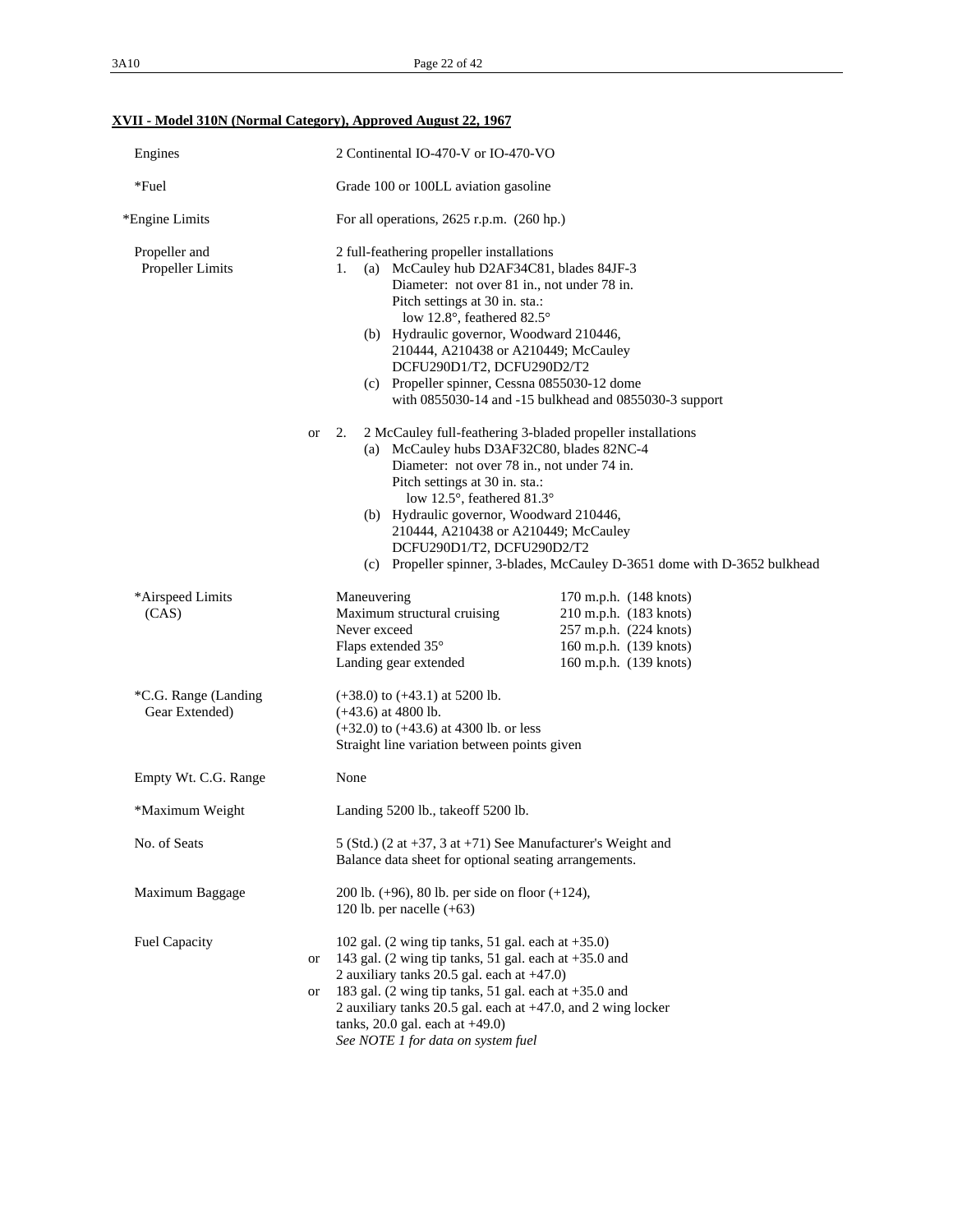# **XVII - Model 310N (Normal Category), Approved August 22, 1967**

| Engines                                | 2 Continental IO-470-V or IO-470-VO                                                                                                                                                                                                                                                                                                                                                                                                         |  |  |  |
|----------------------------------------|---------------------------------------------------------------------------------------------------------------------------------------------------------------------------------------------------------------------------------------------------------------------------------------------------------------------------------------------------------------------------------------------------------------------------------------------|--|--|--|
| *Fuel                                  | Grade 100 or 100LL aviation gasoline                                                                                                                                                                                                                                                                                                                                                                                                        |  |  |  |
| *Engine Limits                         | For all operations, $2625$ r.p.m. $(260$ hp.)                                                                                                                                                                                                                                                                                                                                                                                               |  |  |  |
| Propeller and<br>Propeller Limits      | 2 full-feathering propeller installations<br>(a) McCauley hub D2AF34C81, blades 84JF-3<br>1.<br>Diameter: not over 81 in., not under 78 in.<br>Pitch settings at 30 in. sta.:<br>low 12.8°, feathered 82.5°<br>(b) Hydraulic governor, Woodward 210446,<br>210444, A210438 or A210449; McCauley<br>DCFU290D1/T2, DCFU290D2/T2<br>(c) Propeller spinner, Cessna 0855030-12 dome<br>with 0855030-14 and -15 bulkhead and 0855030-3 support    |  |  |  |
|                                        | 2.<br>2 McCauley full-feathering 3-bladed propeller installations<br><b>or</b><br>(a) McCauley hubs D3AF32C80, blades 82NC-4<br>Diameter: not over 78 in., not under 74 in.<br>Pitch settings at 30 in. sta.:<br>low 12.5°, feathered 81.3°<br>(b) Hydraulic governor, Woodward 210446,<br>210444, A210438 or A210449; McCauley<br>DCFU290D1/T2, DCFU290D2/T2<br>(c) Propeller spinner, 3-blades, McCauley D-3651 dome with D-3652 bulkhead |  |  |  |
| *Airspeed Limits<br>(CAS)              | Maneuvering<br>170 m.p.h. (148 knots)<br>Maximum structural cruising<br>210 m.p.h. (183 knots)<br>257 m.p.h. (224 knots)<br>Never exceed<br>Flaps extended 35°<br>160 m.p.h. (139 knots)<br>Landing gear extended<br>160 m.p.h. (139 knots)                                                                                                                                                                                                 |  |  |  |
| *C.G. Range (Landing<br>Gear Extended) | $(+38.0)$ to $(+43.1)$ at 5200 lb.<br>$(+43.6)$ at 4800 lb.<br>$(+32.0)$ to $(+43.6)$ at 4300 lb. or less<br>Straight line variation between points given                                                                                                                                                                                                                                                                                   |  |  |  |
| Empty Wt. C.G. Range                   | None                                                                                                                                                                                                                                                                                                                                                                                                                                        |  |  |  |
| *Maximum Weight                        | Landing 5200 lb., take of 5200 lb.                                                                                                                                                                                                                                                                                                                                                                                                          |  |  |  |
| No. of Seats                           | 5 (Std.) (2 at +37, 3 at +71) See Manufacturer's Weight and<br>Balance data sheet for optional seating arrangements.                                                                                                                                                                                                                                                                                                                        |  |  |  |
| Maximum Baggage                        | 200 lb. $(+96)$ , 80 lb. per side on floor $(+124)$ ,<br>120 lb. per nacelle $(+63)$                                                                                                                                                                                                                                                                                                                                                        |  |  |  |
| Fuel Capacity                          | 102 gal. $(2 \text{ wing tip tanks}, 51 \text{ gal. each at } +35.0)$<br>143 gal. (2 wing tip tanks, 51 gal. each at $+35.0$ and<br>or<br>2 auxiliary tanks 20.5 gal. each at $+47.0$ )<br>183 gal. (2 wing tip tanks, 51 gal. each at $+35.0$ and<br>or<br>2 auxiliary tanks 20.5 gal. each at +47.0, and 2 wing locker<br>tanks, $20.0$ gal. each at $+49.0$ )<br>See NOTE 1 for data on system fuel                                      |  |  |  |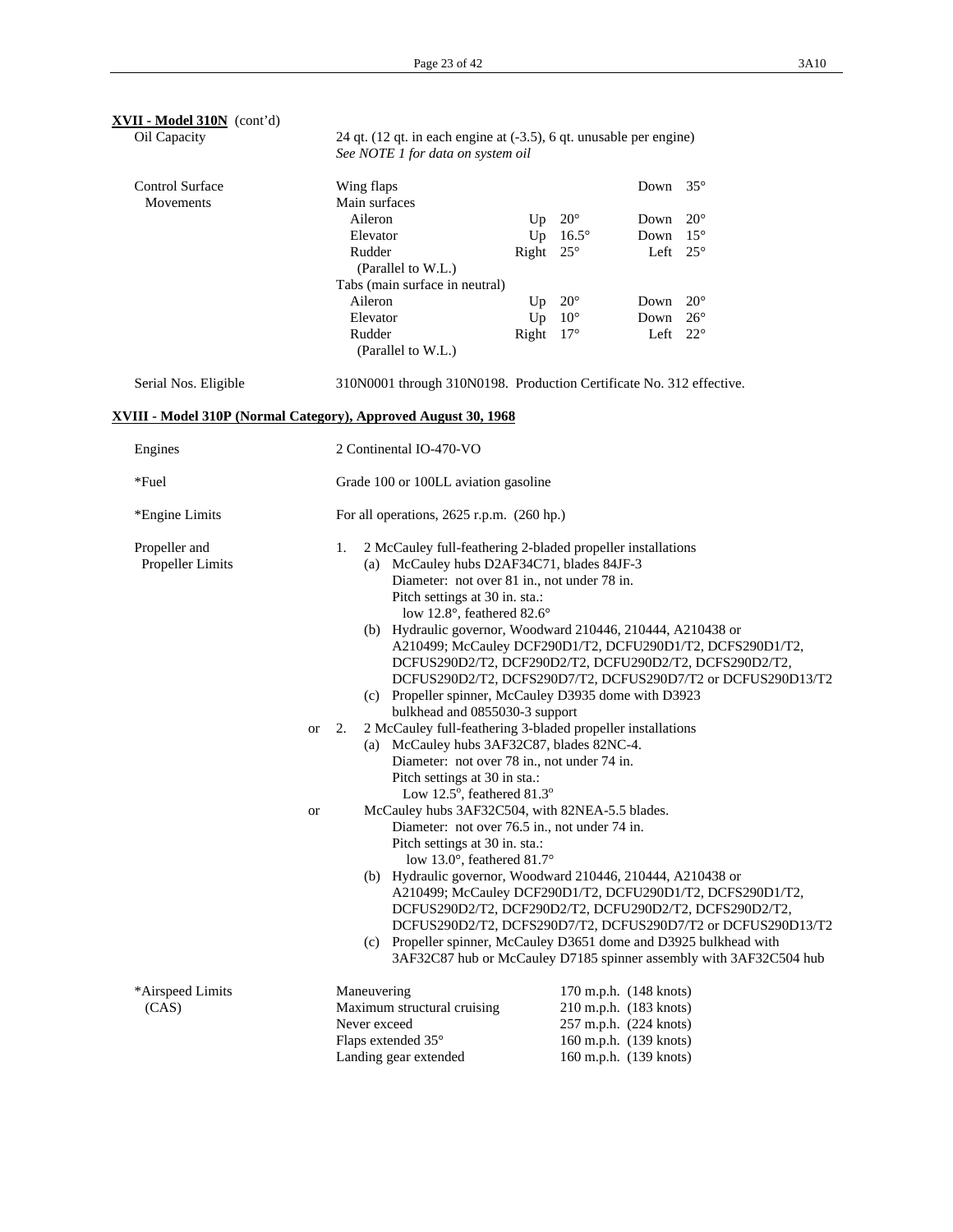| XVII - Model 310N (cont'd)<br>Oil Capacity                     |    | 24 qt. (12 qt. in each engine at (-3.5), 6 qt. unusable per engine)<br>See NOTE 1 for data on system oil |                                      |                 |                        |                                                                    |  |
|----------------------------------------------------------------|----|----------------------------------------------------------------------------------------------------------|--------------------------------------|-----------------|------------------------|--------------------------------------------------------------------|--|
| <b>Control Surface</b><br>Movements                            |    | Wing flaps<br>Main surfaces                                                                              |                                      |                 | Down $35^\circ$        |                                                                    |  |
|                                                                |    | Aileron                                                                                                  | Up                                   | $20^{\circ}$    | Down                   | $20^{\circ}$                                                       |  |
|                                                                |    | Elevator                                                                                                 |                                      | Up $16.5^\circ$ | Down                   | $15^{\circ}$                                                       |  |
|                                                                |    | Rudder                                                                                                   | Right $25^\circ$                     |                 | Left                   | $25^{\circ}$                                                       |  |
|                                                                |    | (Parallel to W.L.)                                                                                       |                                      |                 |                        |                                                                    |  |
|                                                                |    | Tabs (main surface in neutral)                                                                           |                                      |                 |                        |                                                                    |  |
|                                                                |    | Aileron                                                                                                  | Up                                   | $20^{\circ}$    | Down                   | $20^{\circ}$                                                       |  |
|                                                                |    | Elevator                                                                                                 | Up                                   | $10^{\circ}$    | Down                   | $26^{\circ}$                                                       |  |
|                                                                |    | Rudder                                                                                                   | Right $17^\circ$                     |                 | Left $22^{\circ}$      |                                                                    |  |
|                                                                |    | (Parallel to W.L.)                                                                                       |                                      |                 |                        |                                                                    |  |
| Serial Nos. Eligible                                           |    | 310N0001 through 310N0198. Production Certificate No. 312 effective.                                     |                                      |                 |                        |                                                                    |  |
| XVIII - Model 310P (Normal Category), Approved August 30, 1968 |    |                                                                                                          |                                      |                 |                        |                                                                    |  |
| Engines                                                        |    | 2 Continental IO-470-VO                                                                                  |                                      |                 |                        |                                                                    |  |
| *Fuel                                                          |    |                                                                                                          | Grade 100 or 100LL aviation gasoline |                 |                        |                                                                    |  |
| *Engine Limits                                                 |    | For all operations, $2625$ r.p.m. $(260$ hp.)                                                            |                                      |                 |                        |                                                                    |  |
| Propeller and                                                  |    | 2 McCauley full-feathering 2-bladed propeller installations<br>1.                                        |                                      |                 |                        |                                                                    |  |
| Propeller Limits                                               |    | (a) McCauley hubs D2AF34C71, blades 84JF-3                                                               |                                      |                 |                        |                                                                    |  |
|                                                                |    | Diameter: not over 81 in., not under 78 in.                                                              |                                      |                 |                        |                                                                    |  |
|                                                                |    | Pitch settings at 30 in. sta.:                                                                           |                                      |                 |                        |                                                                    |  |
|                                                                |    | low 12.8°, feathered 82.6°                                                                               |                                      |                 |                        |                                                                    |  |
|                                                                |    | (b) Hydraulic governor, Woodward 210446, 210444, A210438 or                                              |                                      |                 |                        |                                                                    |  |
|                                                                |    |                                                                                                          |                                      |                 |                        | A210499; McCauley DCF290D1/T2, DCFU290D1/T2, DCFS290D1/T2,         |  |
|                                                                |    | DCFUS290D2/T2, DCF290D2/T2, DCFU290D2/T2, DCFS290D2/T2,                                                  |                                      |                 |                        |                                                                    |  |
|                                                                |    | DCFUS290D2/T2, DCFS290D7/T2, DCFUS290D7/T2 or DCFUS290D13/T2                                             |                                      |                 |                        |                                                                    |  |
|                                                                |    | (c) Propeller spinner, McCauley D3935 dome with D3923                                                    |                                      |                 |                        |                                                                    |  |
|                                                                |    | bulkhead and 0855030-3 support<br>2 McCauley full-feathering 3-bladed propeller installations            |                                      |                 |                        |                                                                    |  |
|                                                                | or | 2.                                                                                                       |                                      |                 |                        |                                                                    |  |
|                                                                |    | (a) McCauley hubs 3AF32C87, blades 82NC-4.                                                               |                                      |                 |                        |                                                                    |  |
|                                                                |    | Diameter: not over 78 in., not under 74 in.<br>Pitch settings at 30 in sta.:                             |                                      |                 |                        |                                                                    |  |
|                                                                |    | Low 12.5°, feathered 81.3°                                                                               |                                      |                 |                        |                                                                    |  |
|                                                                | or | McCauley hubs 3AF32C504, with 82NEA-5.5 blades                                                           |                                      |                 |                        |                                                                    |  |
|                                                                |    | Diameter: not over 76.5 in., not under 74 in.                                                            |                                      |                 |                        |                                                                    |  |
|                                                                |    | Pitch settings at 30 in. sta.:                                                                           |                                      |                 |                        |                                                                    |  |
|                                                                |    | low 13.0°, feathered 81.7°                                                                               |                                      |                 |                        |                                                                    |  |
|                                                                |    | (b) Hydraulic governor, Woodward 210446, 210444, A210438 or                                              |                                      |                 |                        |                                                                    |  |
|                                                                |    | A210499; McCauley DCF290D1/T2, DCFU290D1/T2, DCFS290D1/T2,                                               |                                      |                 |                        |                                                                    |  |
|                                                                |    | DCFUS290D2/T2, DCF290D2/T2, DCFU290D2/T2, DCFS290D2/T2,                                                  |                                      |                 |                        |                                                                    |  |
|                                                                |    | DCFUS290D2/T2, DCFS290D7/T2, DCFUS290D7/T2 or DCFUS290D13/T2                                             |                                      |                 |                        |                                                                    |  |
|                                                                |    | (c) Propeller spinner, McCauley D3651 dome and D3925 bulkhead with                                       |                                      |                 |                        |                                                                    |  |
|                                                                |    |                                                                                                          |                                      |                 |                        | 3AF32C87 hub or McCauley D7185 spinner assembly with 3AF32C504 hub |  |
| *Airspeed Limits                                               |    | Maneuvering                                                                                              |                                      |                 | 170 m.p.h. (148 knots) |                                                                    |  |
| (CAS)                                                          |    | Maximum structural cruising                                                                              |                                      |                 | 210 m.p.h. (183 knots) |                                                                    |  |
|                                                                |    | Never exceed                                                                                             |                                      |                 | 257 m.p.h. (224 knots) |                                                                    |  |
|                                                                |    | Flaps extended 35°                                                                                       |                                      |                 | 160 m.p.h. (139 knots) |                                                                    |  |
|                                                                |    | Landing gear extended                                                                                    |                                      |                 | 160 m.p.h. (139 knots) |                                                                    |  |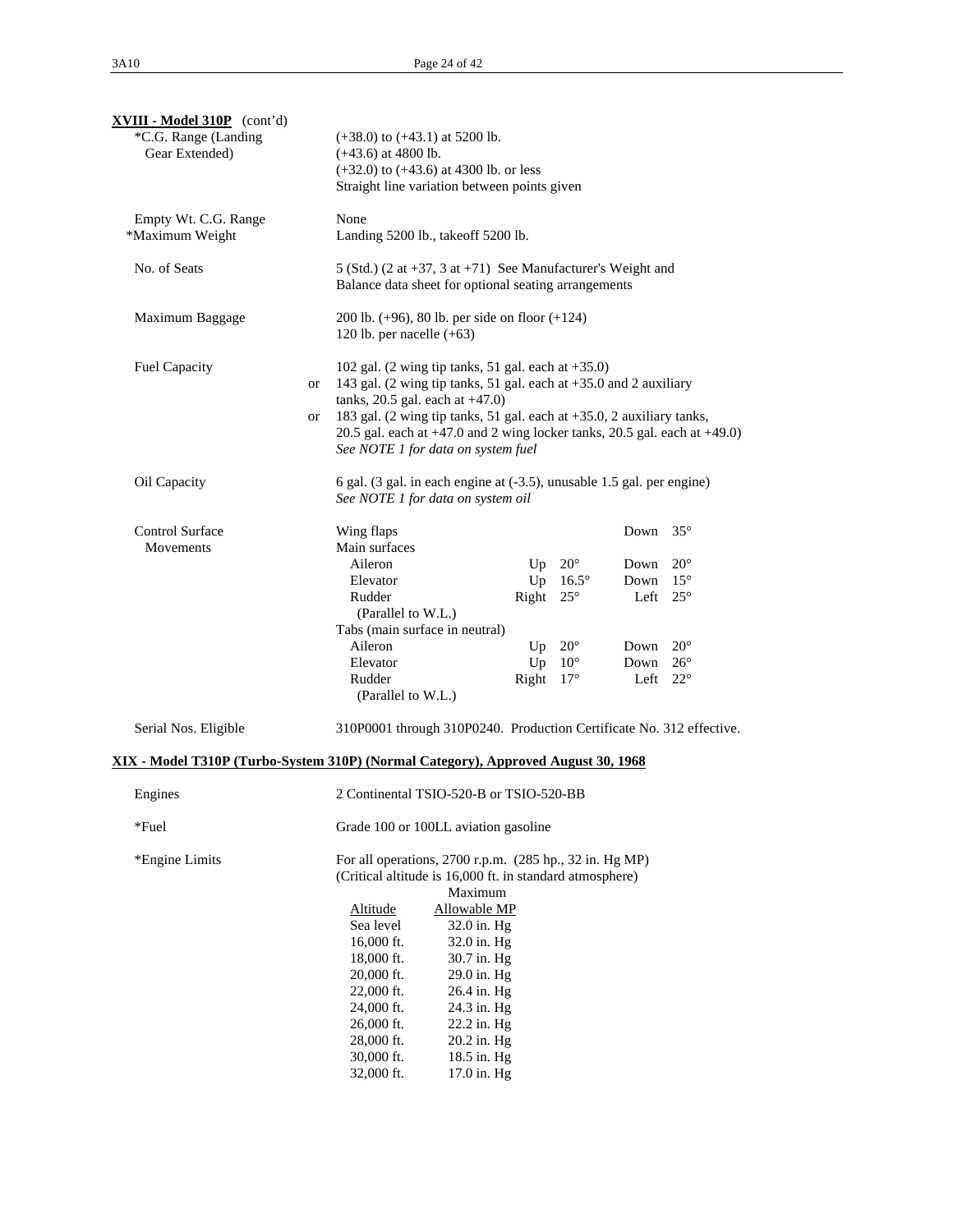| <b>XVIII - Model 310P</b> (cont'd)<br>*C.G. Range (Landing<br>Gear Extended)      |          | $(+38.0)$ to $(+43.1)$ at 5200 lb.<br>$(+43.6)$ at 4800 lb.<br>$(+32.0)$ to $(+43.6)$ at 4300 lb. or less<br>Straight line variation between points given                                                                                                                                                                                                                                                                                                           |                                            |                                                                        |                                                                                           |                                                              |  |
|-----------------------------------------------------------------------------------|----------|---------------------------------------------------------------------------------------------------------------------------------------------------------------------------------------------------------------------------------------------------------------------------------------------------------------------------------------------------------------------------------------------------------------------------------------------------------------------|--------------------------------------------|------------------------------------------------------------------------|-------------------------------------------------------------------------------------------|--------------------------------------------------------------|--|
| Empty Wt. C.G. Range<br>*Maximum Weight                                           |          | None<br>Landing 5200 lb., takeoff 5200 lb.                                                                                                                                                                                                                                                                                                                                                                                                                          |                                            |                                                                        |                                                                                           |                                                              |  |
| No. of Seats                                                                      |          | 5 (Std.) (2 at $+37$ , 3 at $+71$ ) See Manufacturer's Weight and<br>Balance data sheet for optional seating arrangements                                                                                                                                                                                                                                                                                                                                           |                                            |                                                                        |                                                                                           |                                                              |  |
| Maximum Baggage                                                                   |          | 200 lb. $(+96)$ , 80 lb. per side on floor $(+124)$<br>120 lb. per nacelle $(+63)$                                                                                                                                                                                                                                                                                                                                                                                  |                                            |                                                                        |                                                                                           |                                                              |  |
| Fuel Capacity                                                                     | or<br>or | 102 gal. $(2 \text{ wing tip tanks}, 51 \text{ gal. each at } +35.0)$<br>143 gal. (2 wing tip tanks, 51 gal. each at +35.0 and 2 auxiliary<br>tanks, $20.5$ gal. each at $+47.0$ )<br>183 gal. (2 wing tip tanks, 51 gal. each at +35.0, 2 auxiliary tanks,<br>20.5 gal. each at $+47.0$ and 2 wing locker tanks, 20.5 gal. each at $+49.0$ )<br>See NOTE 1 for data on system fuel                                                                                 |                                            |                                                                        |                                                                                           |                                                              |  |
| Oil Capacity                                                                      |          | 6 gal. (3 gal. in each engine at (-3.5), unusable 1.5 gal. per engine)<br>See NOTE 1 for data on system oil                                                                                                                                                                                                                                                                                                                                                         |                                            |                                                                        |                                                                                           |                                                              |  |
| <b>Control Surface</b><br>Movements                                               |          | Wing flaps<br>Main surfaces<br>Aileron<br>Elevator<br>Rudder<br>(Parallel to W.L.)<br>Tabs (main surface in neutral)<br>Aileron<br>Elevator<br>Rudder<br>(Parallel to W.L.)                                                                                                                                                                                                                                                                                         | Up<br>Right $25^\circ$<br>Right $17^\circ$ | $20^{\circ}$<br>Up $16.5^\circ$<br>Up $20^\circ$<br>$Up$ 10 $^{\circ}$ | Down $35^\circ$<br>Down<br>Down<br>Left $25^{\circ}$<br>Down<br>Down<br>Left $22^{\circ}$ | $20^{\circ}$<br>$15^{\circ}$<br>$20^{\circ}$<br>$26^{\circ}$ |  |
| Serial Nos. Eligible                                                              |          | 310P0001 through 310P0240. Production Certificate No. 312 effective.                                                                                                                                                                                                                                                                                                                                                                                                |                                            |                                                                        |                                                                                           |                                                              |  |
| XIX - Model T310P (Turbo-System 310P) (Normal Category), Approved August 30, 1968 |          |                                                                                                                                                                                                                                                                                                                                                                                                                                                                     |                                            |                                                                        |                                                                                           |                                                              |  |
| Engines                                                                           |          | 2 Continental TSIO-520-B or TSIO-520-BB                                                                                                                                                                                                                                                                                                                                                                                                                             |                                            |                                                                        |                                                                                           |                                                              |  |
| *Fuel                                                                             |          | Grade 100 or 100LL aviation gasoline                                                                                                                                                                                                                                                                                                                                                                                                                                |                                            |                                                                        |                                                                                           |                                                              |  |
| *Engine Limits                                                                    |          | For all operations, 2700 r.p.m. (285 hp., 32 in. Hg MP)<br>(Critical altitude is 16,000 ft. in standard atmosphere)<br>Maximum<br>Altitude<br>Allowable MP<br>Sea level<br>32.0 in. Hg<br>$16,000$ ft.<br>32.0 in. Hg<br>18,000 ft.<br>30.7 in. Hg<br>$20,000$ ft.<br>29.0 in. Hg<br>26.4 in. Hg<br>$22,000$ ft.<br>24,000 ft.<br>24.3 in. Hg<br>$26,000$ ft.<br>22.2 in. Hg<br>28,000 ft.<br>20.2 in. Hg<br>30,000 ft.<br>18.5 in. Hg<br>32,000 ft.<br>17.0 in. Hg |                                            |                                                                        |                                                                                           |                                                              |  |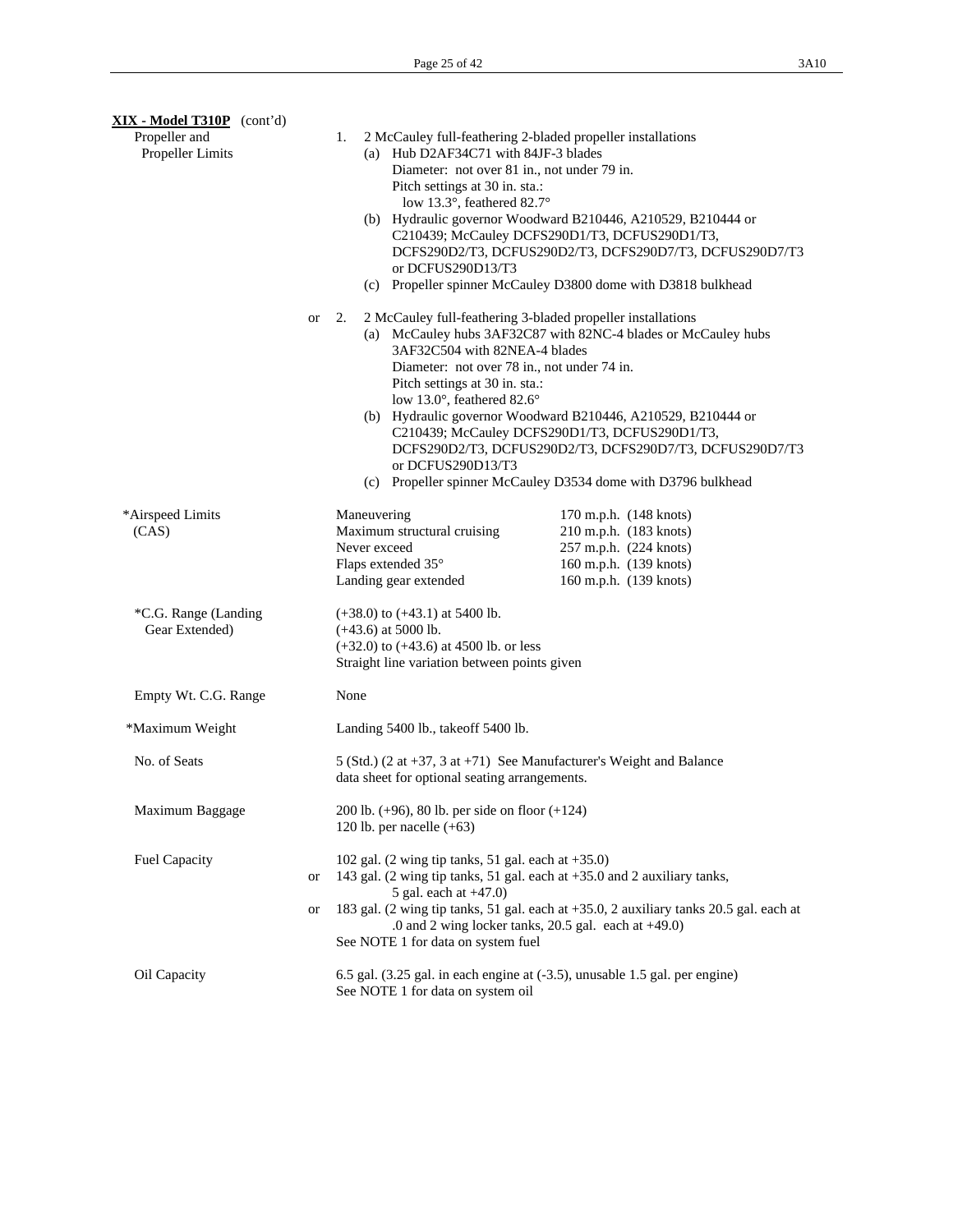| XIX - Model T310P (cont'd)             |          |                                                                                                                                                                                |                                                                                                                                                                                                                                                                                                                                                                              |  |  |
|----------------------------------------|----------|--------------------------------------------------------------------------------------------------------------------------------------------------------------------------------|------------------------------------------------------------------------------------------------------------------------------------------------------------------------------------------------------------------------------------------------------------------------------------------------------------------------------------------------------------------------------|--|--|
| Propeller and<br>Propeller Limits      |          | 1.<br>(a) Hub D2AF34C71 with 84JF-3 blades<br>Diameter: not over 81 in., not under 79 in.<br>Pitch settings at 30 in. sta.:<br>low 13.3°, feathered 82.7°<br>or DCFUS290D13/T3 | 2 McCauley full-feathering 2-bladed propeller installations<br>(b) Hydraulic governor Woodward B210446, A210529, B210444 or<br>C210439; McCauley DCFS290D1/T3, DCFUS290D1/T3,<br>DCFS290D2/T3, DCFUS290D2/T3, DCFS290D7/T3, DCFUS290D7/T3<br>(c) Propeller spinner McCauley D3800 dome with D3818 bulkhead                                                                   |  |  |
|                                        | or       | 2.<br>3AF32C504 with 82NEA-4 blades<br>Diameter: not over 78 in., not under 74 in.<br>Pitch settings at 30 in. sta.:<br>low 13.0°, feathered 82.6°<br>or DCFUS290D13/T3        | 2 McCauley full-feathering 3-bladed propeller installations<br>(a) McCauley hubs 3AF32C87 with 82NC-4 blades or McCauley hubs<br>(b) Hydraulic governor Woodward B210446, A210529, B210444 or<br>C210439; McCauley DCFS290D1/T3, DCFUS290D1/T3,<br>DCFS290D2/T3, DCFUS290D2/T3, DCFS290D7/T3, DCFUS290D7/T3<br>(c) Propeller spinner McCauley D3534 dome with D3796 bulkhead |  |  |
| *Airspeed Limits<br>(CAS)              |          | Maneuvering<br>Maximum structural cruising<br>Never exceed<br>Flaps extended 35°<br>Landing gear extended                                                                      | 170 m.p.h. (148 knots)<br>210 m.p.h. (183 knots)<br>257 m.p.h. (224 knots)<br>160 m.p.h. (139 knots)<br>160 m.p.h. (139 knots)                                                                                                                                                                                                                                               |  |  |
| *C.G. Range (Landing<br>Gear Extended) |          | $(+38.0)$ to $(+43.1)$ at 5400 lb.<br>$(+43.6)$ at 5000 lb.<br>$(+32.0)$ to $(+43.6)$ at 4500 lb. or less<br>Straight line variation between points given                      |                                                                                                                                                                                                                                                                                                                                                                              |  |  |
| Empty Wt. C.G. Range                   |          | None                                                                                                                                                                           |                                                                                                                                                                                                                                                                                                                                                                              |  |  |
| *Maximum Weight                        |          | Landing 5400 lb., take of 5400 lb.                                                                                                                                             |                                                                                                                                                                                                                                                                                                                                                                              |  |  |
| No. of Seats                           |          | data sheet for optional seating arrangements.                                                                                                                                  | 5 (Std.) (2 at $+37$ , 3 at $+71$ ) See Manufacturer's Weight and Balance                                                                                                                                                                                                                                                                                                    |  |  |
| Maximum Baggage                        |          | 200 lb. $(+96)$ , 80 lb. per side on floor $(+124)$<br>120 lb. per nacelle $(+63)$                                                                                             |                                                                                                                                                                                                                                                                                                                                                                              |  |  |
| Fuel Capacity                          | or<br>or | 5 gal. each at $+47.0$ )                                                                                                                                                       | 102 gal. (2 wing tip tanks, 51 gal. each at $+35.0$ )<br>143 gal. (2 wing tip tanks, 51 gal. each at +35.0 and 2 auxiliary tanks,<br>183 gal. (2 wing tip tanks, 51 gal. each at +35.0, 2 auxiliary tanks 20.5 gal. each at<br>.0 and 2 wing locker tanks, $20.5$ gal. each at $+49.0$ )<br>See NOTE 1 for data on system fuel                                               |  |  |
| Oil Capacity                           |          | See NOTE 1 for data on system oil                                                                                                                                              | 6.5 gal. (3.25 gal. in each engine at (-3.5), unusable 1.5 gal. per engine)                                                                                                                                                                                                                                                                                                  |  |  |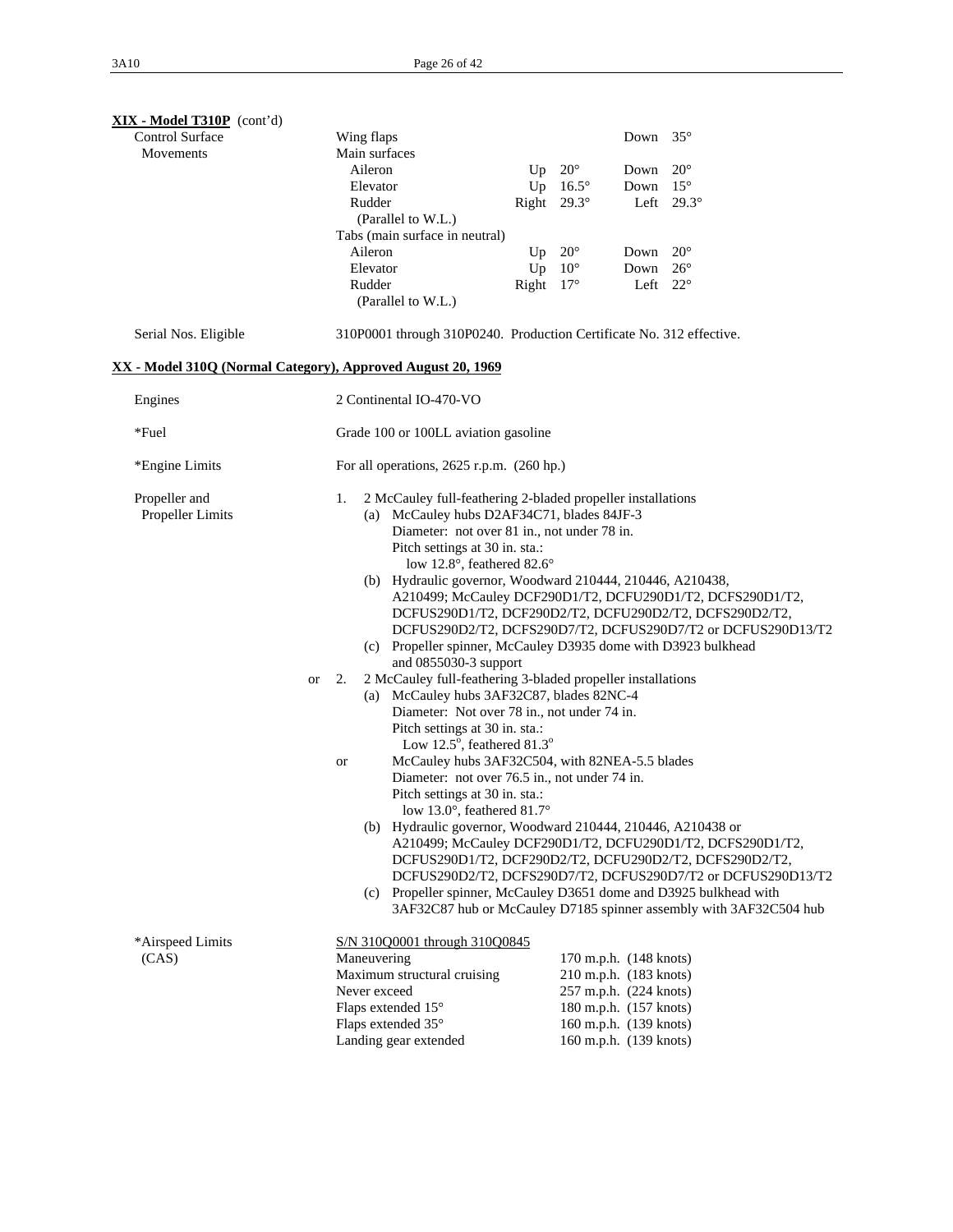| $XIX - Model T310P (cont'd)$                                |           |                                                                                                                                                                                                                                                                                                                                                                                                                                                                                                                                                                                                                                                                                                                                                                                                                                                                                                                                                                               |                    |              |                                                                                                                                                          |                                                                                                                                                                                                                                                                                                                                                                                                                                                      |
|-------------------------------------------------------------|-----------|-------------------------------------------------------------------------------------------------------------------------------------------------------------------------------------------------------------------------------------------------------------------------------------------------------------------------------------------------------------------------------------------------------------------------------------------------------------------------------------------------------------------------------------------------------------------------------------------------------------------------------------------------------------------------------------------------------------------------------------------------------------------------------------------------------------------------------------------------------------------------------------------------------------------------------------------------------------------------------|--------------------|--------------|----------------------------------------------------------------------------------------------------------------------------------------------------------|------------------------------------------------------------------------------------------------------------------------------------------------------------------------------------------------------------------------------------------------------------------------------------------------------------------------------------------------------------------------------------------------------------------------------------------------------|
| <b>Control Surface</b>                                      |           | Wing flaps                                                                                                                                                                                                                                                                                                                                                                                                                                                                                                                                                                                                                                                                                                                                                                                                                                                                                                                                                                    |                    |              | Down                                                                                                                                                     | $35^{\circ}$                                                                                                                                                                                                                                                                                                                                                                                                                                         |
| Movements                                                   |           | Main surfaces<br>Aileron                                                                                                                                                                                                                                                                                                                                                                                                                                                                                                                                                                                                                                                                                                                                                                                                                                                                                                                                                      | Up                 | $20^{\circ}$ | Down                                                                                                                                                     | $20^{\circ}$                                                                                                                                                                                                                                                                                                                                                                                                                                         |
|                                                             |           | Elevator                                                                                                                                                                                                                                                                                                                                                                                                                                                                                                                                                                                                                                                                                                                                                                                                                                                                                                                                                                      | Up                 | $16.5^\circ$ | Down                                                                                                                                                     | $15^{\circ}$                                                                                                                                                                                                                                                                                                                                                                                                                                         |
|                                                             |           | Rudder                                                                                                                                                                                                                                                                                                                                                                                                                                                                                                                                                                                                                                                                                                                                                                                                                                                                                                                                                                        | Right $29.3^\circ$ |              | Left                                                                                                                                                     | $29.3^\circ$                                                                                                                                                                                                                                                                                                                                                                                                                                         |
|                                                             |           | (Parallel to W.L.)                                                                                                                                                                                                                                                                                                                                                                                                                                                                                                                                                                                                                                                                                                                                                                                                                                                                                                                                                            |                    |              |                                                                                                                                                          |                                                                                                                                                                                                                                                                                                                                                                                                                                                      |
|                                                             |           | Tabs (main surface in neutral)                                                                                                                                                                                                                                                                                                                                                                                                                                                                                                                                                                                                                                                                                                                                                                                                                                                                                                                                                |                    |              |                                                                                                                                                          |                                                                                                                                                                                                                                                                                                                                                                                                                                                      |
|                                                             |           | Aileron                                                                                                                                                                                                                                                                                                                                                                                                                                                                                                                                                                                                                                                                                                                                                                                                                                                                                                                                                                       | Up                 | $20^{\circ}$ | Down                                                                                                                                                     | $20^{\circ}$                                                                                                                                                                                                                                                                                                                                                                                                                                         |
|                                                             |           | Elevator                                                                                                                                                                                                                                                                                                                                                                                                                                                                                                                                                                                                                                                                                                                                                                                                                                                                                                                                                                      | Up                 | $10^{\circ}$ | Down                                                                                                                                                     | $26^{\circ}$                                                                                                                                                                                                                                                                                                                                                                                                                                         |
|                                                             |           | Rudder<br>(Parallel to W.L.)                                                                                                                                                                                                                                                                                                                                                                                                                                                                                                                                                                                                                                                                                                                                                                                                                                                                                                                                                  | Right              | $17^{\circ}$ | Left                                                                                                                                                     | $22^{\circ}$                                                                                                                                                                                                                                                                                                                                                                                                                                         |
| Serial Nos. Eligible                                        |           | 310P0001 through 310P0240. Production Certificate No. 312 effective.                                                                                                                                                                                                                                                                                                                                                                                                                                                                                                                                                                                                                                                                                                                                                                                                                                                                                                          |                    |              |                                                                                                                                                          |                                                                                                                                                                                                                                                                                                                                                                                                                                                      |
| XX - Model 310Q (Normal Category), Approved August 20, 1969 |           |                                                                                                                                                                                                                                                                                                                                                                                                                                                                                                                                                                                                                                                                                                                                                                                                                                                                                                                                                                               |                    |              |                                                                                                                                                          |                                                                                                                                                                                                                                                                                                                                                                                                                                                      |
| Engines                                                     |           | 2 Continental IO-470-VO                                                                                                                                                                                                                                                                                                                                                                                                                                                                                                                                                                                                                                                                                                                                                                                                                                                                                                                                                       |                    |              |                                                                                                                                                          |                                                                                                                                                                                                                                                                                                                                                                                                                                                      |
| *Fuel                                                       |           | Grade 100 or 100LL aviation gasoline                                                                                                                                                                                                                                                                                                                                                                                                                                                                                                                                                                                                                                                                                                                                                                                                                                                                                                                                          |                    |              |                                                                                                                                                          |                                                                                                                                                                                                                                                                                                                                                                                                                                                      |
| *Engine Limits                                              |           | For all operations, $2625$ r.p.m. $(260$ hp.)                                                                                                                                                                                                                                                                                                                                                                                                                                                                                                                                                                                                                                                                                                                                                                                                                                                                                                                                 |                    |              |                                                                                                                                                          |                                                                                                                                                                                                                                                                                                                                                                                                                                                      |
| Propeller and<br>Propeller Limits                           | <b>or</b> | 2 McCauley full-feathering 2-bladed propeller installations<br>1.<br>(a) McCauley hubs D2AF34C71, blades 84JF-3<br>Diameter: not over 81 in., not under 78 in.<br>Pitch settings at 30 in. sta.:<br>low 12.8°, feathered 82.6°<br>(b) Hydraulic governor, Woodward 210444, 210446, A210438,<br>(c) Propeller spinner, McCauley D3935 dome with D3923 bulkhead<br>and 0855030-3 support<br>2 McCauley full-feathering 3-bladed propeller installations<br>2.<br>(a) McCauley hubs 3AF32C87, blades 82NC-4<br>Diameter: Not over 78 in., not under 74 in.<br>Pitch settings at 30 in. sta.:<br>Low $12.5^{\circ}$ , feathered $81.3^{\circ}$<br>McCauley hubs 3AF32C504, with 82NEA-5.5 blades<br>or<br>Diameter: not over 76.5 in., not under 74 in.<br>Pitch settings at 30 in. sta.:<br>low 13.0 $^{\circ}$ , feathered 81.7 $^{\circ}$<br>(b) Hydraulic governor, Woodward 210444, 210446, A210438 or<br>(c) Propeller spinner, McCauley D3651 dome and D3925 bulkhead with |                    |              |                                                                                                                                                          | A210499; McCauley DCF290D1/T2, DCFU290D1/T2, DCFS290D1/T2,<br>DCFUS290D1/T2, DCF290D2/T2, DCFU290D2/T2, DCFS290D2/T2,<br>DCFUS290D2/T2, DCFS290D7/T2, DCFUS290D7/T2 or DCFUS290D13/T2<br>A210499; McCauley DCF290D1/T2, DCFU290D1/T2, DCFS290D1/T2,<br>DCFUS290D1/T2, DCF290D2/T2, DCFU290D2/T2, DCFS290D2/T2,<br>DCFUS290D2/T2, DCFS290D7/T2, DCFUS290D7/T2 or DCFUS290D13/T2<br>3AF32C87 hub or McCauley D7185 spinner assembly with 3AF32C504 hub |
| *Airspeed Limits<br>(CAS)                                   |           | S/N 310Q0001 through 310Q0845<br>Maneuvering<br>Maximum structural cruising<br>Never exceed<br>Flaps extended 15°<br>Flaps extended 35°<br>Landing gear extended                                                                                                                                                                                                                                                                                                                                                                                                                                                                                                                                                                                                                                                                                                                                                                                                              |                    |              | 170 m.p.h. (148 knots)<br>210 m.p.h. (183 knots)<br>257 m.p.h. (224 knots)<br>180 m.p.h. (157 knots)<br>160 m.p.h. (139 knots)<br>160 m.p.h. (139 knots) |                                                                                                                                                                                                                                                                                                                                                                                                                                                      |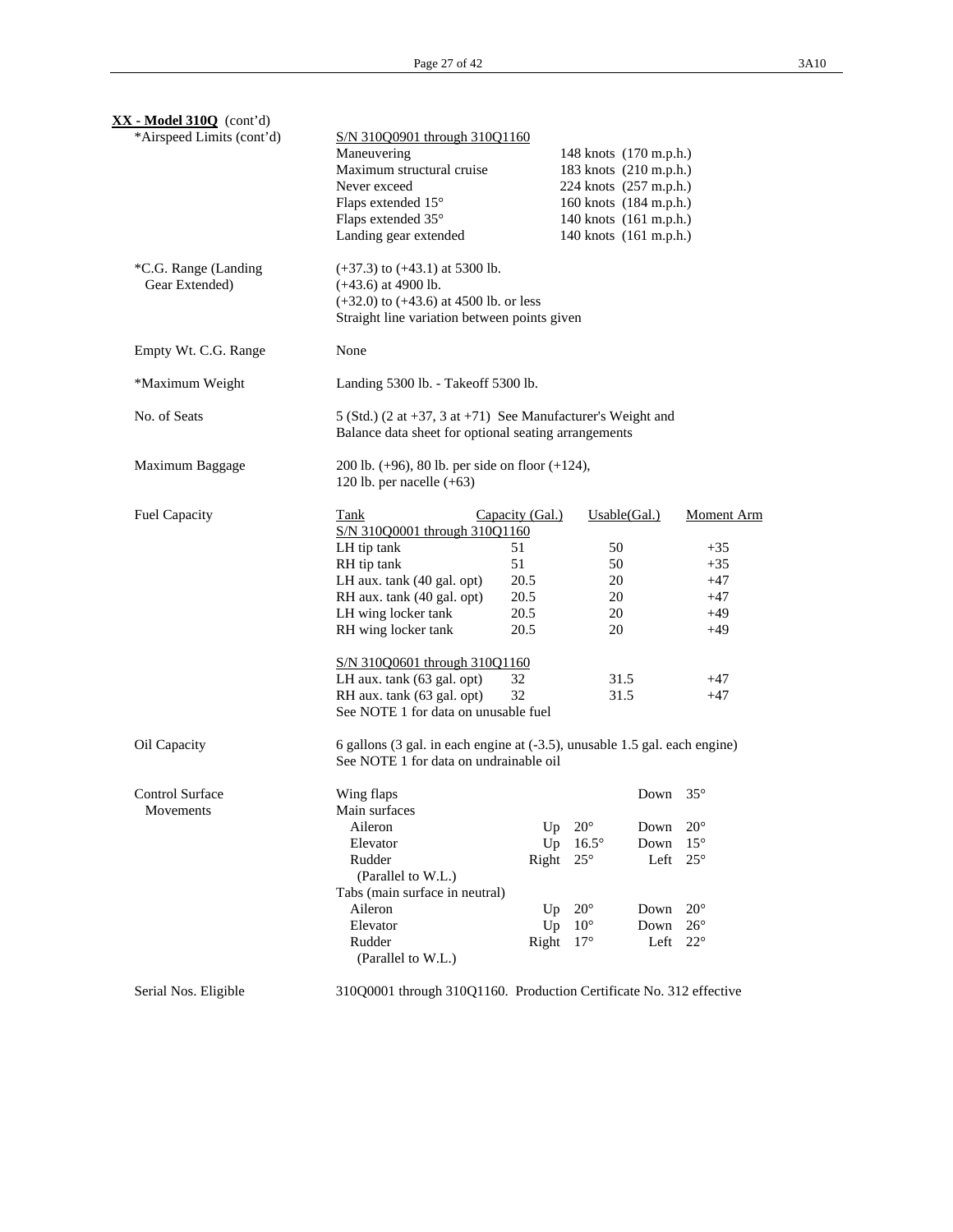| $\overline{\text{XX}}$ - Model 310Q (cont'd) |                                                                                                                                                           |                 |              |                                                  |              |
|----------------------------------------------|-----------------------------------------------------------------------------------------------------------------------------------------------------------|-----------------|--------------|--------------------------------------------------|--------------|
| *Airspeed Limits (cont'd)                    | S/N 310Q0901 through 310Q1160                                                                                                                             |                 |              |                                                  |              |
|                                              | Maneuvering<br>Maximum structural cruise                                                                                                                  |                 |              | 148 knots (170 m.p.h.)<br>183 knots (210 m.p.h.) |              |
|                                              | Never exceed                                                                                                                                              |                 |              | 224 knots (257 m.p.h.)                           |              |
|                                              | Flaps extended 15°                                                                                                                                        |                 |              | 160 knots (184 m.p.h.)                           |              |
|                                              | Flaps extended 35°                                                                                                                                        |                 |              | 140 knots (161 m.p.h.)                           |              |
|                                              | Landing gear extended                                                                                                                                     |                 |              | 140 knots (161 m.p.h.)                           |              |
| *C.G. Range (Landing<br>Gear Extended)       | $(+37.3)$ to $(+43.1)$ at 5300 lb.<br>$(+43.6)$ at 4900 lb.<br>$(+32.0)$ to $(+43.6)$ at 4500 lb. or less<br>Straight line variation between points given |                 |              |                                                  |              |
| Empty Wt. C.G. Range                         | None                                                                                                                                                      |                 |              |                                                  |              |
| *Maximum Weight                              | Landing 5300 lb. - Takeoff 5300 lb.                                                                                                                       |                 |              |                                                  |              |
| No. of Seats                                 | 5 (Std.) (2 at +37, 3 at +71) See Manufacturer's Weight and<br>Balance data sheet for optional seating arrangements                                       |                 |              |                                                  |              |
| Maximum Baggage                              | 200 lb. $(+96)$ , 80 lb. per side on floor $(+124)$ ,<br>120 lb. per nacelle $(+63)$                                                                      |                 |              |                                                  |              |
| Fuel Capacity                                | Tank<br>S/N 310Q0001 through 310Q1160                                                                                                                     | Capacity (Gal.) |              | Usable(Gal.)                                     | Moment Arm   |
|                                              | LH tip tank                                                                                                                                               | 51              | 50           |                                                  | $+35$        |
|                                              | RH tip tank                                                                                                                                               | 51              | 50           |                                                  | $+35$        |
|                                              | LH aux. tank (40 gal. opt)                                                                                                                                | 20.5            | 20           |                                                  | $+47$        |
|                                              | RH aux. tank (40 gal. opt)                                                                                                                                | 20.5            | 20           |                                                  | $+47$        |
|                                              | LH wing locker tank                                                                                                                                       | 20.5            | 20           |                                                  | $+49$        |
|                                              | RH wing locker tank                                                                                                                                       | 20.5            | 20           |                                                  | $+49$        |
|                                              | S/N 310Q0601 through 310Q1160                                                                                                                             |                 |              |                                                  |              |
|                                              | LH aux. tank (63 gal. opt)                                                                                                                                | 32              |              | 31.5                                             | $+47$        |
|                                              | RH aux. tank (63 gal. opt)<br>See NOTE 1 for data on unusable fuel                                                                                        | 32              |              | 31.5                                             | $+47$        |
| Oil Capacity                                 | 6 gallons (3 gal. in each engine at (-3.5), unusable 1.5 gal. each engine)<br>See NOTE 1 for data on undrainable oil                                      |                 |              |                                                  |              |
| Control Surface                              | Wing flaps                                                                                                                                                |                 |              | Down 35°                                         |              |
| Movements                                    | Main surfaces                                                                                                                                             |                 |              |                                                  |              |
|                                              | Aileron                                                                                                                                                   | Up              | $20^{\circ}$ | Down                                             | $20^{\circ}$ |
|                                              | Elevator                                                                                                                                                  | Up              | $16.5^\circ$ | Down                                             | $15^{\circ}$ |
|                                              | Rudder                                                                                                                                                    | Right           | $25^{\circ}$ | Left                                             | $25^{\circ}$ |
|                                              | (Parallel to W.L.)                                                                                                                                        |                 |              |                                                  |              |
|                                              | Tabs (main surface in neutral)                                                                                                                            |                 |              |                                                  |              |
|                                              | Aileron                                                                                                                                                   | Up              | $20^{\circ}$ | Down                                             | $20^{\circ}$ |
|                                              | Elevator                                                                                                                                                  | Up              | $10^{\circ}$ | Down                                             | $26^{\circ}$ |
|                                              | Rudder<br>(Parallel to W.L.)                                                                                                                              | Right           | $17^{\circ}$ | Left                                             | $22^{\circ}$ |
| Serial Nos. Eligible                         | 310Q0001 through 310Q1160. Production Certificate No. 312 effective                                                                                       |                 |              |                                                  |              |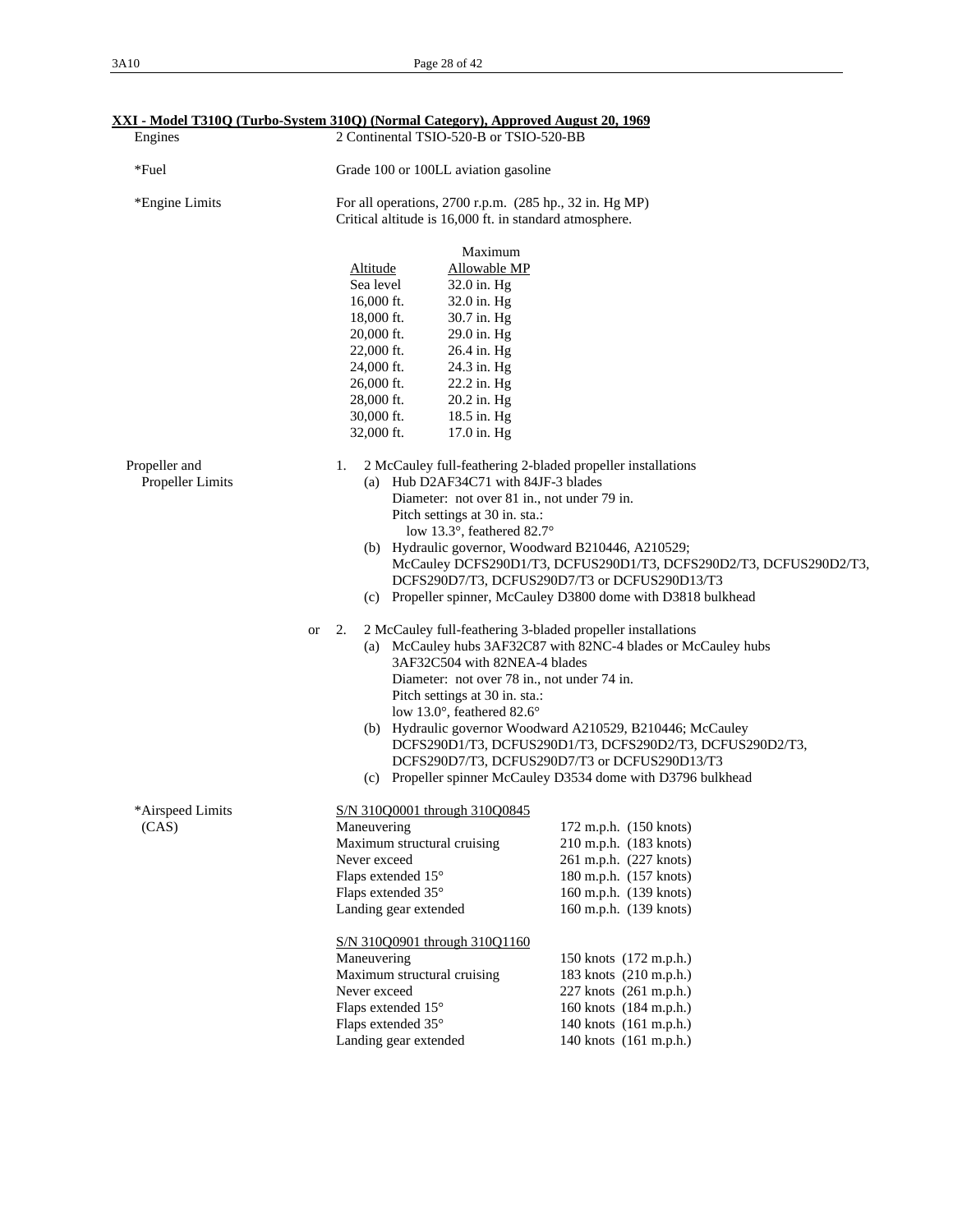| Engines                           | <u> XXI - Mouch 1910Q (1urbo-bystem 910Q) (Inormal Category), Approved August 20, 1909</u><br>2 Continental TSIO-520-B or TSIO-520-BB                                                                                                                                                                                                |                                                                                                                                                                                                                                                                                                                      |
|-----------------------------------|--------------------------------------------------------------------------------------------------------------------------------------------------------------------------------------------------------------------------------------------------------------------------------------------------------------------------------------|----------------------------------------------------------------------------------------------------------------------------------------------------------------------------------------------------------------------------------------------------------------------------------------------------------------------|
| *Fuel                             | Grade 100 or 100LL aviation gasoline                                                                                                                                                                                                                                                                                                 |                                                                                                                                                                                                                                                                                                                      |
| *Engine Limits                    | For all operations, 2700 r.p.m. (285 hp., 32 in. Hg MP)<br>Critical altitude is 16,000 ft. in standard atmosphere.                                                                                                                                                                                                                   |                                                                                                                                                                                                                                                                                                                      |
|                                   | Maximum<br>Altitude<br>Allowable MP<br>Sea level<br>32.0 in. Hg<br>16,000 ft.<br>32.0 in. Hg<br>18,000 ft.<br>30.7 in. Hg<br>20,000 ft.<br>29.0 in. Hg<br>22,000 ft.<br>26.4 in. Hg<br>24,000 ft.<br>24.3 in. Hg<br>22.2 in. Hg<br>26,000 ft.<br>20.2 in. Hg<br>28,000 ft.<br>18.5 in. Hg<br>30,000 ft.<br>32,000 ft.<br>17.0 in. Hg |                                                                                                                                                                                                                                                                                                                      |
| Propeller and<br>Propeller Limits | 1.<br>2 McCauley full-feathering 2-bladed propeller installations<br>(a) Hub D2AF34C71 with 84JF-3 blades<br>Diameter: not over 81 in., not under 79 in.<br>Pitch settings at 30 in. sta.:<br>low 13.3°, feathered 82.7°<br>(b) Hydraulic governor, Woodward B210446, A210529;                                                       | McCauley DCFS290D1/T3, DCFUS290D1/T3, DCFS290D2/T3, DCFUS290D2/T3,<br>DCFS290D7/T3, DCFUS290D7/T3 or DCFUS290D13/T3<br>(c) Propeller spinner, McCauley D3800 dome with D3818 bulkhead                                                                                                                                |
| <b>or</b>                         | 2 McCauley full-feathering 3-bladed propeller installations<br>2.<br>3AF32C504 with 82NEA-4 blades<br>Diameter: not over 78 in., not under 74 in.<br>Pitch settings at 30 in. sta.:<br>low 13.0°, feathered 82.6°                                                                                                                    | (a) McCauley hubs 3AF32C87 with 82NC-4 blades or McCauley hubs<br>(b) Hydraulic governor Woodward A210529, B210446; McCauley<br>DCFS290D1/T3, DCFUS290D1/T3, DCFS290D2/T3, DCFUS290D2/T3,<br>DCFS290D7/T3, DCFUS290D7/T3 or DCFUS290D13/T3<br>(c) Propeller spinner McCauley D3534 dome with D3796 bulkhead          |
| *Airspeed Limits<br>(CAS)         | S/N 310Q0001 through 310Q0845<br>Maneuvering<br>Maximum structural cruising<br>Never exceed<br>Flaps extended 15°<br>Flaps extended 35°<br>Landing gear extended<br>S/N 310Q0901 through 310Q1160<br>Maneuvering<br>Maximum structural cruising<br>Never exceed<br>Flaps extended 15°<br>Flaps extended 35°<br>Landing gear extended | 172 m.p.h. (150 knots)<br>210 m.p.h. (183 knots)<br>261 m.p.h. (227 knots)<br>180 m.p.h. (157 knots)<br>160 m.p.h. (139 knots)<br>160 m.p.h. (139 knots)<br>150 knots (172 m.p.h.)<br>183 knots (210 m.p.h.)<br>227 knots (261 m.p.h.)<br>160 knots (184 m.p.h.)<br>140 knots (161 m.p.h.)<br>140 knots (161 m.p.h.) |

# **XXI - Model T310Q (Turbo-System 310Q) (Normal Category), Approved August 20, 1969**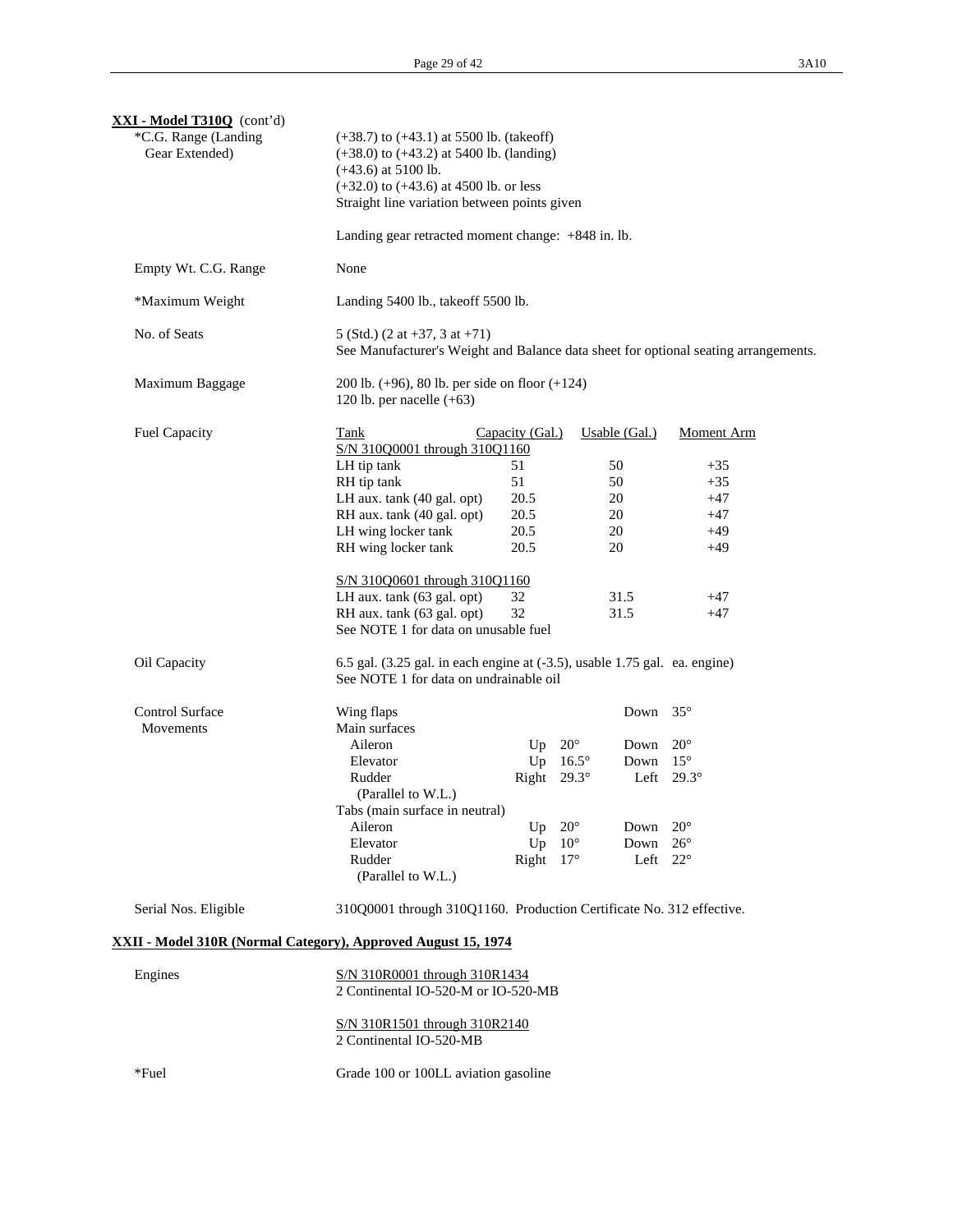| <b>XXI - Model T310Q</b> (cont'd)<br>*C.G. Range (Landing<br>Gear Extended) | $(+38.7)$ to $(+43.1)$ at 5500 lb. (takeoff)<br>$(+38.0)$ to $(+43.2)$ at 5400 lb. (landing)<br>$(+43.6)$ at 5100 lb.<br>$(+32.0)$ to $(+43.6)$ at 4500 lb. or less<br>Straight line variation between points given |                                                                                     |                                                                 |                                                         |                                                                                                   |  |
|-----------------------------------------------------------------------------|---------------------------------------------------------------------------------------------------------------------------------------------------------------------------------------------------------------------|-------------------------------------------------------------------------------------|-----------------------------------------------------------------|---------------------------------------------------------|---------------------------------------------------------------------------------------------------|--|
|                                                                             | Landing gear retracted moment change: +848 in. lb.                                                                                                                                                                  |                                                                                     |                                                                 |                                                         |                                                                                                   |  |
| Empty Wt. C.G. Range                                                        | None                                                                                                                                                                                                                |                                                                                     |                                                                 |                                                         |                                                                                                   |  |
| *Maximum Weight                                                             | Landing 5400 lb., takeoff 5500 lb.                                                                                                                                                                                  |                                                                                     |                                                                 |                                                         |                                                                                                   |  |
| No. of Seats                                                                | 5 (Std.) $(2 \text{ at } +37, 3 \text{ at } +71)$                                                                                                                                                                   | See Manufacturer's Weight and Balance data sheet for optional seating arrangements. |                                                                 |                                                         |                                                                                                   |  |
| Maximum Baggage                                                             | 200 lb. $(+96)$ , 80 lb. per side on floor $(+124)$<br>120 lb. per nacelle $(+63)$                                                                                                                                  |                                                                                     |                                                                 |                                                         |                                                                                                   |  |
| <b>Fuel Capacity</b>                                                        | Tank<br>S/N 310Q0001 through 310Q1160<br>LH tip tank<br>RH tip tank                                                                                                                                                 | Capacity (Gal.)<br>51<br>51                                                         |                                                                 | Usable (Gal.)<br>50<br>50                               | <b>Moment Arm</b><br>$+35$<br>$+35$                                                               |  |
|                                                                             | LH aux. tank (40 gal. opt)<br>RH aux. tank (40 gal. opt)<br>LH wing locker tank<br>RH wing locker tank                                                                                                              | 20.5<br>20.5<br>20.5<br>20.5                                                        |                                                                 | 20<br>20<br>20<br>20                                    | $+47$<br>$+47$<br>$+49$<br>$+49$                                                                  |  |
|                                                                             | S/N 310Q0601 through 310Q1160<br>LH aux. tank (63 gal. opt)<br>RH aux. tank (63 gal. opt)<br>See NOTE 1 for data on unusable fuel                                                                                   | 32<br>32                                                                            |                                                                 | 31.5<br>31.5                                            | $+47$<br>$+47$                                                                                    |  |
| Oil Capacity                                                                | $6.5$ gal. $(3.25$ gal. in each engine at $(-3.5)$ , usable 1.75 gal. ea. engine)<br>See NOTE 1 for data on undrainable oil                                                                                         |                                                                                     |                                                                 |                                                         |                                                                                                   |  |
| <b>Control Surface</b><br>Movements                                         | Wing flaps<br>Main surfaces<br>Aileron<br>Elevator<br>Rudder<br>(Parallel to W.L.)<br>Tabs (main surface in neutral)<br>Aileron<br>Elevator<br>Rudder<br>(Parallel to W.L.)                                         | Up<br>Right $29.3^\circ$<br>Up<br>Up<br>Right $17^\circ$                            | $20^{\circ}$<br>Up $16.5^\circ$<br>$20^{\circ}$<br>$10^{\circ}$ | Down $35^\circ$<br>Down<br>Down<br>Down<br>Down<br>Left | $20^{\circ}$<br>$15^{\circ}$<br>Left $29.3^\circ$<br>$20^{\circ}$<br>$26^{\circ}$<br>$22^{\circ}$ |  |
| Serial Nos. Eligible                                                        | 310Q0001 through 310Q1160. Production Certificate No. 312 effective.                                                                                                                                                |                                                                                     |                                                                 |                                                         |                                                                                                   |  |
| XXII - Model 310R (Normal Category), Approved August 15, 1974               |                                                                                                                                                                                                                     |                                                                                     |                                                                 |                                                         |                                                                                                   |  |
| Engines                                                                     | S/N 310R0001 through 310R1434<br>2 Continental IO-520-M or IO-520-MB                                                                                                                                                |                                                                                     |                                                                 |                                                         |                                                                                                   |  |
|                                                                             | S/N 310R1501 through 310R2140<br>2 Continental IO-520-MB                                                                                                                                                            |                                                                                     |                                                                 |                                                         |                                                                                                   |  |
| *Fuel                                                                       | Grade 100 or 100LL aviation gasoline                                                                                                                                                                                |                                                                                     |                                                                 |                                                         |                                                                                                   |  |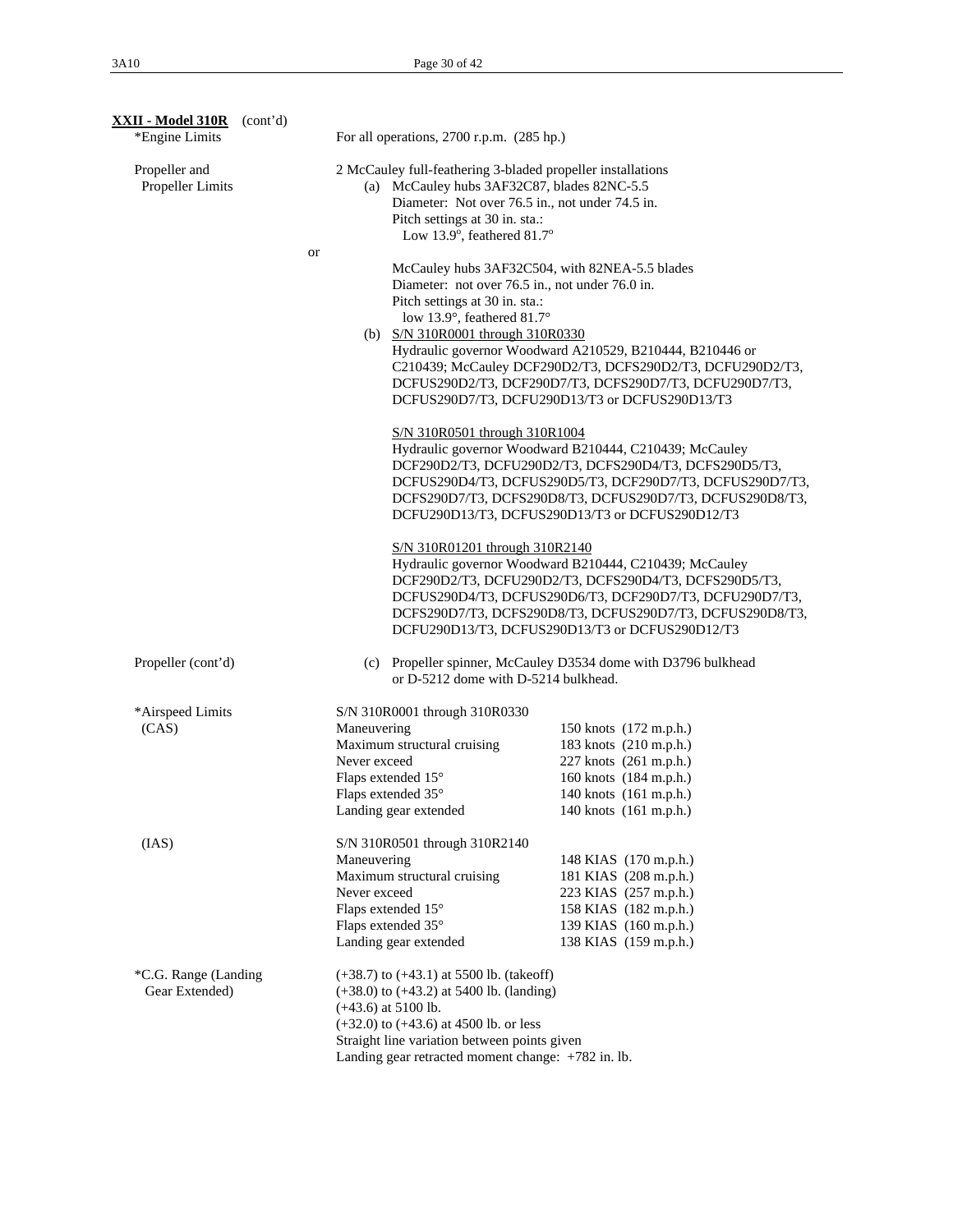| <b>XXII - Model 310R</b> (cont'd)<br>*Engine Limits | For all operations, 2700 r.p.m. (285 hp.)                                                                                                                                                                                                                                 |                                                                                                                                                                                                                                                                                                                                          |
|-----------------------------------------------------|---------------------------------------------------------------------------------------------------------------------------------------------------------------------------------------------------------------------------------------------------------------------------|------------------------------------------------------------------------------------------------------------------------------------------------------------------------------------------------------------------------------------------------------------------------------------------------------------------------------------------|
| Propeller and<br>Propeller Limits                   | 2 McCauley full-feathering 3-bladed propeller installations<br>(a) McCauley hubs 3AF32C87, blades 82NC-5.5<br>Pitch settings at 30 in. sta.:<br>Low 13.9°, feathered $81.7^\circ$                                                                                         | Diameter: Not over 76.5 in., not under 74.5 in.                                                                                                                                                                                                                                                                                          |
|                                                     | or<br>Pitch settings at 30 in. sta.:<br>low 13.9°, feathered 81.7°<br>(b) S/N 310R0001 through 310R0330                                                                                                                                                                   | McCauley hubs 3AF32C504, with 82NEA-5.5 blades<br>Diameter: not over 76.5 in., not under 76.0 in.<br>Hydraulic governor Woodward A210529, B210444, B210446 or<br>C210439; McCauley DCF290D2/T3, DCFS290D2/T3, DCFU290D2/T3,<br>DCFUS290D2/T3, DCF290D7/T3, DCFS290D7/T3, DCFU290D7/T3,<br>DCFUS290D7/T3, DCFU290D13/T3 or DCFUS290D13/T3 |
|                                                     | S/N 310R0501 through 310R1004                                                                                                                                                                                                                                             | Hydraulic governor Woodward B210444, C210439; McCauley<br>DCF290D2/T3, DCFU290D2/T3, DCFS290D4/T3, DCFS290D5/T3,<br>DCFUS290D4/T3, DCFUS290D5/T3, DCF290D7/T3, DCFUS290D7/T3,<br>DCFS290D7/T3, DCFS290D8/T3, DCFUS290D7/T3, DCFUS290D8/T3,<br>DCFU290D13/T3, DCFUS290D13/T3 or DCFUS290D12/T3                                            |
|                                                     | S/N 310R01201 through 310R2140                                                                                                                                                                                                                                            | Hydraulic governor Woodward B210444, C210439; McCauley<br>DCF290D2/T3, DCFU290D2/T3, DCFS290D4/T3, DCFS290D5/T3,<br>DCFUS290D4/T3, DCFUS290D6/T3, DCF290D7/T3, DCFU290D7/T3,<br>DCFS290D7/T3, DCFS290D8/T3, DCFUS290D7/T3, DCFUS290D8/T3,<br>DCFU290D13/T3, DCFUS290D13/T3 or DCFUS290D12/T3                                             |
| Propeller (cont'd)                                  | (c)<br>or D-5212 dome with D-5214 bulkhead.                                                                                                                                                                                                                               | Propeller spinner, McCauley D3534 dome with D3796 bulkhead                                                                                                                                                                                                                                                                               |
| *Airspeed Limits<br>(CAS)                           | S/N 310R0001 through 310R0330<br>Maneuvering<br>Maximum structural cruising<br>Never exceed<br>Flaps extended 15°<br>Flaps extended 35°<br>Landing gear extended                                                                                                          | 150 knots (172 m.p.h.)<br>183 knots (210 m.p.h.)<br>227 knots (261 m.p.h.)<br>160 knots (184 m.p.h.)<br>140 knots (161 m.p.h.)<br>140 knots (161 m.p.h.)                                                                                                                                                                                 |
| (IAS)                                               | S/N 310R0501 through 310R2140<br>Maneuvering<br>Maximum structural cruising<br>Never exceed<br>Flaps extended 15°<br>Flaps extended 35°<br>Landing gear extended                                                                                                          | 148 KIAS (170 m.p.h.)<br>181 KIAS (208 m.p.h.)<br>223 KIAS (257 m.p.h.)<br>158 KIAS (182 m.p.h.)<br>139 KIAS (160 m.p.h.)<br>138 KIAS (159 m.p.h.)                                                                                                                                                                                       |
| *C.G. Range (Landing<br>Gear Extended)              | $(+38.7)$ to $(+43.1)$ at 5500 lb. (takeoff)<br>$(+38.0)$ to $(+43.2)$ at 5400 lb. (landing)<br>$(+43.6)$ at 5100 lb.<br>$(+32.0)$ to $(+43.6)$ at 4500 lb. or less<br>Straight line variation between points given<br>Landing gear retracted moment change: +782 in. lb. |                                                                                                                                                                                                                                                                                                                                          |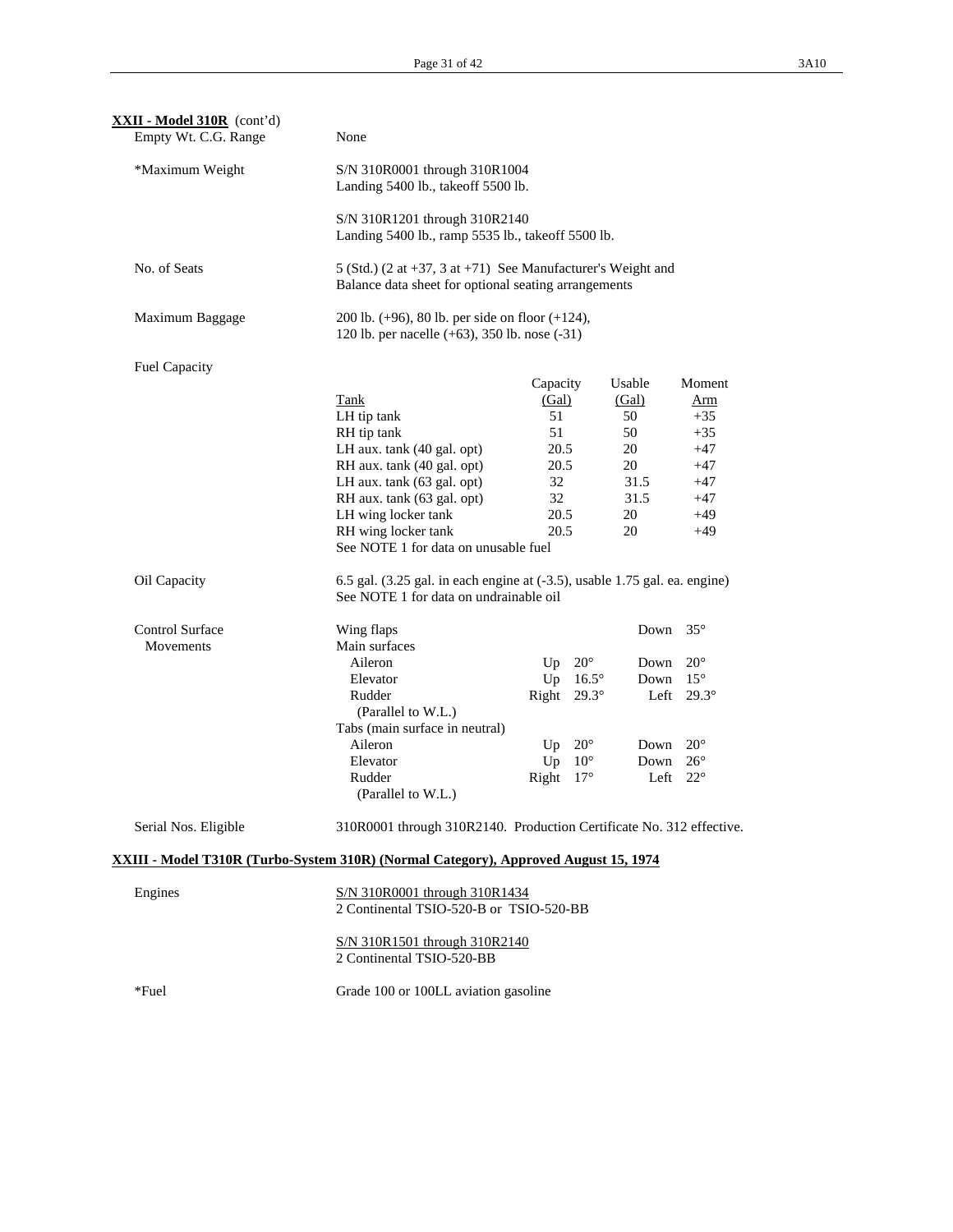| XXII - Model 310R (cont'd)<br>Empty Wt. C.G. Range | None                                                                                                                 |                    |              |          |                |
|----------------------------------------------------|----------------------------------------------------------------------------------------------------------------------|--------------------|--------------|----------|----------------|
| *Maximum Weight                                    | S/N 310R0001 through 310R1004<br>Landing 5400 lb., takeoff 5500 lb.                                                  |                    |              |          |                |
|                                                    | S/N 310R1201 through 310R2140<br>Landing 5400 lb., ramp 5535 lb., takeoff 5500 lb.                                   |                    |              |          |                |
| No. of Seats                                       | 5 (Std.) (2 at +37, 3 at +71) See Manufacturer's Weight and<br>Balance data sheet for optional seating arrangements  |                    |              |          |                |
| Maximum Baggage                                    | 200 lb. $(+96)$ , 80 lb. per side on floor $(+124)$ ,<br>120 lb. per nacelle (+63), 350 lb. nose (-31)               |                    |              |          |                |
| <b>Fuel Capacity</b>                               |                                                                                                                      |                    |              |          |                |
|                                                    |                                                                                                                      | Capacity           |              | Usable   | Moment         |
|                                                    | <b>Tank</b>                                                                                                          | (Gal)              |              | (Gal)    | <u>Arm</u>     |
|                                                    | LH tip tank                                                                                                          | 51                 |              | 50       | $+35$          |
|                                                    | RH tip tank                                                                                                          | 51                 |              | 50       | $+35$          |
|                                                    | LH aux. tank (40 gal. opt)                                                                                           | 20.5               |              | 20       | $+47$          |
|                                                    | RH aux. tank (40 gal. opt)                                                                                           | 20.5               |              | 20       | $+47$          |
|                                                    | LH aux. tank (63 gal. opt)                                                                                           | 32                 |              | 31.5     | $+47$          |
|                                                    | RH aux. tank (63 gal. opt)                                                                                           | 32                 |              | 31.5     | $+47$          |
|                                                    | LH wing locker tank                                                                                                  | 20.5<br>20.5       |              | 20<br>20 | $+49$<br>$+49$ |
|                                                    | RH wing locker tank<br>See NOTE 1 for data on unusable fuel                                                          |                    |              |          |                |
| Oil Capacity                                       | 6.5 gal. (3.25 gal. in each engine at (-3.5), usable 1.75 gal. ea. engine)<br>See NOTE 1 for data on undrainable oil |                    |              |          |                |
| <b>Control Surface</b>                             | Wing flaps                                                                                                           |                    |              | Down     | $35^{\circ}$   |
| Movements                                          | Main surfaces                                                                                                        |                    |              |          |                |
|                                                    | Aileron                                                                                                              | Up                 | $20^{\circ}$ | Down     | $20^{\circ}$   |
|                                                    | Elevator                                                                                                             | Up                 | $16.5^\circ$ | Down     | $15^{\circ}$   |
|                                                    | Rudder                                                                                                               | Right $29.3^\circ$ |              | Left     | $29.3^\circ$   |
|                                                    | (Parallel to W.L.)                                                                                                   |                    |              |          |                |
|                                                    | Tabs (main surface in neutral)                                                                                       |                    |              |          |                |
|                                                    | Aileron                                                                                                              | Up                 | $20^{\circ}$ | Down     | $20^{\circ}$   |
|                                                    | Elevator                                                                                                             | Up                 | $10^{\circ}$ | Down     | $26^{\circ}$   |
|                                                    | Rudder                                                                                                               | Right              | $17^{\circ}$ | Left     | $22^{\circ}$   |
|                                                    | (Parallel to W.L.)                                                                                                   |                    |              |          |                |
| Serial Nos. Eligible                               | 310R0001 through 310R2140. Production Certificate No. 312 effective.                                                 |                    |              |          |                |
|                                                    | XXIII - Model T310R (Turbo-System 310R) (Normal Category), Approved August 15, 1974                                  |                    |              |          |                |
|                                                    |                                                                                                                      |                    |              |          |                |
| Engines                                            | S/N 310R0001 through 310R1434<br>2 Continental TSIO-520-B or TSIO-520-BB                                             |                    |              |          |                |
|                                                    | S/N 310R1501 through 310R2140<br>2 Continental TSIO-520-BB                                                           |                    |              |          |                |
| *Fuel                                              | Grade 100 or 100LL aviation gasoline                                                                                 |                    |              |          |                |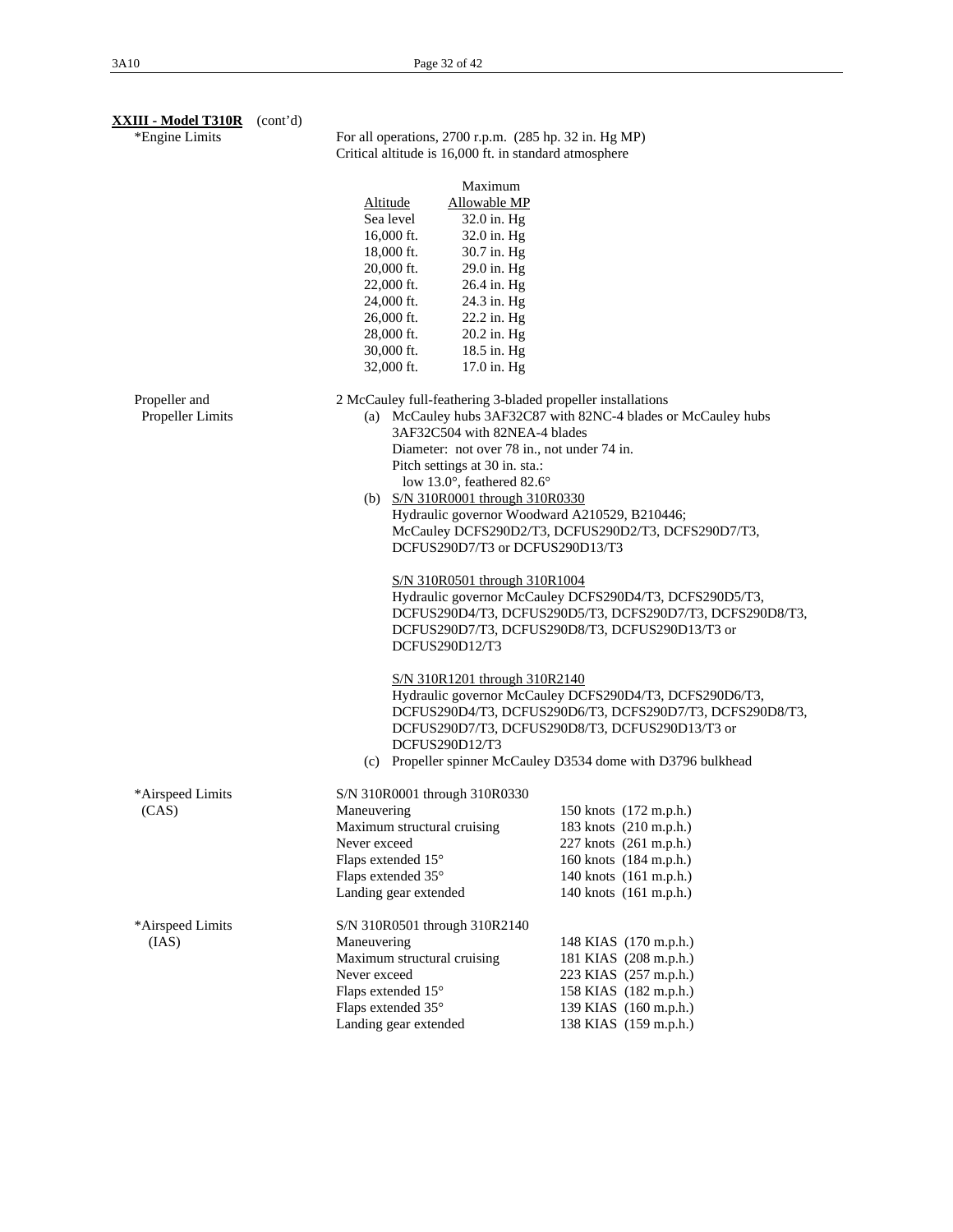| <b>XXIII - Model T310R</b> (cont'd)<br>*Engine Limits |                                                                                                                                                                                                                                                                                                                                                                                           | For all operations, 2700 r.p.m. (285 hp. 32 in. Hg MP)<br>Critical altitude is 16,000 ft. in standard atmosphere                                                                                                                                                                                                                                                                                                                                                                                                                                                                              |  |  |
|-------------------------------------------------------|-------------------------------------------------------------------------------------------------------------------------------------------------------------------------------------------------------------------------------------------------------------------------------------------------------------------------------------------------------------------------------------------|-----------------------------------------------------------------------------------------------------------------------------------------------------------------------------------------------------------------------------------------------------------------------------------------------------------------------------------------------------------------------------------------------------------------------------------------------------------------------------------------------------------------------------------------------------------------------------------------------|--|--|
|                                                       | Maximum<br><b>Allowable MP</b><br><b>Altitude</b><br>Sea level<br>32.0 in. Hg<br>16,000 ft.<br>32.0 in. Hg<br>30.7 in. Hg<br>18,000 ft.<br>20,000 ft.<br>29.0 in. Hg<br>22,000 ft.<br>26.4 in. Hg<br>24.3 in. Hg<br>24,000 ft.<br>22.2 in. Hg<br>26,000 ft.<br>28,000 ft.<br>20.2 in. Hg<br>30,000 ft.<br>18.5 in. Hg<br>32,000 ft.<br>17.0 in. Hg                                        |                                                                                                                                                                                                                                                                                                                                                                                                                                                                                                                                                                                               |  |  |
| Propeller and<br>Propeller Limits                     | 2 McCauley full-feathering 3-bladed propeller installations<br>3AF32C504 with 82NEA-4 blades<br>Diameter: not over 78 in., not under 74 in.<br>Pitch settings at 30 in. sta.:<br>low 13.0°, feathered 82.6°<br>(b) S/N 310R0001 through 310R0330<br>DCFUS290D7/T3 or DCFUS290D13/T3<br>S/N 310R0501 through 310R1004<br>DCFUS290D12/T3<br>S/N 310R1201 through 310R2140<br>DCFUS290D12/T3 | (a) McCauley hubs 3AF32C87 with 82NC-4 blades or McCauley hubs<br>Hydraulic governor Woodward A210529, B210446;<br>McCauley DCFS290D2/T3, DCFUS290D2/T3, DCFS290D7/T3,<br>Hydraulic governor McCauley DCFS290D4/T3, DCFS290D5/T3,<br>DCFUS290D4/T3, DCFUS290D5/T3, DCFS290D7/T3, DCFS290D8/T3,<br>DCFUS290D7/T3, DCFUS290D8/T3, DCFUS290D13/T3 or<br>Hydraulic governor McCauley DCFS290D4/T3, DCFS290D6/T3,<br>DCFUS290D4/T3, DCFUS290D6/T3, DCFS290D7/T3, DCFS290D8/T3,<br>DCFUS290D7/T3, DCFUS290D8/T3, DCFUS290D13/T3 or<br>(c) Propeller spinner McCauley D3534 dome with D3796 bulkhead |  |  |
| *Airspeed Limits<br>(CAS)                             | S/N 310R0001 through 310R0330<br>Maneuvering<br>Maximum structural cruising<br>Never exceed<br>Flaps extended 15°<br>Flaps extended 35°<br>Landing gear extended                                                                                                                                                                                                                          | 150 knots (172 m.p.h.)<br>183 knots (210 m.p.h.)<br>227 knots (261 m.p.h.)<br>160 knots (184 m.p.h.)<br>140 knots (161 m.p.h.)<br>140 knots (161 m.p.h.)                                                                                                                                                                                                                                                                                                                                                                                                                                      |  |  |
| *Airspeed Limits<br>(IAS)                             | S/N 310R0501 through 310R2140<br>Maneuvering<br>Maximum structural cruising<br>Never exceed<br>Flaps extended 15°<br>Flaps extended 35°<br>Landing gear extended                                                                                                                                                                                                                          | 148 KIAS (170 m.p.h.)<br>181 KIAS (208 m.p.h.)<br>223 KIAS (257 m.p.h.)<br>158 KIAS (182 m.p.h.)<br>139 KIAS (160 m.p.h.)<br>138 KIAS (159 m.p.h.)                                                                                                                                                                                                                                                                                                                                                                                                                                            |  |  |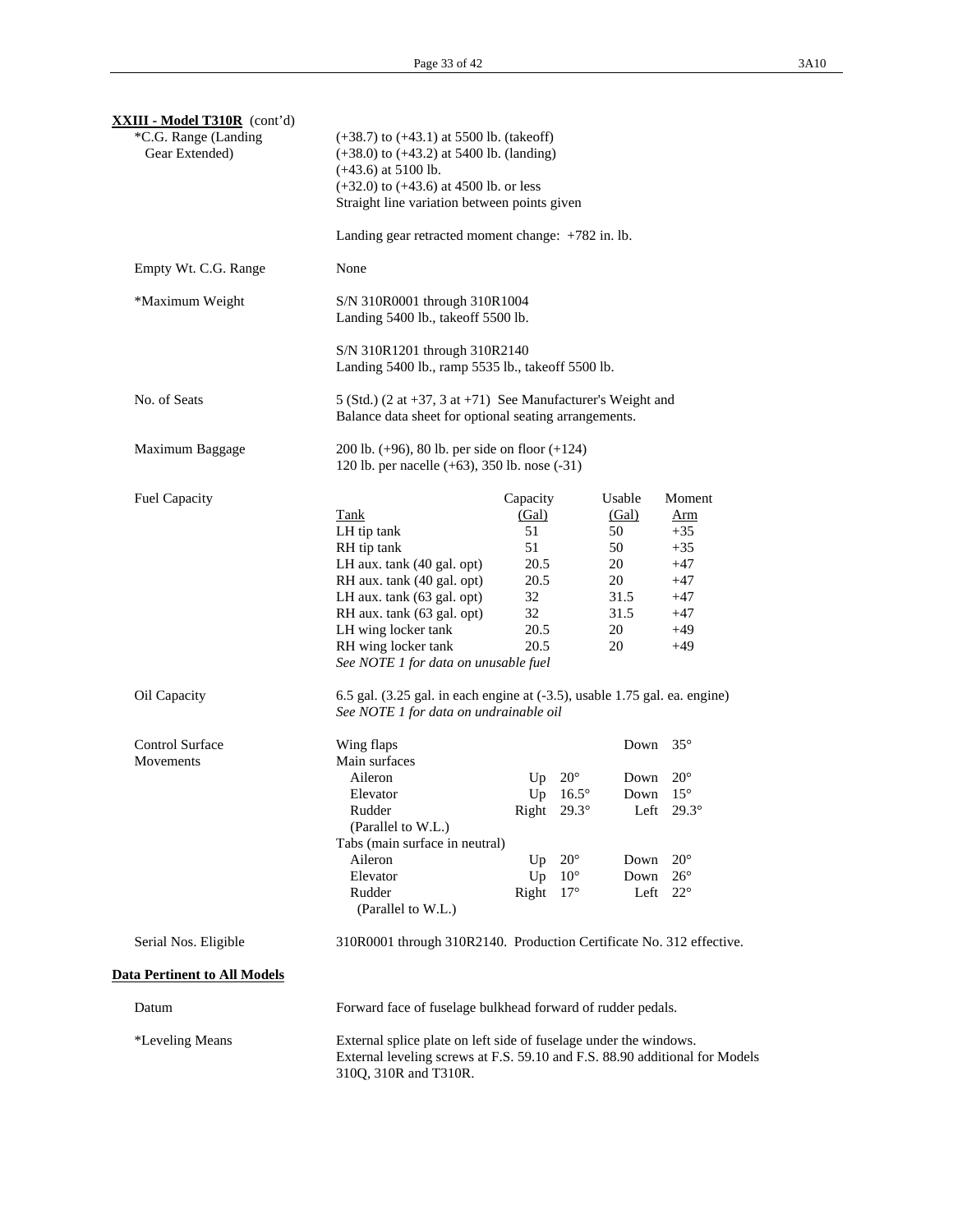| <b>XXIII - Model T310R</b> (cont'd)<br>*C.G. Range (Landing<br>Gear Extended) | $(+38.7)$ to $(+43.1)$ at 5500 lb. (takeoff)<br>$(+38.0)$ to $(+43.2)$ at 5400 lb. (landing)<br>$(+43.6)$ at 5100 lb.<br>$(+32.0)$ to $(+43.6)$ at 4500 lb. or less<br>Straight line variation between points given                                     |                                                                           |                                                                              |                                                                     |                                                                                                                   |
|-------------------------------------------------------------------------------|---------------------------------------------------------------------------------------------------------------------------------------------------------------------------------------------------------------------------------------------------------|---------------------------------------------------------------------------|------------------------------------------------------------------------------|---------------------------------------------------------------------|-------------------------------------------------------------------------------------------------------------------|
|                                                                               | Landing gear retracted moment change: +782 in. lb.                                                                                                                                                                                                      |                                                                           |                                                                              |                                                                     |                                                                                                                   |
| Empty Wt. C.G. Range                                                          | None                                                                                                                                                                                                                                                    |                                                                           |                                                                              |                                                                     |                                                                                                                   |
| *Maximum Weight                                                               | S/N 310R0001 through 310R1004<br>Landing 5400 lb., takeoff 5500 lb.                                                                                                                                                                                     |                                                                           |                                                                              |                                                                     |                                                                                                                   |
|                                                                               | S/N 310R1201 through 310R2140<br>Landing 5400 lb., ramp 5535 lb., takeoff 5500 lb.                                                                                                                                                                      |                                                                           |                                                                              |                                                                     |                                                                                                                   |
| No. of Seats                                                                  | 5 (Std.) (2 at $+37$ , 3 at $+71$ ) See Manufacturer's Weight and<br>Balance data sheet for optional seating arrangements.                                                                                                                              |                                                                           |                                                                              |                                                                     |                                                                                                                   |
| Maximum Baggage                                                               | 200 lb. $(+96)$ , 80 lb. per side on floor $(+124)$<br>120 lb. per nacelle (+63), 350 lb. nose (-31)                                                                                                                                                    |                                                                           |                                                                              |                                                                     |                                                                                                                   |
| <b>Fuel Capacity</b>                                                          | <b>Tank</b><br>LH tip tank<br>RH tip tank<br>LH aux. tank (40 gal. opt)<br>RH aux. tank (40 gal. opt)<br>LH aux. tank (63 gal. opt)<br>RH aux. tank (63 gal. opt)<br>LH wing locker tank<br>RH wing locker tank<br>See NOTE 1 for data on unusable fuel | Capacity<br>(Gal)<br>51<br>51<br>20.5<br>20.5<br>32<br>32<br>20.5<br>20.5 |                                                                              | Usable<br>(Gal)<br>50<br>50<br>20<br>20<br>31.5<br>31.5<br>20<br>20 | Moment<br><u>Arm</u><br>$+35$<br>$+35$<br>$+47$<br>$+47$<br>$+47$<br>$+47$<br>$+49$<br>$+49$                      |
| Oil Capacity                                                                  | 6.5 gal. (3.25 gal. in each engine at (-3.5), usable 1.75 gal. ea. engine)<br>See NOTE 1 for data on undrainable oil                                                                                                                                    |                                                                           |                                                                              |                                                                     |                                                                                                                   |
| <b>Control Surface</b><br>Movements                                           | Wing flaps<br>Main surfaces<br>Aileron<br>Elevator<br>Rudder<br>(Parallel to W.L.)<br>Tabs (main surface in neutral)<br>Aileron<br>Elevator<br>Rudder<br>(Parallel to W.L.)                                                                             | Up<br>Up<br>Right $29.3^\circ$<br>Up<br>Up<br>Right                       | $20^{\circ}$<br>$16.5^\circ$<br>$20^{\circ}$<br>$10^{\circ}$<br>$17^{\circ}$ | Down<br>Down<br>Down<br>Down<br>Down<br>Left                        | $35^{\circ}$<br>$20^{\circ}$<br>$15^{\circ}$<br>Left $29.3^\circ$<br>$20^{\circ}$<br>$26^{\circ}$<br>$22^{\circ}$ |
| Serial Nos. Eligible                                                          | 310R0001 through 310R2140. Production Certificate No. 312 effective.                                                                                                                                                                                    |                                                                           |                                                                              |                                                                     |                                                                                                                   |
| <b>Data Pertinent to All Models</b>                                           |                                                                                                                                                                                                                                                         |                                                                           |                                                                              |                                                                     |                                                                                                                   |
| Datum                                                                         | Forward face of fuselage bulkhead forward of rudder pedals.                                                                                                                                                                                             |                                                                           |                                                                              |                                                                     |                                                                                                                   |
| *Leveling Means                                                               | External splice plate on left side of fuselage under the windows.<br>External leveling screws at F.S. 59.10 and F.S. 88.90 additional for Models<br>310Q, 310R and T310R.                                                                               |                                                                           |                                                                              |                                                                     |                                                                                                                   |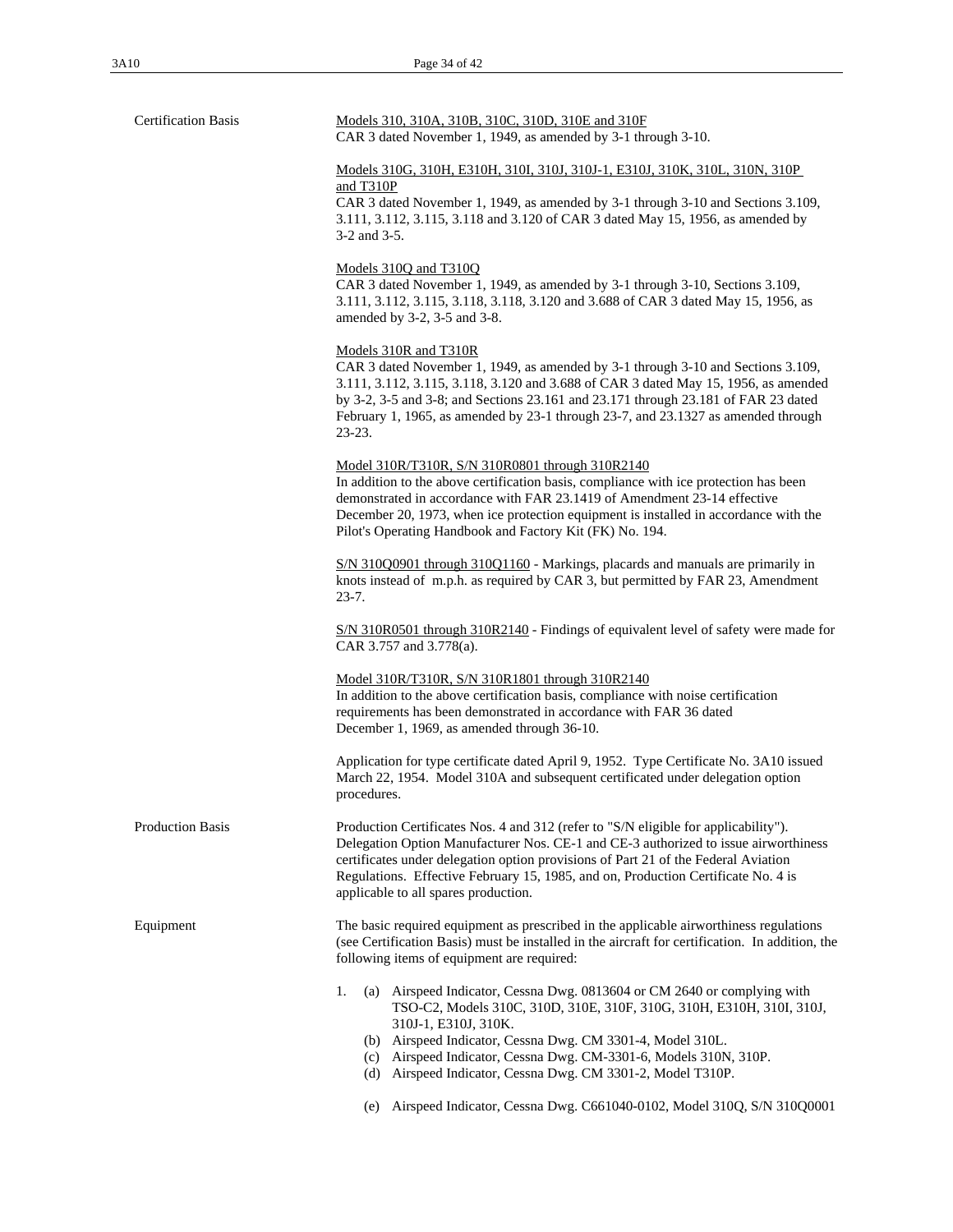| <b>Certification Basis</b> | Models 310, 310A, 310B, 310C, 310D, 310E and 310F<br>CAR 3 dated November 1, 1949, as amended by 3-1 through 3-10.                                                                                                                                                                                                                                                                                                                                                       |  |  |
|----------------------------|--------------------------------------------------------------------------------------------------------------------------------------------------------------------------------------------------------------------------------------------------------------------------------------------------------------------------------------------------------------------------------------------------------------------------------------------------------------------------|--|--|
|                            | Models 310G, 310H, E310H, 310I, 310J, 310J-1, E310J, 310K, 310L, 310N, 310P<br>and T310P<br>CAR 3 dated November 1, 1949, as amended by 3-1 through 3-10 and Sections 3.109,<br>3.111, 3.112, 3.115, 3.118 and 3.120 of CAR 3 dated May 15, 1956, as amended by<br>3-2 and 3-5.                                                                                                                                                                                          |  |  |
|                            | Models 310Q and T310Q<br>CAR 3 dated November 1, 1949, as amended by 3-1 through 3-10, Sections 3.109,<br>3.111, 3.112, 3.115, 3.118, 3.118, 3.120 and 3.688 of CAR 3 dated May 15, 1956, as<br>amended by 3-2, 3-5 and 3-8.                                                                                                                                                                                                                                             |  |  |
|                            | Models 310R and T310R<br>CAR 3 dated November 1, 1949, as amended by 3-1 through 3-10 and Sections 3.109,<br>3.111, 3.112, 3.115, 3.118, 3.120 and 3.688 of CAR 3 dated May 15, 1956, as amended<br>by 3-2, 3-5 and 3-8; and Sections 23.161 and 23.171 through 23.181 of FAR 23 dated<br>February 1, 1965, as amended by 23-1 through 23-7, and 23.1327 as amended through<br>$23-23.$                                                                                  |  |  |
|                            | Model 310R/T310R, S/N 310R0801 through 310R2140<br>In addition to the above certification basis, compliance with ice protection has been<br>demonstrated in accordance with FAR 23.1419 of Amendment 23-14 effective<br>December 20, 1973, when ice protection equipment is installed in accordance with the<br>Pilot's Operating Handbook and Factory Kit (FK) No. 194.                                                                                                 |  |  |
|                            | S/N 310Q0901 through 310Q1160 - Markings, placards and manuals are primarily in<br>knots instead of m.p.h. as required by CAR 3, but permitted by FAR 23, Amendment<br>$23 - 7.$                                                                                                                                                                                                                                                                                         |  |  |
|                            | S/N 310R0501 through 310R2140 - Findings of equivalent level of safety were made for<br>CAR 3.757 and 3.778(a).                                                                                                                                                                                                                                                                                                                                                          |  |  |
|                            | Model 310R/T310R, S/N 310R1801 through 310R2140<br>In addition to the above certification basis, compliance with noise certification<br>requirements has been demonstrated in accordance with FAR 36 dated<br>December 1, 1969, as amended through 36-10.                                                                                                                                                                                                                |  |  |
|                            | Application for type certificate dated April 9, 1952. Type Certificate No. 3A10 issued<br>March 22, 1954. Model 310A and subsequent certificated under delegation option<br>procedures.                                                                                                                                                                                                                                                                                  |  |  |
| Production Basis           | Production Certificates Nos. 4 and 312 (refer to "S/N eligible for applicability").<br>Delegation Option Manufacturer Nos. CE-1 and CE-3 authorized to issue airworthiness<br>certificates under delegation option provisions of Part 21 of the Federal Aviation<br>Regulations. Effective February 15, 1985, and on, Production Certificate No. 4 is<br>applicable to all spares production.                                                                            |  |  |
| Equipment                  | The basic required equipment as prescribed in the applicable airworthiness regulations<br>(see Certification Basis) must be installed in the aircraft for certification. In addition, the<br>following items of equipment are required:                                                                                                                                                                                                                                  |  |  |
|                            | 1.<br>Airspeed Indicator, Cessna Dwg. 0813604 or CM 2640 or complying with<br>(a)<br>TSO-C2, Models 310C, 310D, 310E, 310F, 310G, 310H, E310H, 310I, 310J,<br>310J-1, E310J, 310K.<br>(b) Airspeed Indicator, Cessna Dwg. CM 3301-4, Model 310L.<br>(c) Airspeed Indicator, Cessna Dwg. CM-3301-6, Models 310N, 310P.<br>Airspeed Indicator, Cessna Dwg. CM 3301-2, Model T310P.<br>(d)<br>Airspeed Indicator, Cessna Dwg. C661040-0102, Model 310Q, S/N 310Q0001<br>(e) |  |  |
|                            |                                                                                                                                                                                                                                                                                                                                                                                                                                                                          |  |  |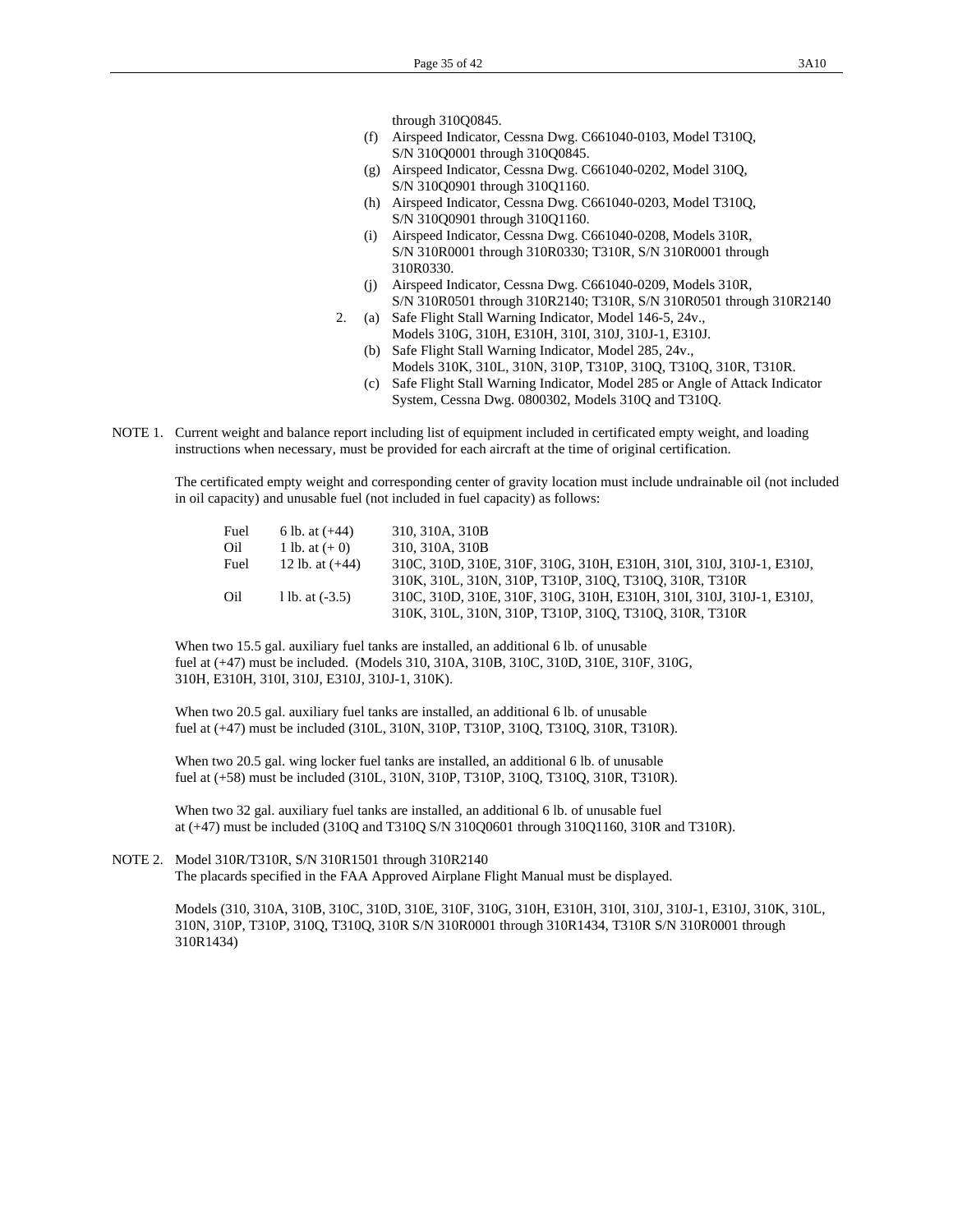through 310Q0845.

- (f) Airspeed Indicator, Cessna Dwg. C661040-0103, Model T310Q, S/N 310Q0001 through 310Q0845.
- (g) Airspeed Indicator, Cessna Dwg. C661040-0202, Model 310Q, S/N 310Q0901 through 310Q1160.
- (h) Airspeed Indicator, Cessna Dwg. C661040-0203, Model T310Q, S/N 310Q0901 through 310Q1160.
- (i) Airspeed Indicator, Cessna Dwg. C661040-0208, Models 310R, S/N 310R0001 through 310R0330; T310R, S/N 310R0001 through 310R0330.
- (j) Airspeed Indicator, Cessna Dwg. C661040-0209, Models 310R, S/N 310R0501 through 310R2140; T310R, S/N 310R0501 through 310R2140
- 2. (a) Safe Flight Stall Warning Indicator, Model 146-5, 24v., Models 310G, 310H, E310H, 310I, 310J, 310J-1, E310J.
	- (b) Safe Flight Stall Warning Indicator, Model 285, 24v., Models 310K, 310L, 310N, 310P, T310P, 310Q, T310Q, 310R, T310R.
	- (c) Safe Flight Stall Warning Indicator, Model 285 or Angle of Attack Indicator System, Cessna Dwg. 0800302, Models 310Q and T310Q.
- NOTE 1. Current weight and balance report including list of equipment included in certificated empty weight, and loading instructions when necessary, must be provided for each aircraft at the time of original certification.

 The certificated empty weight and corresponding center of gravity location must include undrainable oil (not included in oil capacity) and unusable fuel (not included in fuel capacity) as follows:

| Fuel | 6 lb. at $(+44)$  | 310, 310A, 310B                                                       |
|------|-------------------|-----------------------------------------------------------------------|
| Oil  | 1 lb. at $(+ 0)$  | 310, 310A, 310B                                                       |
| Fuel | 12 lb. at $(+44)$ | 310C, 310D, 310E, 310F, 310G, 310H, E310H, 310I, 310J, 310J-1, E310J, |
|      |                   | 310K, 310L, 310N, 310P, T310P, 310Q, T310Q, 310R, T310R               |
| Oil  | 1 lb. at $(-3.5)$ | 310C, 310D, 310E, 310F, 310G, 310H, E310H, 310I, 310J, 310J-1, E310J, |
|      |                   | 310K, 310L, 310N, 310P, T310P, 310Q, T310Q, 310R, T310R               |

 When two 15.5 gal. auxiliary fuel tanks are installed, an additional 6 lb. of unusable fuel at (+47) must be included. (Models 310, 310A, 310B, 310C, 310D, 310E, 310F, 310G, 310H, E310H, 310I, 310J, E310J, 310J-1, 310K).

 When two 20.5 gal. auxiliary fuel tanks are installed, an additional 6 lb. of unusable fuel at (+47) must be included (310L, 310N, 310P, T310P, 310Q, T310Q, 310R, T310R).

 When two 20.5 gal. wing locker fuel tanks are installed, an additional 6 lb. of unusable fuel at (+58) must be included (310L, 310N, 310P, T310P, 310Q, T310Q, 310R, T310R).

 When two 32 gal. auxiliary fuel tanks are installed, an additional 6 lb. of unusable fuel at (+47) must be included (310Q and T310Q S/N 310Q0601 through 310Q1160, 310R and T310R).

NOTE 2. Model 310R/T310R, S/N 310R1501 through 310R2140 The placards specified in the FAA Approved Airplane Flight Manual must be displayed.

> Models (310, 310A, 310B, 310C, 310D, 310E, 310F, 310G, 310H, E310H, 310I, 310J, 310J-1, E310J, 310K, 310L, 310N, 310P, T310P, 310Q, T310Q, 310R S/N 310R0001 through 310R1434, T310R S/N 310R0001 through 310R1434)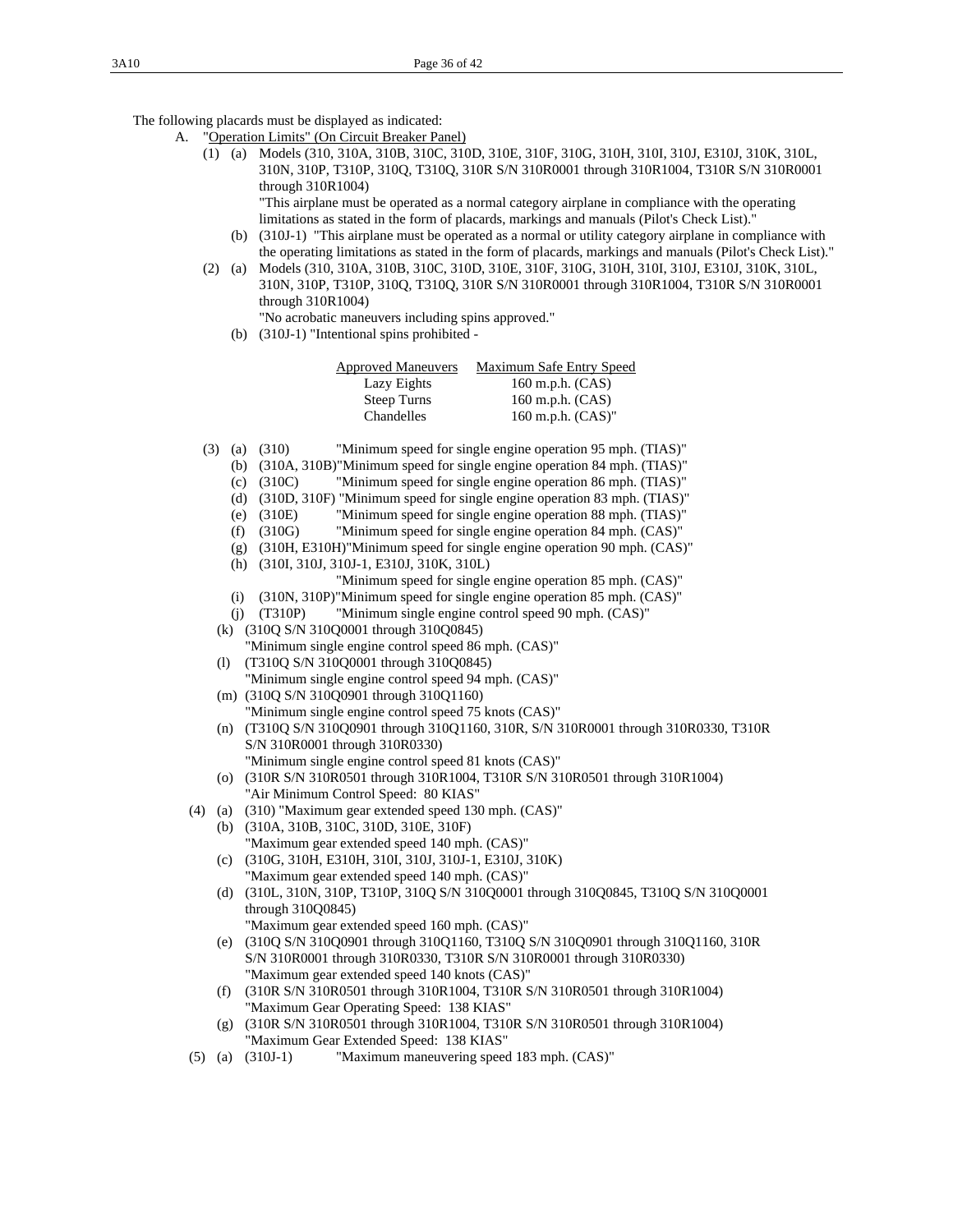The following placards must be displayed as indicated:

- A. "Operation Limits" (On Circuit Breaker Panel)
	- (1) (a) Models (310, 310A, 310B, 310C, 310D, 310E, 310F, 310G, 310H, 310I, 310J, E310J, 310K, 310L, 310N, 310P, T310P, 310Q, T310Q, 310R S/N 310R0001 through 310R1004, T310R S/N 310R0001 through 310R1004)

 "This airplane must be operated as a normal category airplane in compliance with the operating limitations as stated in the form of placards, markings and manuals (Pilot's Check List)."

- (b) (310J-1) "This airplane must be operated as a normal or utility category airplane in compliance with the operating limitations as stated in the form of placards, markings and manuals (Pilot's Check List)."
- (2) (a) Models (310, 310A, 310B, 310C, 310D, 310E, 310F, 310G, 310H, 310I, 310J, E310J, 310K, 310L, 310N, 310P, T310P, 310Q, T310Q, 310R S/N 310R0001 through 310R1004, T310R S/N 310R0001 through 310R1004)

"No acrobatic maneuvers including spins approved."

(b) (310J-1) "Intentional spins prohibited -

| <b>Approved Maneuvers</b> | Maximum Safe Entry Speed |
|---------------------------|--------------------------|
| Lazy Eights               | $160$ m.p.h. $(CAS)$     |
| Steep Turns               | 160 m.p.h. $(CAS)$       |
| Chandelles                | 160 m.p.h. $(CAS)$ "     |
|                           |                          |

- (3) (a) (310) "Minimum speed for single engine operation 95 mph. (TIAS)"
	- (b) (310A, 310B)"Minimum speed for single engine operation 84 mph. (TIAS)"
	- (c) (310C) "Minimum speed for single engine operation 86 mph. (TIAS)"
	- (d) (310D, 310F) "Minimum speed for single engine operation 83 mph. (TIAS)"
	- (e) (310E) "Minimum speed for single engine operation 88 mph. (TIAS)"
	- (f) (310G) "Minimum speed for single engine operation 84 mph. (CAS)"
	- (g) (310H, E310H)"Minimum speed for single engine operation 90 mph. (CAS)"
	- (h) (310I, 310J, 310J-1, E310J, 310K, 310L)
		- "Minimum speed for single engine operation 85 mph. (CAS)"
	- (i) (310N, 310P)"Minimum speed for single engine operation 85 mph. (CAS)"
	- (j) (T310P) "Minimum single engine control speed 90 mph. (CAS)"
	- (k) (310Q S/N 310Q0001 through 310Q0845)
	- "Minimum single engine control speed 86 mph. (CAS)" (l) (T310Q S/N 310Q0001 through 310Q0845)
	- "Minimum single engine control speed 94 mph. (CAS)" (m) (310Q S/N 310Q0901 through 310Q1160)
	- "Minimum single engine control speed 75 knots (CAS)"
	- (n) (T310Q S/N 310Q0901 through 310Q1160, 310R, S/N 310R0001 through 310R0330, T310R S/N 310R0001 through 310R0330) "Minimum single engine control speed 81 knots (CAS)"
	- (o) (310R S/N 310R0501 through 310R1004, T310R S/N 310R0501 through 310R1004) "Air Minimum Control Speed: 80 KIAS"
- (4) (a) (310) "Maximum gear extended speed 130 mph. (CAS)"
	- (b) (310A, 310B, 310C, 310D, 310E, 310F) "Maximum gear extended speed 140 mph. (CAS)"
	- (c) (310G, 310H, E310H, 310I, 310J, 310J-1, E310J, 310K) "Maximum gear extended speed 140 mph. (CAS)"
	- (d) (310L, 310N, 310P, T310P, 310Q S/N 310Q0001 through 310Q0845, T310Q S/N 310Q0001 through 310Q0845)
		- "Maximum gear extended speed 160 mph. (CAS)"
	- (e) (310Q S/N 310Q0901 through 310Q1160, T310Q S/N 310Q0901 through 310Q1160, 310R S/N 310R0001 through 310R0330, T310R S/N 310R0001 through 310R0330) "Maximum gear extended speed 140 knots (CAS)"
	- (f) (310R S/N 310R0501 through 310R1004, T310R S/N 310R0501 through 310R1004) "Maximum Gear Operating Speed: 138 KIAS"
	- (g) (310R S/N 310R0501 through 310R1004, T310R S/N 310R0501 through 310R1004) "Maximum Gear Extended Speed: 138 KIAS"
- (5) (a) (310J-1) "Maximum maneuvering speed 183 mph. (CAS)"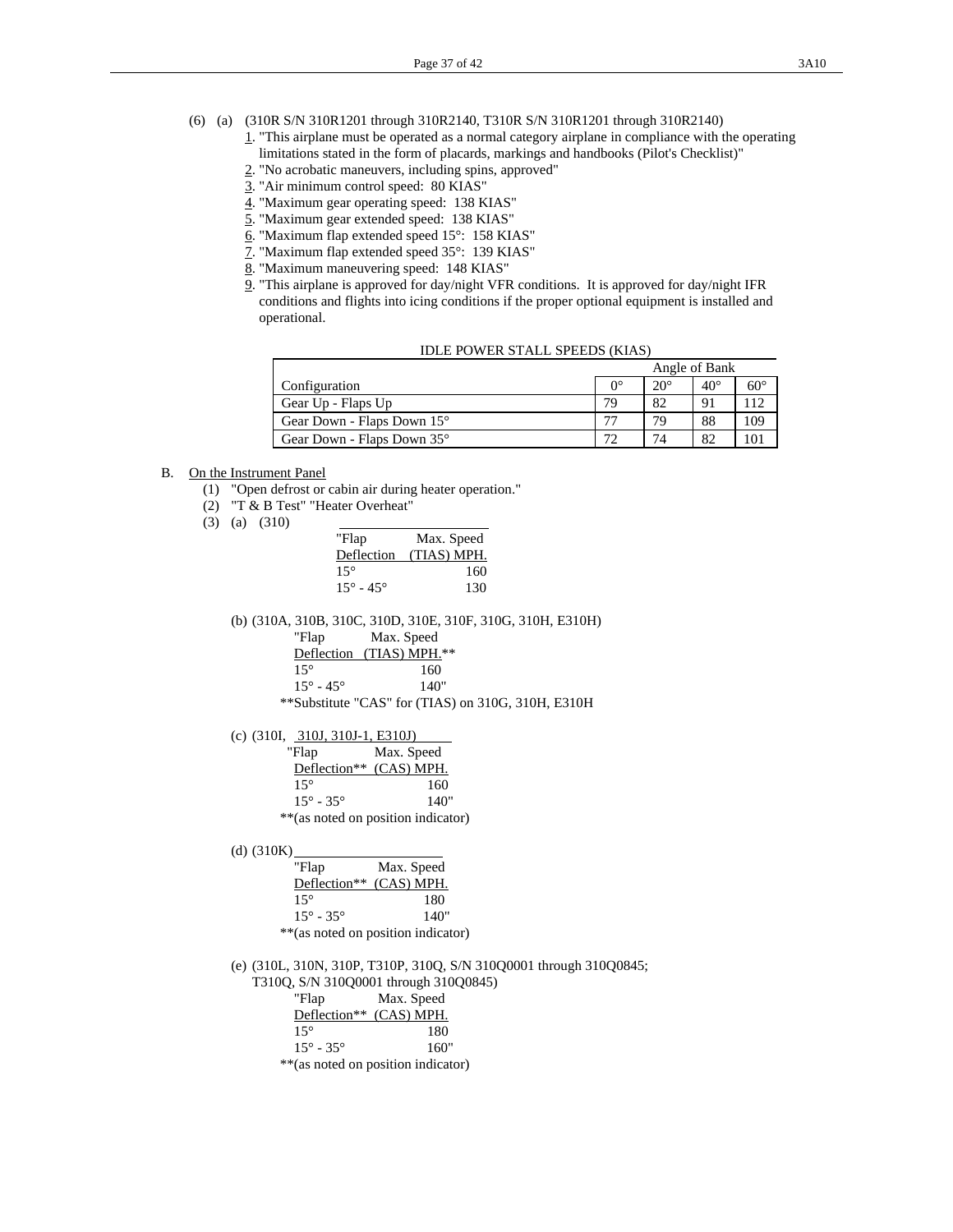- 1. "This airplane must be operated as a normal category airplane in compliance with the operating limitations stated in the form of placards, markings and handbooks (Pilot's Checklist)"
- 2. "No acrobatic maneuvers, including spins, approved"
- 3. "Air minimum control speed: 80 KIAS"
- 4. "Maximum gear operating speed: 138 KIAS"
- 5. "Maximum gear extended speed: 138 KIAS"
- 6. "Maximum flap extended speed 15°: 158 KIAS"
- 7. "Maximum flap extended speed 35°: 139 KIAS"
- 8. "Maximum maneuvering speed: 148 KIAS"
- 9. "This airplane is approved for day/night VFR conditions. It is approved for day/night IFR conditions and flights into icing conditions if the proper optional equipment is installed and operational.

|                            | Angle of Bank |              |            |            |
|----------------------------|---------------|--------------|------------|------------|
| Configuration              | Ω°            | $20^{\circ}$ | $40^\circ$ | $60^\circ$ |
| Gear Up - Flaps Up         | 79            | 82           | 91         |            |
| Gear Down - Flaps Down 15° | 77            | 79           | 88         | 109        |
| Gear Down - Flaps Down 35° | רי            | 74           | 82         |            |

- B. On the Instrument Panel
	- (1) "Open defrost or cabin air during heater operation."
	- (2) "T & B Test" "Heater Overheat"
	- (3) (a) (310)

| "Flap                     | Max. Speed             |
|---------------------------|------------------------|
|                           | Deflection (TIAS) MPH. |
| $15^{\circ}$              | 160                    |
| $15^{\circ} - 45^{\circ}$ | 130                    |

(b) (310A, 310B, 310C, 310D, 310E, 310F, 310G, 310H, E310H)

| "Flap                   | Max. Speed                               |  |
|-------------------------|------------------------------------------|--|
|                         | Deflection (TIAS) MPH.**                 |  |
| $15^{\circ}$            | 160                                      |  |
| $15^\circ$ - $45^\circ$ | 140"                                     |  |
|                         | **Cubetitute "CAS" for (TIAS) on 210C 21 |  |

\*\*Substitute "CAS" for (TIAS) on 310G, 310H, E310H

(c) (310I, 310J, 310J-1, E310J)

| "Flap                     | Max. Speed                          |
|---------------------------|-------------------------------------|
| Deflection** (CAS) MPH.   |                                     |
| $15^{\circ}$              | 160                                 |
| $15^{\circ} - 35^{\circ}$ | 140"                                |
|                           | ** (as noted on position indicator) |

(d) (310K)

| "Flap                     | Max. Speed                          |
|---------------------------|-------------------------------------|
|                           | Deflection** (CAS) MPH.             |
| $15^{\circ}$              | 180                                 |
| $15^{\circ} - 35^{\circ}$ | 140"                                |
|                           | ** (as noted on position indicator) |

 (e) (310L, 310N, 310P, T310P, 310Q, S/N 310Q0001 through 310Q0845; T310Q, S/N 310Q0001 through 310Q0845)

| "Flap                     | Max. Speed |
|---------------------------|------------|
| Deflection** (CAS) MPH.   |            |
| $15^{\circ}$              | 180        |
| $15^{\circ} - 35^{\circ}$ | 160"       |
| $-1 - 1 - 1$              |            |

\*\*(as noted on position indicator)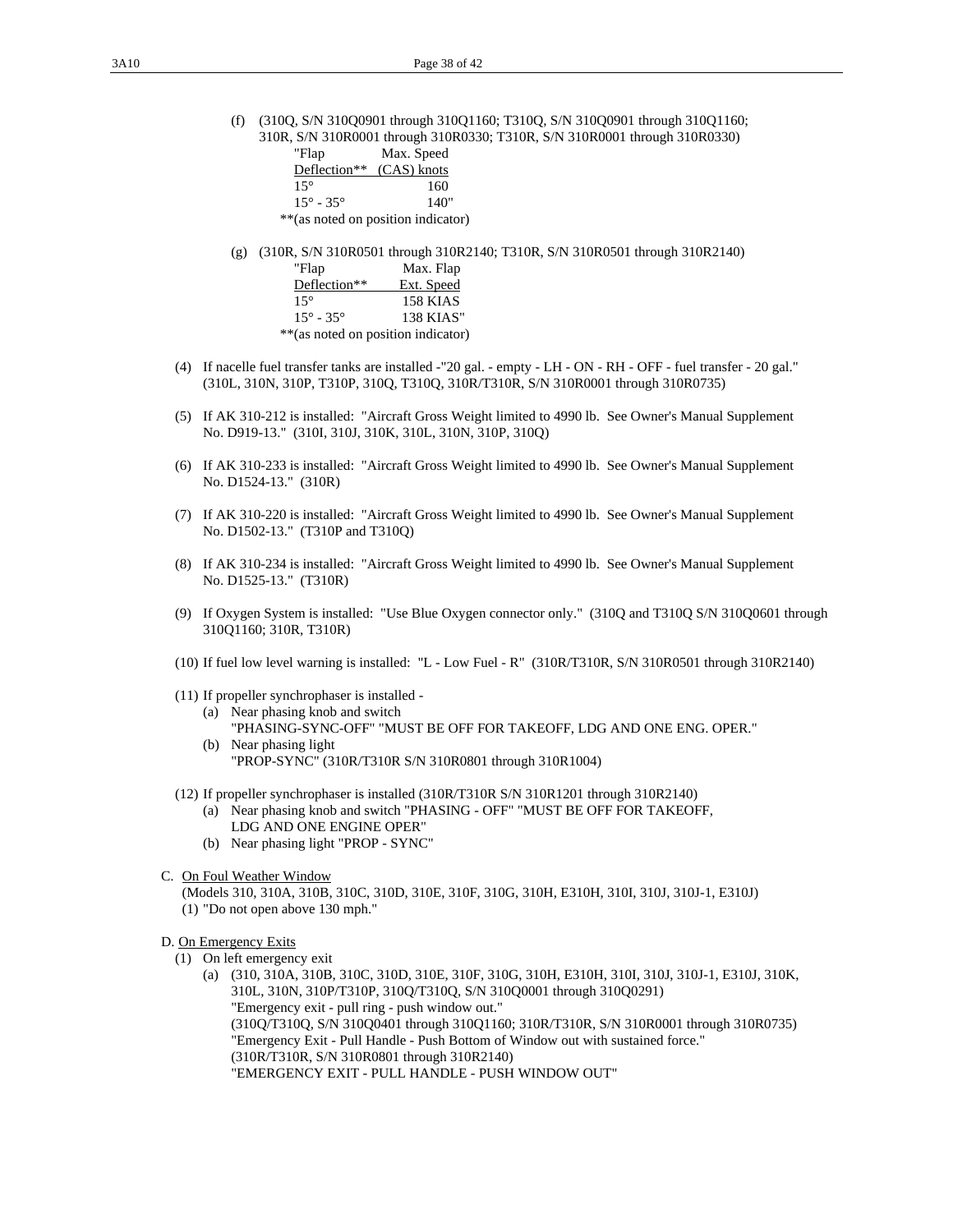(f) (310Q, S/N 310Q0901 through 310Q1160; T310Q, S/N 310Q0901 through 310Q1160; 310R, S/N 310R0001 through 310R0330; T310R, S/N 310R0001 through 310R0330)

| "Flap                        | Max. Speed                          |
|------------------------------|-------------------------------------|
| Deflection** (CAS) knots     |                                     |
| $15^{\circ}$                 | 160                                 |
| $15^{\circ}$ - 35 $^{\circ}$ | 140"                                |
|                              | ** (as noted on position indicator) |
|                              |                                     |

(g) (310R, S/N 310R0501 through 310R2140; T310R, S/N 310R0501 through 310R2140)

| "Flap                               | Max. Flap  |
|-------------------------------------|------------|
| Deflection**                        | Ext. Speed |
| $15^{\circ}$                        | 158 KIAS   |
| $15^{\circ} - 35^{\circ}$           | 138 KIAS"  |
| ** (as noted on position indicator) |            |

- (4) If nacelle fuel transfer tanks are installed -"20 gal. empty LH ON RH OFF fuel transfer 20 gal." (310L, 310N, 310P, T310P, 310Q, T310Q, 310R/T310R, S/N 310R0001 through 310R0735)
- (5) If AK 310-212 is installed: "Aircraft Gross Weight limited to 4990 lb. See Owner's Manual Supplement No. D919-13." (310I, 310J, 310K, 310L, 310N, 310P, 310Q)
- (6) If AK 310-233 is installed: "Aircraft Gross Weight limited to 4990 lb. See Owner's Manual Supplement No. D1524-13." (310R)
- (7) If AK 310-220 is installed: "Aircraft Gross Weight limited to 4990 lb. See Owner's Manual Supplement No. D1502-13." (T310P and T310Q)
- (8) If AK 310-234 is installed: "Aircraft Gross Weight limited to 4990 lb. See Owner's Manual Supplement No. D1525-13." (T310R)
- (9) If Oxygen System is installed: "Use Blue Oxygen connector only." (310Q and T310Q S/N 310Q0601 through 310Q1160; 310R, T310R)
- (10) If fuel low level warning is installed: "L Low Fuel R" (310R/T310R, S/N 310R0501 through 310R2140)
- (11) If propeller synchrophaser is installed
	- (a) Near phasing knob and switch "PHASING-SYNC-OFF" "MUST BE OFF FOR TAKEOFF, LDG AND ONE ENG. OPER." (b) Near phasing light
		- "PROP-SYNC" (310R/T310R S/N 310R0801 through 310R1004)
- (12) If propeller synchrophaser is installed (310R/T310R S/N 310R1201 through 310R2140)
	- (a) Near phasing knob and switch "PHASING OFF" "MUST BE OFF FOR TAKEOFF, LDG AND ONE ENGINE OPER"
	- (b) Near phasing light "PROP SYNC"
- C. On Foul Weather Window
	- (Models 310, 310A, 310B, 310C, 310D, 310E, 310F, 310G, 310H, E310H, 310I, 310J, 310J-1, E310J)
	- (1) "Do not open above 130 mph."

#### D. On Emergency Exits

- (1) On left emergency exit
	- (a) (310, 310A, 310B, 310C, 310D, 310E, 310F, 310G, 310H, E310H, 310I, 310J, 310J-1, E310J, 310K, 310L, 310N, 310P/T310P, 310Q/T310Q, S/N 310Q0001 through 310Q0291) "Emergency exit - pull ring - push window out." (310Q/T310Q, S/N 310Q0401 through 310Q1160; 310R/T310R, S/N 310R0001 through 310R0735) "Emergency Exit - Pull Handle - Push Bottom of Window out with sustained force." (310R/T310R, S/N 310R0801 through 310R2140) "EMERGENCY EXIT - PULL HANDLE - PUSH WINDOW OUT"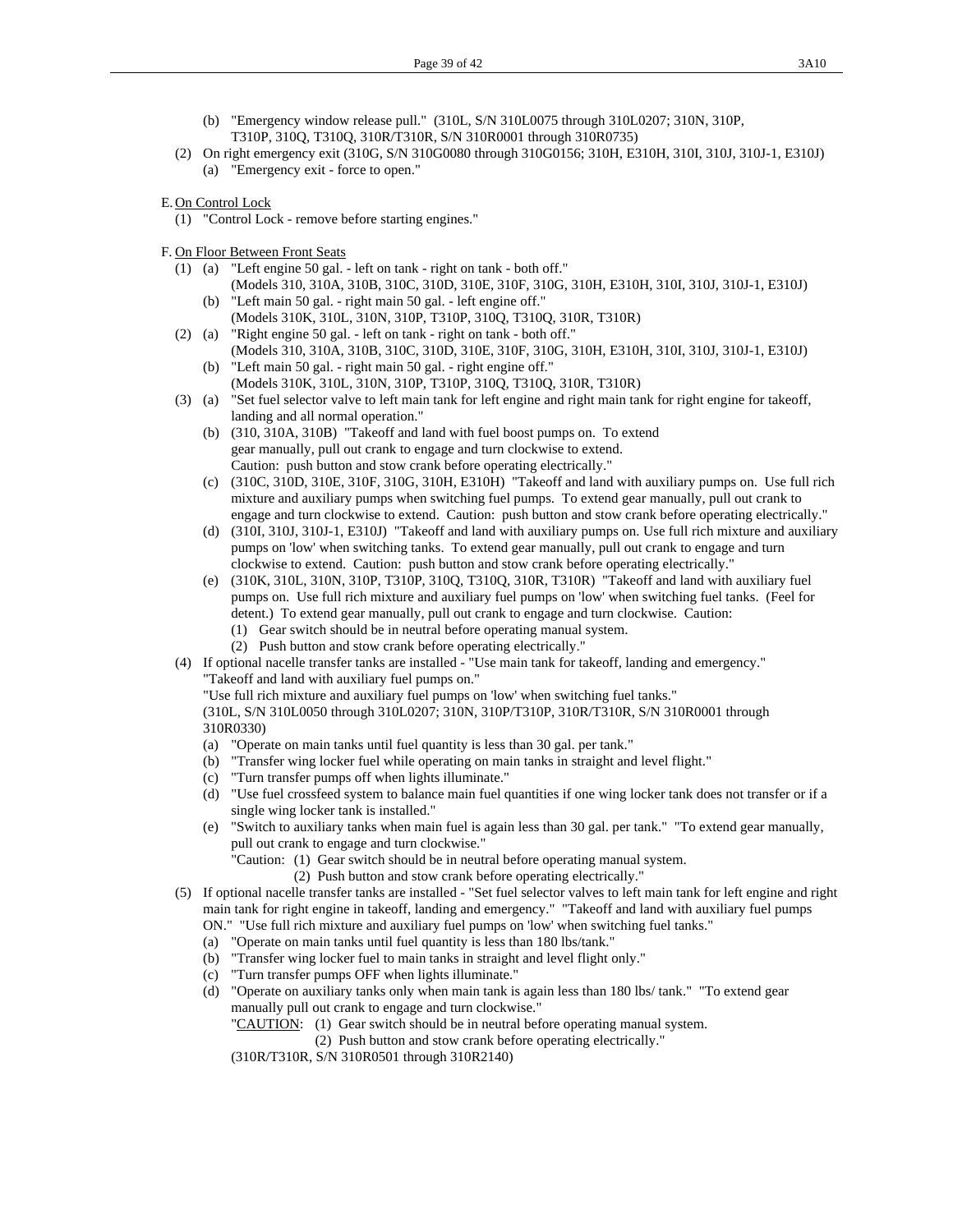- (b) "Emergency window release pull." (310L, S/N 310L0075 through 310L0207; 310N, 310P, T310P, 310Q, T310Q, 310R/T310R, S/N 310R0001 through 310R0735)
- (2) On right emergency exit (310G, S/N 310G0080 through 310G0156; 310H, E310H, 310I, 310J, 310J-1, E310J) (a) "Emergency exit - force to open."
- E. On Control Lock
	- (1) "Control Lock remove before starting engines."
- F. On Floor Between Front Seats
	- (1) (a) "Left engine 50 gal. left on tank right on tank both off." (Models 310, 310A, 310B, 310C, 310D, 310E, 310F, 310G, 310H, E310H, 310I, 310J, 310J-1, E310J) (b) "Left main 50 gal. - right main 50 gal. - left engine off."
		- (Models 310K, 310L, 310N, 310P, T310P, 310Q, T310Q, 310R, T310R)
	- (2) (a) "Right engine 50 gal. left on tank right on tank both off." (Models 310, 310A, 310B, 310C, 310D, 310E, 310F, 310G, 310H, E310H, 310I, 310J, 310J-1, E310J)
		- (b) "Left main 50 gal. right main 50 gal. right engine off." (Models 310K, 310L, 310N, 310P, T310P, 310Q, T310Q, 310R, T310R)
	- (3) (a) "Set fuel selector valve to left main tank for left engine and right main tank for right engine for takeoff, landing and all normal operation."
		- (b) (310, 310A, 310B) "Takeoff and land with fuel boost pumps on. To extend gear manually, pull out crank to engage and turn clockwise to extend. Caution: push button and stow crank before operating electrically."
		- (c) (310C, 310D, 310E, 310F, 310G, 310H, E310H) "Takeoff and land with auxiliary pumps on. Use full rich mixture and auxiliary pumps when switching fuel pumps. To extend gear manually, pull out crank to engage and turn clockwise to extend. Caution: push button and stow crank before operating electrically."
		- (d) (310I, 310J, 310J-1, E310J) "Takeoff and land with auxiliary pumps on. Use full rich mixture and auxiliary pumps on 'low' when switching tanks. To extend gear manually, pull out crank to engage and turn clockwise to extend. Caution: push button and stow crank before operating electrically."
		- (e) (310K, 310L, 310N, 310P, T310P, 310Q, T310Q, 310R, T310R) "Takeoff and land with auxiliary fuel pumps on. Use full rich mixture and auxiliary fuel pumps on 'low' when switching fuel tanks. (Feel for detent.) To extend gear manually, pull out crank to engage and turn clockwise. Caution:
			- (1) Gear switch should be in neutral before operating manual system.
			- (2) Push button and stow crank before operating electrically."
	- (4) If optional nacelle transfer tanks are installed "Use main tank for takeoff, landing and emergency." "Takeoff and land with auxiliary fuel pumps on."
		- "Use full rich mixture and auxiliary fuel pumps on 'low' when switching fuel tanks."
		- (310L, S/N 310L0050 through 310L0207; 310N, 310P/T310P, 310R/T310R, S/N 310R0001 through 310R0330)
		- (a) "Operate on main tanks until fuel quantity is less than 30 gal. per tank."
		- (b) "Transfer wing locker fuel while operating on main tanks in straight and level flight."
		- (c) "Turn transfer pumps off when lights illuminate."
		- (d) "Use fuel crossfeed system to balance main fuel quantities if one wing locker tank does not transfer or if a single wing locker tank is installed."
		- (e) "Switch to auxiliary tanks when main fuel is again less than 30 gal. per tank." "To extend gear manually, pull out crank to engage and turn clockwise."
			- "Caution: (1) Gear switch should be in neutral before operating manual system.
				- (2) Push button and stow crank before operating electrically."
	- (5) If optional nacelle transfer tanks are installed "Set fuel selector valves to left main tank for left engine and right main tank for right engine in takeoff, landing and emergency." "Takeoff and land with auxiliary fuel pumps
		- ON." "Use full rich mixture and auxiliary fuel pumps on 'low' when switching fuel tanks."
		- (a) "Operate on main tanks until fuel quantity is less than 180 lbs/tank."
		- (b) "Transfer wing locker fuel to main tanks in straight and level flight only."
		- (c) "Turn transfer pumps OFF when lights illuminate."
		- (d) "Operate on auxiliary tanks only when main tank is again less than 180 lbs/ tank." "To extend gear manually pull out crank to engage and turn clockwise."
			- "CAUTION: (1) Gear switch should be in neutral before operating manual system.
				- (2) Push button and stow crank before operating electrically."
			- (310R/T310R, S/N 310R0501 through 310R2140)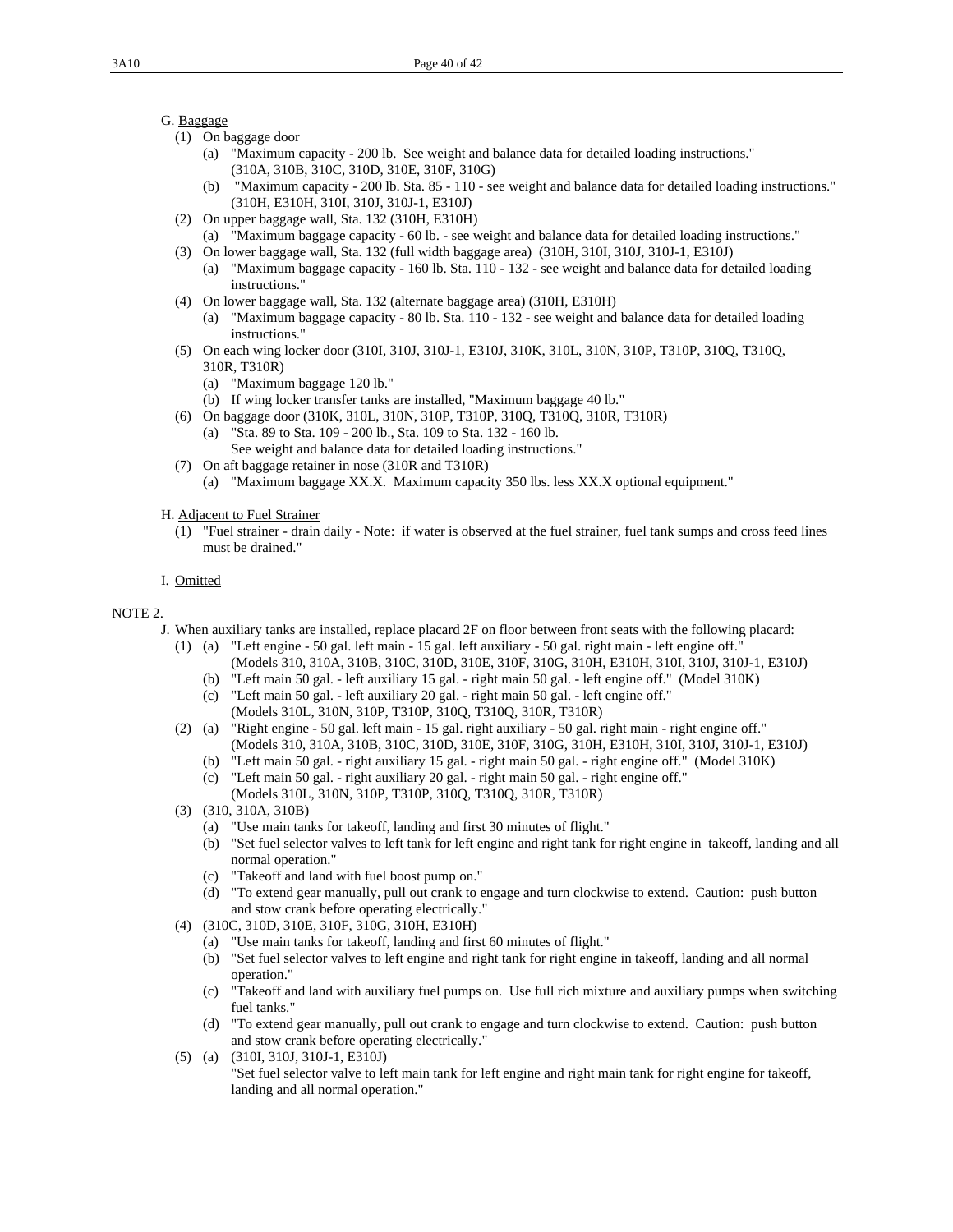## G. Baggage

- (1) On baggage door
	- (a) "Maximum capacity 200 lb. See weight and balance data for detailed loading instructions." (310A, 310B, 310C, 310D, 310E, 310F, 310G)
	- (b) "Maximum capacity 200 lb. Sta. 85 110 see weight and balance data for detailed loading instructions." (310H, E310H, 310I, 310J, 310J-1, E310J)
- (2) On upper baggage wall, Sta. 132 (310H, E310H)
- (a) "Maximum baggage capacity 60 lb. see weight and balance data for detailed loading instructions." (3) On lower baggage wall, Sta. 132 (full width baggage area) (310H, 310I, 310J, 310J-1, E310J)
	- (a) "Maximum baggage capacity 160 lb. Sta. 110 132 see weight and balance data for detailed loading instructions."
- (4) On lower baggage wall, Sta. 132 (alternate baggage area) (310H, E310H)
	- (a) "Maximum baggage capacity 80 lb. Sta. 110 132 see weight and balance data for detailed loading instructions."
- (5) On each wing locker door (310I, 310J, 310J-1, E310J, 310K, 310L, 310N, 310P, T310P, 310Q, T310Q, 310R, T310R)
	- (a) "Maximum baggage 120 lb."
	- (b) If wing locker transfer tanks are installed, "Maximum baggage 40 lb."
- (6) On baggage door (310K, 310L, 310N, 310P, T310P, 310Q, T310Q, 310R, T310R)
	- (a) "Sta. 89 to Sta. 109 200 lb., Sta. 109 to Sta. 132 160 lb. See weight and balance data for detailed loading instructions."
- (7) On aft baggage retainer in nose (310R and T310R)
	- (a) "Maximum baggage XX.X. Maximum capacity 350 lbs. less XX.X optional equipment."
- H. Adjacent to Fuel Strainer
	- (1) "Fuel strainer drain daily Note: if water is observed at the fuel strainer, fuel tank sumps and cross feed lines must be drained."

#### I. Omitted

#### NOTE 2.

- J. When auxiliary tanks are installed, replace placard 2F on floor between front seats with the following placard:
	- (1) (a) "Left engine 50 gal. left main 15 gal. left auxiliary 50 gal. right main left engine off." (Models 310, 310A, 310B, 310C, 310D, 310E, 310F, 310G, 310H, E310H, 310I, 310J, 310J-1, E310J)
		- (b) "Left main 50 gal. left auxiliary 15 gal. right main 50 gal. left engine off." (Model 310K)
		- (c) "Left main 50 gal. left auxiliary 20 gal. right main 50 gal. left engine off." (Models 310L, 310N, 310P, T310P, 310Q, T310Q, 310R, T310R)
	- (2) (a) "Right engine 50 gal. left main 15 gal. right auxiliary 50 gal. right main right engine off." (Models 310, 310A, 310B, 310C, 310D, 310E, 310F, 310G, 310H, E310H, 310I, 310J, 310J-1, E310J)
		- (b) "Left main 50 gal. right auxiliary 15 gal. right main 50 gal. right engine off." (Model 310K) (c) "Left main 50 gal. - right auxiliary 20 gal. - right main 50 gal. - right engine off."
		- (Models 310L, 310N, 310P, T310P, 310Q, T310Q, 310R, T310R)
	- (3) (310, 310A, 310B)
		- (a) "Use main tanks for takeoff, landing and first 30 minutes of flight."
		- (b) "Set fuel selector valves to left tank for left engine and right tank for right engine in takeoff, landing and all normal operation."
		- (c) "Takeoff and land with fuel boost pump on."
		- (d) "To extend gear manually, pull out crank to engage and turn clockwise to extend. Caution: push button and stow crank before operating electrically."
	- (4) (310C, 310D, 310E, 310F, 310G, 310H, E310H)
		- (a) "Use main tanks for takeoff, landing and first 60 minutes of flight."
		- (b) "Set fuel selector valves to left engine and right tank for right engine in takeoff, landing and all normal operation."
		- (c) "Takeoff and land with auxiliary fuel pumps on. Use full rich mixture and auxiliary pumps when switching fuel tanks."
		- (d) "To extend gear manually, pull out crank to engage and turn clockwise to extend. Caution: push button and stow crank before operating electrically."
	- (5) (a) (310I, 310J, 310J-1, E310J) "Set fuel selector valve to left main tank for left engine and right main tank for right engine for takeoff, landing and all normal operation."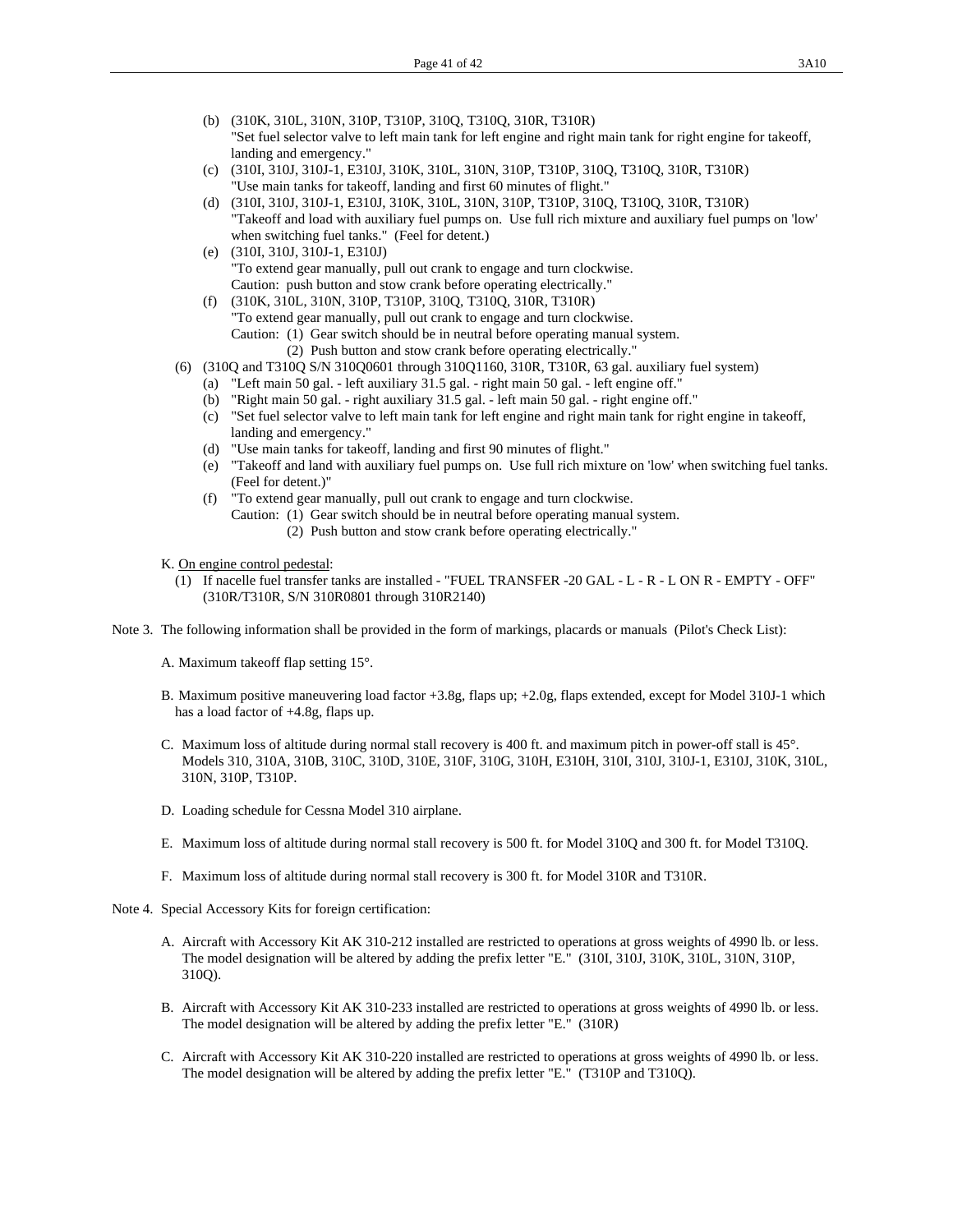- (b) (310K, 310L, 310N, 310P, T310P, 310Q, T310Q, 310R, T310R) "Set fuel selector valve to left main tank for left engine and right main tank for right engine for takeoff, landing and emergency."
- (c) (310I, 310J, 310J-1, E310J, 310K, 310L, 310N, 310P, T310P, 310Q, T310Q, 310R, T310R) "Use main tanks for takeoff, landing and first 60 minutes of flight."
- (d) (310I, 310J, 310J-1, E310J, 310K, 310L, 310N, 310P, T310P, 310Q, T310Q, 310R, T310R) "Takeoff and load with auxiliary fuel pumps on. Use full rich mixture and auxiliary fuel pumps on 'low' when switching fuel tanks." (Feel for detent.)
- (e) (310I, 310J, 310J-1, E310J) "To extend gear manually, pull out crank to engage and turn clockwise. Caution: push button and stow crank before operating electrically."
- (f) (310K, 310L, 310N, 310P, T310P, 310Q, T310Q, 310R, T310R) "To extend gear manually, pull out crank to engage and turn clockwise. Caution: (1) Gear switch should be in neutral before operating manual system. (2) Push button and stow crank before operating electrically."

- (6) (310Q and T310Q S/N 310Q0601 through 310Q1160, 310R, T310R, 63 gal. auxiliary fuel system)
	- (a) "Left main 50 gal. left auxiliary 31.5 gal. right main 50 gal. left engine off."
	- (b) "Right main 50 gal. right auxiliary 31.5 gal. left main 50 gal. right engine off."
	- (c) "Set fuel selector valve to left main tank for left engine and right main tank for right engine in takeoff, landing and emergency."
	- (d) "Use main tanks for takeoff, landing and first 90 minutes of flight."
	- (e) "Takeoff and land with auxiliary fuel pumps on. Use full rich mixture on 'low' when switching fuel tanks. (Feel for detent.)"
	- (f) "To extend gear manually, pull out crank to engage and turn clockwise. Caution: (1) Gear switch should be in neutral before operating manual system. (2) Push button and stow crank before operating electrically."

K. On engine control pedestal:

- (1) If nacelle fuel transfer tanks are installed "FUEL TRANSFER -20 GAL L R L ON R EMPTY OFF" (310R/T310R, S/N 310R0801 through 310R2140)
- Note 3. The following information shall be provided in the form of markings, placards or manuals (Pilot's Check List):

A. Maximum takeoff flap setting 15°.

- B. Maximum positive maneuvering load factor +3.8g, flaps up; +2.0g, flaps extended, except for Model 310J-1 which has a load factor of +4.8g, flaps up.
- C. Maximum loss of altitude during normal stall recovery is 400 ft. and maximum pitch in power-off stall is 45°. Models 310, 310A, 310B, 310C, 310D, 310E, 310F, 310G, 310H, E310H, 310I, 310J, 310J-1, E310J, 310K, 310L, 310N, 310P, T310P.
- D. Loading schedule for Cessna Model 310 airplane.
- E. Maximum loss of altitude during normal stall recovery is 500 ft. for Model 310Q and 300 ft. for Model T310Q.
- F. Maximum loss of altitude during normal stall recovery is 300 ft. for Model 310R and T310R.
- Note 4. Special Accessory Kits for foreign certification:
	- A. Aircraft with Accessory Kit AK 310-212 installed are restricted to operations at gross weights of 4990 lb. or less. The model designation will be altered by adding the prefix letter "E." (310I, 310J, 310K, 310L, 310N, 310P, 310Q).
	- B. Aircraft with Accessory Kit AK 310-233 installed are restricted to operations at gross weights of 4990 lb. or less. The model designation will be altered by adding the prefix letter "E." (310R)
	- C. Aircraft with Accessory Kit AK 310-220 installed are restricted to operations at gross weights of 4990 lb. or less. The model designation will be altered by adding the prefix letter "E." (T310P and T310Q).